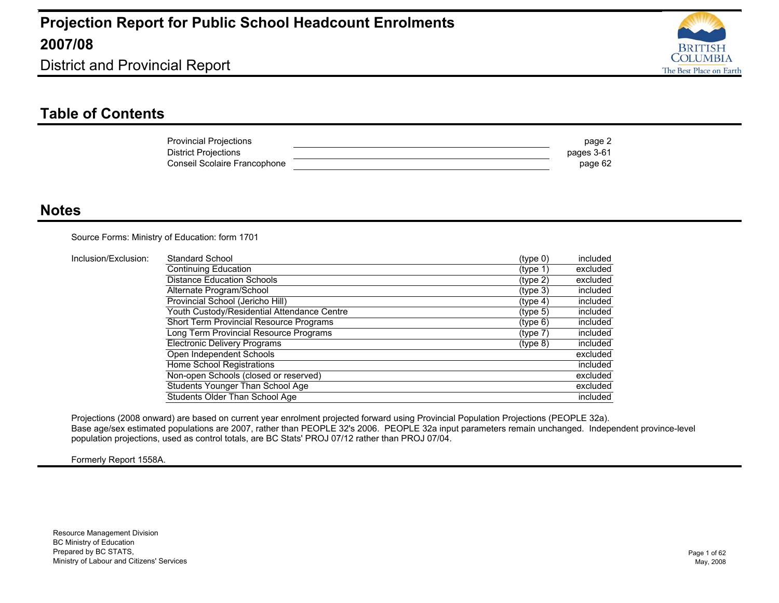

District and Provincial Report

#### **Table of Contents**

| <b>Provincial Projections</b> | page 2     |
|-------------------------------|------------|
| <b>District Projections</b>   | pages 3-61 |
| Conseil Scolaire Francophone  | page 62    |

#### **Notes**

Source Forms: Ministry of Education: form 1701

| Inclusion/Exclusion: | Standard School                             | (type 0) | included |
|----------------------|---------------------------------------------|----------|----------|
|                      | Continuing Education                        | (type 1) | excluded |
|                      | <b>Distance Education Schools</b>           | (type 2) | excluded |
|                      | Alternate Program/School                    | (type 3) | included |
|                      | Provincial School (Jericho Hill)            | (type 4) | included |
|                      | Youth Custody/Residential Attendance Centre | (type 5) | included |
|                      | Short Term Provincial Resource Programs     | (type 6) | included |
|                      | Long Term Provincial Resource Programs      | (type 7) | included |
|                      | <b>Electronic Delivery Programs</b>         | (type 8) | included |
|                      | Open Independent Schools                    |          | excluded |
|                      | Home School Registrations                   |          | included |
|                      | Non-open Schools (closed or reserved)       |          | excluded |
|                      | Students Younger Than School Age            |          | excluded |
|                      | Students Older Than School Age              |          | included |

Projections (2008 onward) are based on current year enrolment projected forward using Provincial Population Projections (PEOPLE 32a). Base age/sex estimated populations are 2007, rather than PEOPLE 32's 2006. PEOPLE 32a input parameters remain unchanged. Independent province-level population projections, used as control totals, are BC Stats' PROJ 07/12 rather than PROJ 07/04.

Formerly Report 1558A.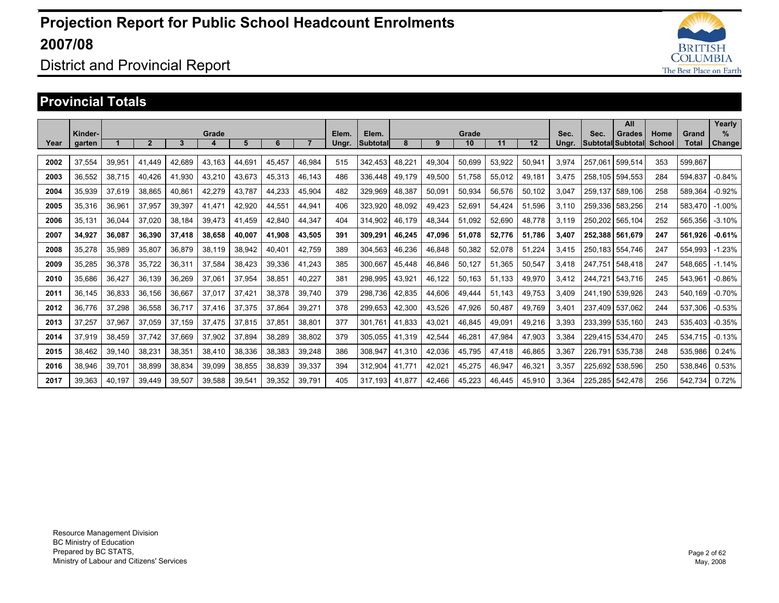

### District and Provincial Report

#### **Provincial Totals**

|      |         |        |                |                |                       |        |        |                |       |          |        |        |        |        |        |       |         | All               |        |         | Yearly   |
|------|---------|--------|----------------|----------------|-----------------------|--------|--------|----------------|-------|----------|--------|--------|--------|--------|--------|-------|---------|-------------------|--------|---------|----------|
|      | Kinder- |        |                |                | Grade                 |        |        |                | Elem. | Elem.    |        |        | Grade  |        |        | Sec.  | Sec.    | <b>Grades</b>     | Home   | Grand   | $\%$     |
| Year | garten  |        | $\overline{2}$ | $\overline{3}$ | $\boldsymbol{\Delta}$ | 5      | 6      | $\overline{7}$ | Ungr. | Subtotal | 8      | 9      | 10     | 11     | 12     | Ungr. |         | Subtotal Subtotal | School | Total   | Change   |
| 2002 | 37,554  | 39.951 | 41.449         | 42.689         | 43.163                | 44.691 | 45.457 | 46.984         | 515   | 342.453  | 48.221 | 49.304 | 50.699 | 53.922 | 50.941 | 3.974 | 257.061 | 599.514           | 353    | 599.867 |          |
| 2003 | 36,552  | 38.715 | 40.426         | 41.930         | 43,210                | 43.673 | 45.313 | 46.143         | 486   | 336.448  | 49.179 | 49.500 | 51.758 | 55,012 | 49.181 | 3.475 | 258.105 | 594,553           | 284    | 594.837 | $-0.84%$ |
| 2004 | 35,939  | 37.619 | 38,865         | 40.861         | 42,279                | 43.787 | 44,233 | 45,904         | 482   | 329.969  | 48,387 | 50,091 | 50,934 | 56,576 | 50,102 | 3,047 | 259.137 | 589,106           | 258    | 589.364 | $-0.92%$ |
| 2005 | 35,316  | 36.961 | 37.957         | 39.397         | 41.471                | 42.920 | 44.551 | 44.941         | 406   | 323.920  | 48.092 | 49.423 | 52,691 | 54.424 | 51.596 | 3.110 | 259.336 | 583.256           | 214    | 583.470 | $-1.00%$ |
| 2006 | 35,131  | 36.044 | 37.020         | 38.184         | 39,473                | 41.459 | 42.840 | 44.347         | 404   | 314.902  | 46.179 | 48,344 | 51,092 | 52.690 | 48,778 | 3,119 | 250.202 | 565,104           | 252    | 565.356 | $-3.10%$ |
| 2007 | 34,927  | 36.087 | 36,390         | 37.418         | 38,658                | 40.007 | 41.908 | 43,505         | 391   | 309,291  | 46.245 | 47.096 | 51,078 | 52,776 | 51,786 | 3.407 | 252.388 | 561.679           | 247    | 561.926 | $-0.61%$ |
| 2008 | 35,278  | 35,989 | 35,807         | 36,879         | 38,119                | 38,942 | 40.401 | 42,759         | 389   | 304,563  | 46,236 | 46,848 | 50,382 | 52,078 | 51,224 | 3,415 | 250.183 | 554,746           | 247    | 554,993 | $-1.23%$ |
| 2009 | 35,285  | 36,378 | 35,722         | 36,311         | 37,584                | 38,423 | 39,336 | 41,243         | 385   | 300.667  | 45.448 | 46,846 | 50,127 | 51.365 | 50,547 | 3.418 | 247.751 | 548.418           | 247    | 548.665 | $-1.14%$ |
| 2010 | 35.686  | 36,427 | 36,139         | 36,269         | 37,061                | 37,954 | 38,851 | 40,227         | 381   | 298,995  | 43,921 | 46.122 | 50,163 | 51.133 | 49,970 | 3.412 | 244.721 | 543.716           | 245    | 543,961 | $-0.86%$ |
| 2011 | 36,145  | 36,833 | 36,156         | 36,667         | 37,017                | 37,42' | 38,378 | 39,740         | 379   | 298.736  | 42,835 | 44,606 | 49,444 | 51.143 | 49,753 | 3,409 | 241.190 | 539,926           | 243    | 540,169 | $-0.70%$ |
| 2012 | 36,776  | 37,298 | 36,558         | 36,717         | 37,416                | 37,375 | 37,864 | 39,271         | 378   | 299,653  | 42,300 | 43,526 | 47,926 | 50,487 | 49,769 | 3,401 | 237.409 | 537,062           | 244    | 537,306 | $-0.53%$ |
| 2013 | 37,257  | 37,967 | 37.059         | 37,159         | 37,475                | 37,815 | 37,851 | 38,801         | 377   | 301.76   | 41,833 | 43,021 | 46,845 | 49,091 | 49,216 | 3,393 | 233.399 | 535,160           | 243    | 535,403 | $-0.35%$ |
| 2014 | 37,919  | 38,459 | 37,742         | 37,669         | 37,902                | 37,894 | 38,289 | 38,802         | 379   | 305,055  | 41,319 | 42,544 | 46,281 | 47,984 | 47,903 | 3,384 | 229,415 | 534,470           | 245    | 534,715 | $-0.13%$ |
| 2015 | 38.462  | 39,140 | 38,231         | 38,351         | 38,410                | 38,336 | 38,383 | 39,248         | 386   | 308,947  | 41,310 | 42,036 | 45,795 | 47,418 | 46,865 | 3,367 | 226.791 | 535,738           | 248    | 535,986 | 0.24%    |
| 2016 | 38,946  | 39,701 | 38,899         | 38,834         | 39,099                | 38,855 | 38,839 | 39,337         | 394   | 312,904  | 41.771 | 42,021 | 45,275 | 46,947 | 46,321 | 3,357 | 225.692 | 538,596           | 250    | 538,846 | 0.53%    |
| 2017 | 39.363  | 40.197 | 39.449         | 39.507         | 39.588                | 39.541 | 39.352 | 39.791         | 405   | 317.193  | 41.877 | 42.466 | 45.223 | 46.445 | 45.910 | 3.364 | 225.285 | 542.478           | 256    | 542.734 | 0.72%    |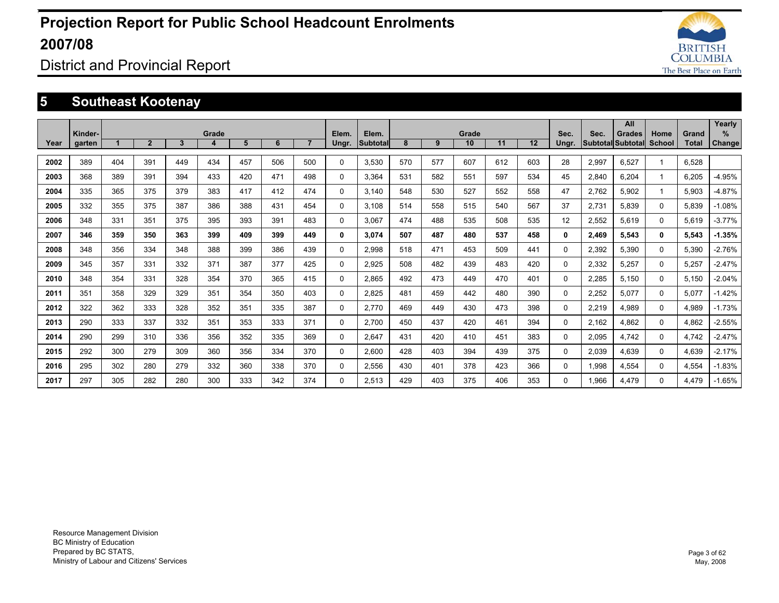

### District and Provincial Report

### **5 Southeast Kootenay**

|      |                   |     |              |     |            |     |     |                |                |                          |     |     |             |     |     |               |       | All                                       |                       |                | Yearly             |
|------|-------------------|-----|--------------|-----|------------|-----|-----|----------------|----------------|--------------------------|-----|-----|-------------|-----|-----|---------------|-------|-------------------------------------------|-----------------------|----------------|--------------------|
| Year | Kinder-<br>garten |     | $\mathbf{2}$ | 3   | Grade<br>4 | 5   | 6   | $\overline{7}$ | Elem.<br>Ungr. | Elem.<br><b>Subtotal</b> | 8   | 9   | Grade<br>10 | 11  | 12  | Sec.<br>Ungr. | Sec.  | <b>Grades</b><br><b>Subtotal Subtotal</b> | Home<br><b>School</b> | Grand<br>Total | %<br><b>Change</b> |
|      |                   |     |              |     |            |     |     |                |                |                          |     |     |             |     |     |               |       |                                           |                       |                |                    |
| 2002 | 389               | 404 | 391          | 449 | 434        | 457 | 506 | 500            | $\mathbf{0}$   | 3.530                    | 570 | 577 | 607         | 612 | 603 | 28            | 2,997 | 6.527                                     |                       | 6.528          |                    |
| 2003 | 368               | 389 | 391          | 394 | 433        | 420 | 471 | 498            | $\Omega$       | 3.364                    | 531 | 582 | 551         | 597 | 534 | 45            | 2,840 | 6.204                                     | -1                    | 6.205          | $-4.95%$           |
| 2004 | 335               | 365 | 375          | 379 | 383        | 417 | 412 | 474            | $\Omega$       | 3.140                    | 548 | 530 | 527         | 552 | 558 | 47            | 2.762 | 5.902                                     |                       | 5.903          | $-4.87%$           |
| 2005 | 332               | 355 | 375          | 387 | 386        | 388 | 431 | 454            | $\Omega$       | 3.108                    | 514 | 558 | 515         | 540 | 567 | 37            | 2.731 | 5.839                                     | $\Omega$              | 5.839          | $-1.08%$           |
| 2006 | 348               | 331 | 351          | 375 | 395        | 393 | 391 | 483            | $\mathbf{0}$   | 3.067                    | 474 | 488 | 535         | 508 | 535 | 12            | 2,552 | 5,619                                     | $\Omega$              | 5,619          | $-3.77%$           |
| 2007 | 346               | 359 | 350          | 363 | 399        | 409 | 399 | 449            | 0              | 3.074                    | 507 | 487 | 480         | 537 | 458 | $\mathbf{0}$  | 2,469 | 5,543                                     | $\mathbf{0}$          | 5,543          | $-1.35%$           |
| 2008 | 348               | 356 | 334          | 348 | 388        | 399 | 386 | 439            | 0              | 2,998                    | 518 | 471 | 453         | 509 | 441 | 0             | 2,392 | 5,390                                     | 0                     | 5,390          | $-2.76%$           |
| 2009 | 345               | 357 | 331          | 332 | 371        | 387 | 377 | 425            | $\mathbf{0}$   | 2.925                    | 508 | 482 | 439         | 483 | 420 | $\Omega$      | 2,332 | 5,257                                     | $\Omega$              | 5,257          | $-2.47%$           |
| 2010 | 348               | 354 | 331          | 328 | 354        | 370 | 365 | 415            | $\Omega$       | 2.865                    | 492 | 473 | 449         | 470 | 401 | $\Omega$      | 2,285 | 5.150                                     | $\Omega$              | 5,150          | $-2.04%$           |
| 2011 | 351               | 358 | 329          | 329 | 351        | 354 | 350 | 403            | 0              | 2,825                    | 481 | 459 | 442         | 480 | 390 | 0             | 2,252 | 5.077                                     | 0                     | 5.077          | $-1.42%$           |
| 2012 | 322               | 362 | 333          | 328 | 352        | 351 | 335 | 387            | $\Omega$       | 2.770                    | 469 | 449 | 430         | 473 | 398 | 0             | 2,219 | 4.989                                     | 0                     | 4.989          | $-1.73%$           |
| 2013 | 290               | 333 | 337          | 332 | 351        | 353 | 333 | 371            | 0              | 2.700                    | 450 | 437 | 420         | 461 | 394 | 0             | 2,162 | 4.862                                     | 0                     | 4,862          | $-2.55%$           |
| 2014 | 290               | 299 | 310          | 336 | 356        | 352 | 335 | 369            | 0              | 2.647                    | 431 | 420 | 410         | 451 | 383 | 0             | 2,095 | 4.742                                     | 0                     | 4.742          | $-2.47%$           |
| 2015 | 292               | 300 | 279          | 309 | 360        | 356 | 334 | 370            | $\Omega$       | 2.600                    | 428 | 403 | 394         | 439 | 375 | 0             | 2,039 | 4.639                                     | $\Omega$              | 4.639          | $-2.17%$           |
| 2016 | 295               | 302 | 280          | 279 | 332        | 360 | 338 | 370            | $\Omega$       | 2,556                    | 430 | 401 | 378         | 423 | 366 | 0             | 1,998 | 4.554                                     | 0                     | 4,554          | $-1.83%$           |
| 2017 | 297               | 305 | 282          | 280 | 300        | 333 | 342 | 374            | $\Omega$       | 2.513                    | 429 | 403 | 375         | 406 | 353 | $\Omega$      | 1,966 | 4.479                                     | $\Omega$              | 4.479          | $-1.65%$           |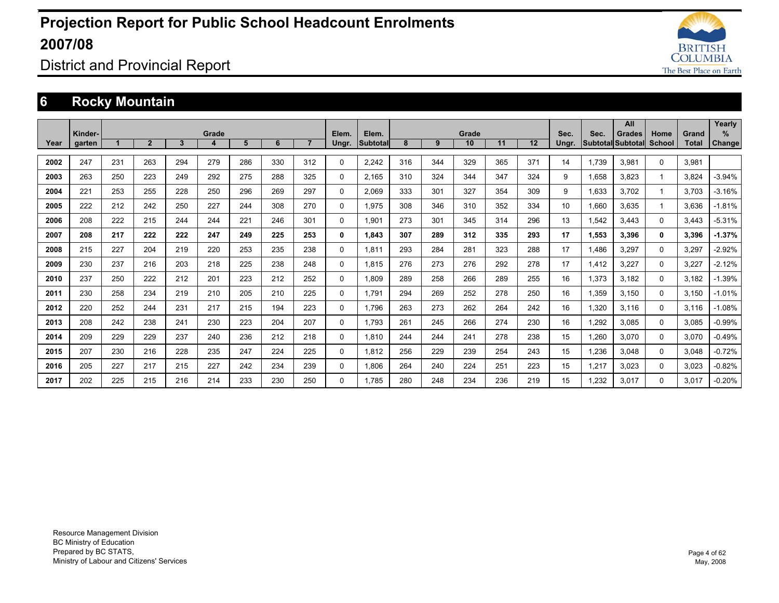

### District and Provincial Report

### **6 Rocky Mountain**

|      |                   |     |                |     |            |     |     |                |                |                   |     |     |             |     |     |               |       | All                                       |                |                       | Yearly      |
|------|-------------------|-----|----------------|-----|------------|-----|-----|----------------|----------------|-------------------|-----|-----|-------------|-----|-----|---------------|-------|-------------------------------------------|----------------|-----------------------|-------------|
| Year | Kinder-<br>garten |     | 2 <sup>1</sup> | 3   | Grade<br>4 | 5   | 6   | $\overline{7}$ | Elem.<br>Ungr. | Elem.<br>Subtotal | 8   | 9   | Grade<br>10 | 11  | 12  | Sec.<br>Ungr. | Sec.  | <b>Grades</b><br><b>Subtotal Subtotal</b> | Home<br>School | Grand<br><b>Total</b> | %<br>Change |
|      |                   |     |                |     |            |     |     |                |                |                   |     |     |             |     |     |               |       |                                           |                |                       |             |
| 2002 | 247               | 231 | 263            | 294 | 279        | 286 | 330 | 312            | $\Omega$       | 2.242             | 316 | 344 | 329         | 365 | 371 | 14            | 1,739 | 3,981                                     | $\Omega$       | 3,981                 |             |
| 2003 | 263               | 250 | 223            | 249 | 292        | 275 | 288 | 325            | 0              | 2.165             | 310 | 324 | 344         | 347 | 324 | 9             | 1.658 | 3.823                                     |                | 3.824                 | $-3.94%$    |
| 2004 | 221               | 253 | 255            | 228 | 250        | 296 | 269 | 297            | 0              | 2.069             | 333 | 301 | 327         | 354 | 309 | 9             | 1.633 | 3.702                                     |                | 3.703                 | $-3.16%$    |
| 2005 | 222               | 212 | 242            | 250 | 227        | 244 | 308 | 270            | 0              | 1.975             | 308 | 346 | 310         | 352 | 334 | 10            | 1.660 | 3.635                                     |                | 3.636                 | $-1.81%$    |
| 2006 | 208               | 222 | 215            | 244 | 244        | 221 | 246 | 301            | 0              | 1.901             | 273 | 301 | 345         | 314 | 296 | 13            | 1,542 | 3.443                                     | 0              | 3.443                 | $-5.31%$    |
| 2007 | 208               | 217 | 222            | 222 | 247        | 249 | 225 | 253            | 0              | 1.843             | 307 | 289 | 312         | 335 | 293 | 17            | 1,553 | 3,396                                     | 0              | 3,396                 | $-1.37%$    |
| 2008 | 215               | 227 | 204            | 219 | 220        | 253 | 235 | 238            | 0              | 1,811             | 293 | 284 | 281         | 323 | 288 | 17            | 1,486 | 3,297                                     | 0              | 3,297                 | $-2.92%$    |
| 2009 | 230               | 237 | 216            | 203 | 218        | 225 | 238 | 248            | 0              | 1.815             | 276 | 273 | 276         | 292 | 278 | 17            | 1,412 | 3,227                                     | $\Omega$       | 3,227                 | $-2.12%$    |
| 2010 | 237               | 250 | 222            | 212 | 201        | 223 | 212 | 252            | $\Omega$       | 1.809             | 289 | 258 | 266         | 289 | 255 | 16            | 1,373 | 3.182                                     | $\Omega$       | 3,182                 | $-1.39%$    |
| 2011 | 230               | 258 | 234            | 219 | 210        | 205 | 210 | 225            | 0              | 1.791             | 294 | 269 | 252         | 278 | 250 | 16            | 1,359 | 3.150                                     | 0              | 3,150                 | $-1.01%$    |
| 2012 | 220               | 252 | 244            | 231 | 217        | 215 | 194 | 223            | 0              | 1.796             | 263 | 273 | 262         | 264 | 242 | 16            | 1,320 | 3.116                                     | 0              | 3.116                 | $-1.08%$    |
| 2013 | 208               | 242 | 238            | 241 | 230        | 223 | 204 | 207            | 0              | 1.793             | 261 | 245 | 266         | 274 | 230 | 16            | 1,292 | 3.085                                     | $\Omega$       | 3,085                 | $-0.99%$    |
| 2014 | 209               | 229 | 229            | 237 | 240        | 236 | 212 | 218            | 0              | 1,810             | 244 | 244 | 241         | 278 | 238 | 15            | 1,260 | 3,070                                     | 0              | 3,070                 | $-0.49%$    |
| 2015 | 207               | 230 | 216            | 228 | 235        | 247 | 224 | 225            | 0              | 1,812             | 256 | 229 | 239         | 254 | 243 | 15            | 1,236 | 3,048                                     | 0              | 3,048                 | $-0.72%$    |
| 2016 | 205               | 227 | 217            | 215 | 227        | 242 | 234 | 239            | 0              | 1,806             | 264 | 240 | 224         | 251 | 223 | 15            | 1,217 | 3.023                                     | 0              | 3,023                 | $-0.82%$    |
| 2017 | 202               | 225 | 215            | 216 | 214        | 233 | 230 | 250            | $\Omega$       | 1.785             | 280 | 248 | 234         | 236 | 219 | 15            | 1,232 | 3.017                                     | $\Omega$       | 3,017                 | $-0.20%$    |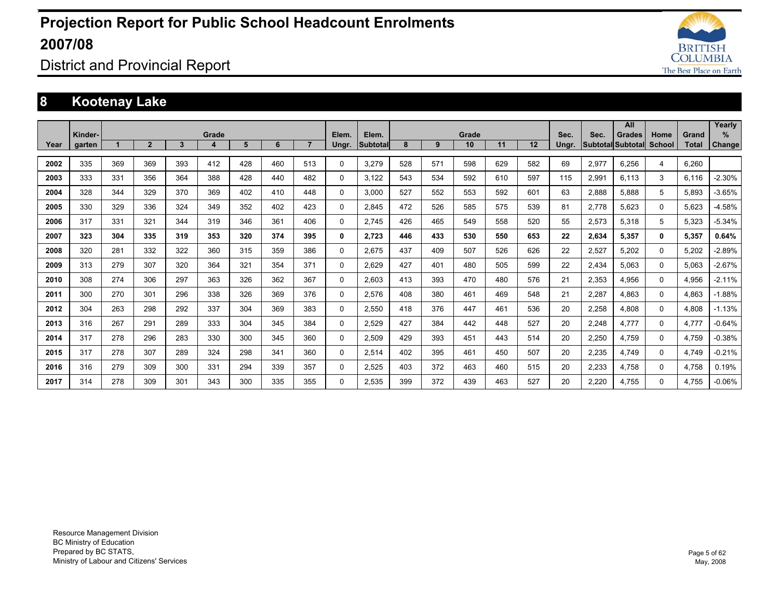

District and Provincial Report

### **8 Kootenay Lake**

|      |                   |     |              |     |            |     |     |                |                |                   |     |     | Grade |     |     |               | Sec.  | All                                | Home |                       | Yearly<br>$\%$ |
|------|-------------------|-----|--------------|-----|------------|-----|-----|----------------|----------------|-------------------|-----|-----|-------|-----|-----|---------------|-------|------------------------------------|------|-----------------------|----------------|
| Year | Kinder-<br>garten |     | $\mathbf{2}$ | 3   | Grade<br>4 | 5   | 6   | $\overline{7}$ | Elem.<br>Ungr. | Elem.<br>Subtotal | 8   | 9   | 10    | 11  | 12  | Sec.<br>Ungr. |       | Grades<br>Subtotal Subtotal School |      | Grand<br><b>Total</b> | Change         |
|      |                   |     |              |     |            |     |     |                |                |                   |     |     |       |     |     |               |       |                                    |      |                       |                |
| 2002 | 335               | 369 | 369          | 393 | 412        | 428 | 460 | 513            | $\Omega$       | 3.279             | 528 | 571 | 598   | 629 | 582 | 69            | 2,977 | 6,256                              | 4    | 6.260                 |                |
| 2003 | 333               | 331 | 356          | 364 | 388        | 428 | 440 | 482            | 0              | 3.122             | 543 | 534 | 592   | 610 | 597 | 115           | 2,991 | 6.113                              | 3    | 6.116                 | $-2.30%$       |
| 2004 | 328               | 344 | 329          | 370 | 369        | 402 | 410 | 448            | 0              | 3.000             | 527 | 552 | 553   | 592 | 601 | 63            | 2.888 | 5.888                              | 5    | 5.893                 | $-3.65%$       |
| 2005 | 330               | 329 | 336          | 324 | 349        | 352 | 402 | 423            | 0              | 2.845             | 472 | 526 | 585   | 575 | 539 | 81            | 2.778 | 5.623                              | 0    | 5.623                 | $-4.58%$       |
| 2006 | 317               | 331 | 321          | 344 | 319        | 346 | 361 | 406            | 0              | 2.745             | 426 | 465 | 549   | 558 | 520 | 55            | 2,573 | 5,318                              | 5    | 5,323                 | $-5.34%$       |
| 2007 | 323               | 304 | 335          | 319 | 353        | 320 | 374 | 395            | 0              | 2,723             | 446 | 433 | 530   | 550 | 653 | 22            | 2,634 | 5,357                              | 0    | 5,357                 | 0.64%          |
| 2008 | 320               | 281 | 332          | 322 | 360        | 315 | 359 | 386            | 0              | 2.675             | 437 | 409 | 507   | 526 | 626 | 22            | 2,527 | 5,202                              | 0    | 5.202                 | $-2.89%$       |
| 2009 | 313               | 279 | 307          | 320 | 364        | 321 | 354 | 371            | $\Omega$       | 2,629             | 427 | 401 | 480   | 505 | 599 | 22            | 2,434 | 5,063                              | 0    | 5,063                 | $-2.67%$       |
| 2010 | 308               | 274 | 306          | 297 | 363        | 326 | 362 | 367            | 0              | 2.603             | 413 | 393 | 470   | 480 | 576 | 21            | 2.353 | 4.956                              | 0    | 4.956                 | $-2.11%$       |
| 2011 | 300               | 270 | 301          | 296 | 338        | 326 | 369 | 376            | 0              | 2,576             | 408 | 380 | 461   | 469 | 548 | 21            | 2,287 | 4,863                              | 0    | 4,863                 | $-1.88%$       |
| 2012 | 304               | 263 | 298          | 292 | 337        | 304 | 369 | 383            | 0              | 2.550             | 418 | 376 | 447   | 461 | 536 | 20            | 2,258 | 4.808                              | 0    | 4.808                 | $-1.13%$       |
| 2013 | 316               | 267 | 291          | 289 | 333        | 304 | 345 | 384            | 0              | 2.529             | 427 | 384 | 442   | 448 | 527 | 20            | 2,248 | 4.777                              | 0    | 4.777                 | $-0.64%$       |
| 2014 | 317               | 278 | 296          | 283 | 330        | 300 | 345 | 360            | 0              | 2.509             | 429 | 393 | 451   | 443 | 514 | 20            | 2,250 | 4.759                              | 0    | 4.759                 | $-0.38%$       |
| 2015 | 317               | 278 | 307          | 289 | 324        | 298 | 341 | 360            | 0              | 2,514             | 402 | 395 | 461   | 450 | 507 | 20            | 2,235 | 4.749                              | 0    | 4.749                 | $-0.21%$       |
| 2016 | 316               | 279 | 309          | 300 | 331        | 294 | 339 | 357            | 0              | 2.525             | 403 | 372 | 463   | 460 | 515 | 20            | 2,233 | 4.758                              | 0    | 4.758                 | 0.19%          |
| 2017 | 314               | 278 | 309          | 301 | 343        | 300 | 335 | 355            | $\Omega$       | 2.535             | 399 | 372 | 439   | 463 | 527 | 20            | 2.220 | 4.755                              | 0    | 4.755                 | $-0.06%$       |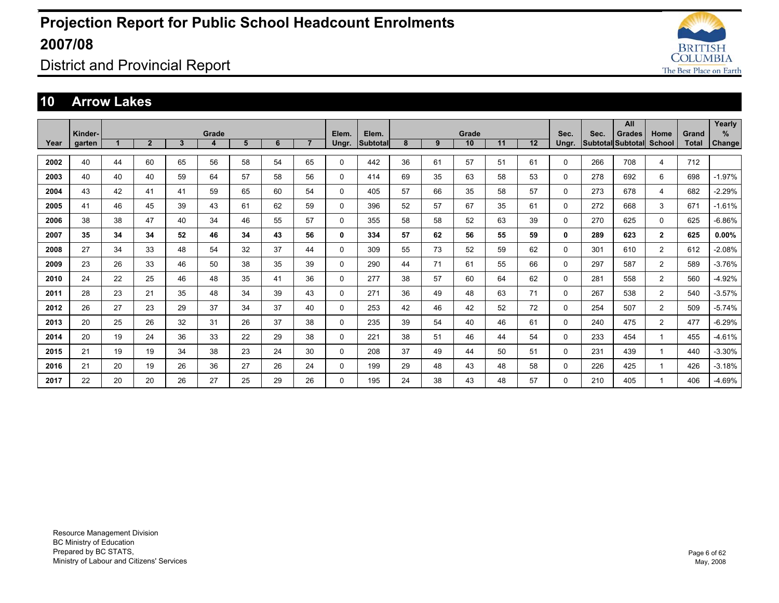

District and Provincial Report

#### **10 Arrow Lakes**

|      |         |    |                |    |       |    |    |                |          |          |    |    |       |    |    |          |      | All                      |                |       | Yearly   |
|------|---------|----|----------------|----|-------|----|----|----------------|----------|----------|----|----|-------|----|----|----------|------|--------------------------|----------------|-------|----------|
|      | Kinder- |    |                |    | Grade |    |    |                | Elem.    | Elem.    |    |    | Grade |    |    | Sec.     | Sec. | <b>Grades</b>            | Home           | Grand | %        |
| Year | garten  |    | $\overline{2}$ | 3  | 4     | 5  | 6  | $\overline{7}$ | Ungr.    | Subtotal | 8  | 9  | 10    | 11 | 12 | Ungr.    |      | <b>Subtotal Subtotal</b> | School         | Total | Change   |
| 2002 | 40      | 44 | 60             | 65 | 56    | 58 | 54 | 65             | 0        | 442      | 36 | 61 | 57    | 51 | 61 | 0        | 266  | 708                      | 4              | 712   |          |
|      |         |    |                |    |       |    |    |                |          |          |    |    |       |    |    |          |      |                          |                |       |          |
| 2003 | 40      | 40 | 40             | 59 | 64    | 57 | 58 | 56             | 0        | 414      | 69 | 35 | 63    | 58 | 53 | 0        | 278  | 692                      | 6              | 698   | $-1.97%$ |
| 2004 | 43      | 42 | 41             | 41 | 59    | 65 | 60 | 54             | 0        | 405      | 57 | 66 | 35    | 58 | 57 | 0        | 273  | 678                      | 4              | 682   | $-2.29%$ |
| 2005 | 41      | 46 | 45             | 39 | 43    | 61 | 62 | 59             | 0        | 396      | 52 | 57 | 67    | 35 | 61 | 0        | 272  | 668                      | 3              | 671   | $-1.61%$ |
| 2006 | 38      | 38 | 47             | 40 | 34    | 46 | 55 | 57             | 0        | 355      | 58 | 58 | 52    | 63 | 39 | 0        | 270  | 625                      | 0              | 625   | $-6.86%$ |
| 2007 | 35      | 34 | 34             | 52 | 46    | 34 | 43 | 56             | 0        | 334      | 57 | 62 | 56    | 55 | 59 | 0        | 289  | 623                      | $\mathbf{2}$   | 625   | $0.00\%$ |
| 2008 | 27      | 34 | 33             | 48 | 54    | 32 | 37 | 44             | 0        | 309      | 55 | 73 | 52    | 59 | 62 | 0        | 301  | 610                      | 2              | 612   | $-2.08%$ |
| 2009 | 23      | 26 | 33             | 46 | 50    | 38 | 35 | 39             | 0        | 290      | 44 | 71 | 61    | 55 | 66 | 0        | 297  | 587                      | $\overline{2}$ | 589   | $-3.76%$ |
| 2010 | 24      | 22 | 25             | 46 | 48    | 35 | 41 | 36             | 0        | 277      | 38 | 57 | 60    | 64 | 62 | 0        | 281  | 558                      | $\overline{2}$ | 560   | $-4.92%$ |
| 2011 | 28      | 23 | 21             | 35 | 48    | 34 | 39 | 43             | 0        | 271      | 36 | 49 | 48    | 63 | 71 | 0        | 267  | 538                      | $\overline{2}$ | 540   | $-3.57%$ |
| 2012 | 26      | 27 | 23             | 29 | 37    | 34 | 37 | 40             | 0        | 253      | 42 | 46 | 42    | 52 | 72 | 0        | 254  | 507                      | $\overline{2}$ | 509   | $-5.74%$ |
| 2013 | 20      | 25 | 26             | 32 | 31    | 26 | 37 | 38             | 0        | 235      | 39 | 54 | 40    | 46 | 61 | 0        | 240  | 475                      | $\overline{2}$ | 477   | $-6.29%$ |
| 2014 | 20      | 19 | 24             | 36 | 33    | 22 | 29 | 38             | 0        | 221      | 38 | 51 | 46    | 44 | 54 | 0        | 233  | 454                      |                | 455   | $-4.61%$ |
| 2015 | 21      | 19 | 19             | 34 | 38    | 23 | 24 | 30             | 0        | 208      | 37 | 49 | 44    | 50 | 51 | $\Omega$ | 231  | 439                      | -1             | 440   | $-3.30%$ |
| 2016 | 21      | 20 | 19             | 26 | 36    | 27 | 26 | 24             | $\Omega$ | 199      | 29 | 48 | 43    | 48 | 58 | $\Omega$ | 226  | 425                      |                | 426   | $-3.18%$ |
| 2017 | 22      | 20 | 20             | 26 | 27    | 25 | 29 | 26             | 0        | 195      | 24 | 38 | 43    | 48 | 57 | 0        | 210  | 405                      |                | 406   | $-4.69%$ |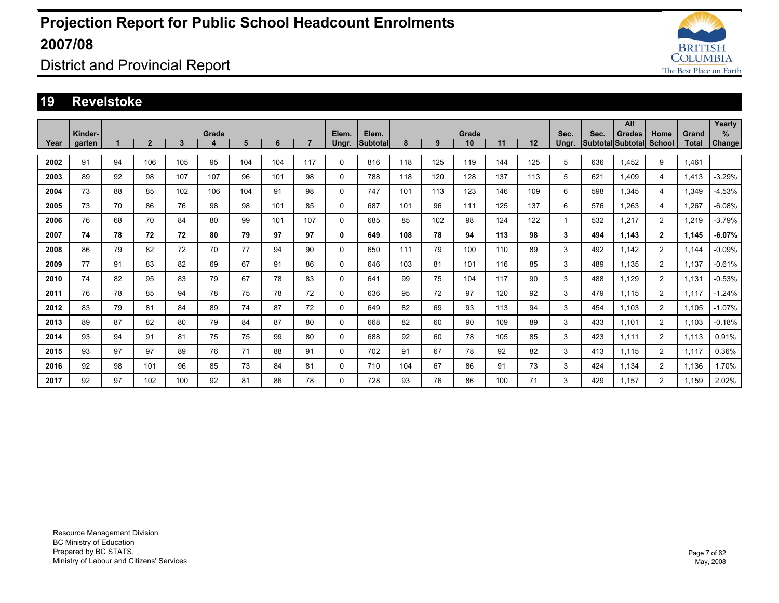

### District and Provincial Report

#### **19 Revelstoke**

|      |         |    |                |     |       |     |     |                |          |                 |     |     |       |     |     |             |      | All                      |                |       | Yearly   |
|------|---------|----|----------------|-----|-------|-----|-----|----------------|----------|-----------------|-----|-----|-------|-----|-----|-------------|------|--------------------------|----------------|-------|----------|
|      | Kinder- |    |                |     | Grade |     |     |                | Elem.    | Elem.           |     |     | Grade |     |     | Sec.        | Sec. | <b>Grades</b>            | Home           | Grand | %        |
| Year | garten  |    | $\overline{2}$ | 3   | 4     | 5   | 6   | $\overline{7}$ | Ungr.    | <b>Subtotal</b> | 8   | 9   | 10    | 11  | 12  | Ungr.       |      | <b>Subtotal Subtotal</b> | <b>School</b>  | Total | Change   |
|      |         |    |                |     |       |     |     |                |          |                 |     |     |       |     |     |             |      |                          |                |       |          |
| 2002 | 91      | 94 | 106            | 105 | 95    | 104 | 104 | 117            | 0        | 816             | 118 | 125 | 119   | 144 | 125 | 5           | 636  | 1.452                    | 9              | 1.461 |          |
| 2003 | 89      | 92 | 98             | 107 | 107   | 96  | 101 | 98             | 0        | 788             | 118 | 120 | 128   | 137 | 113 | 5           | 621  | 1.409                    | 4              | 1,413 | $-3.29%$ |
| 2004 | 73      | 88 | 85             | 102 | 106   | 104 | 91  | 98             | 0        | 747             | 101 | 113 | 123   | 146 | 109 | 6           | 598  | 1,345                    | 4              | 1,349 | $-4.53%$ |
| 2005 | 73      | 70 | 86             | 76  | 98    | 98  | 101 | 85             | 0        | 687             | 101 | 96  | 111   | 125 | 137 | 6           | 576  | 1,263                    | 4              | 1,267 | $-6.08%$ |
| 2006 | 76      | 68 | 70             | 84  | 80    | 99  | 101 | 107            | 0        | 685             | 85  | 102 | 98    | 124 | 122 | $\mathbf 1$ | 532  | 1.217                    | $\overline{2}$ | .219  | $-3.79%$ |
| 2007 | 74      | 78 | 72             | 72  | 80    | 79  | 97  | 97             | 0        | 649             | 108 | 78  | 94    | 113 | 98  | 3           | 494  | 1.143                    | $\overline{2}$ | 1.145 | $-6.07%$ |
| 2008 | 86      | 79 | 82             | 72  | 70    | 77  | 94  | 90             | 0        | 650             | 111 | 79  | 100   | 110 | 89  | 3           | 492  | 1.142                    | 2              | 1.144 | $-0.09%$ |
| 2009 | 77      | 91 | 83             | 82  | 69    | 67  | 91  | 86             | 0        | 646             | 103 | 81  | 101   | 116 | 85  | 3           | 489  | 1.135                    | $\overline{2}$ | 1.137 | $-0.61%$ |
| 2010 | 74      | 82 | 95             | 83  | 79    | 67  | 78  | 83             | 0        | 641             | 99  | 75  | 104   | 117 | 90  | 3           | 488  | 1.129                    | $\overline{2}$ | 1,131 | $-0.53%$ |
| 2011 | 76      | 78 | 85             | 94  | 78    | 75  | 78  | 72             | $\Omega$ | 636             | 95  | 72  | 97    | 120 | 92  | 3           | 479  | 1.115                    | 2              | 1.117 | $-1.24%$ |
| 2012 | 83      | 79 | 81             | 84  | 89    | 74  | 87  | 72             | 0        | 649             | 82  | 69  | 93    | 113 | 94  | 3           | 454  | 1.103                    | $\overline{2}$ | 1.105 | $-1.07%$ |
| 2013 | 89      | 87 | 82             | 80  | 79    | 84  | 87  | 80             | 0        | 668             | 82  | 60  | 90    | 109 | 89  | 3           | 433  | 1.101                    | $\overline{2}$ | 1.103 | $-0.18%$ |
| 2014 | 93      | 94 | 91             | 81  | 75    | 75  | 99  | 80             | 0        | 688             | 92  | 60  | 78    | 105 | 85  | 3           | 423  | 1.111                    | $\overline{2}$ | 1.113 | 0.91%    |
| 2015 | 93      | 97 | 97             | 89  | 76    | 71  | 88  | 91             | 0        | 702             | 91  | 67  | 78    | 92  | 82  | 3           | 413  | 1.115                    | $\overline{2}$ | 1.117 | 0.36%    |
| 2016 | 92      | 98 | 101            | 96  | 85    | 73  | 84  | 81             | 0        | 710             | 104 | 67  | 86    | 91  | 73  | 3           | 424  | 1.134                    | $\overline{2}$ | 1.136 | 1.70%    |
| 2017 | 92      | 97 | 102            | 100 | 92    | 81  | 86  | 78             | $\Omega$ | 728             | 93  | 76  | 86    | 100 | 71  | 3           | 429  | 1.157                    | $\overline{2}$ | 1.159 | 2.02%    |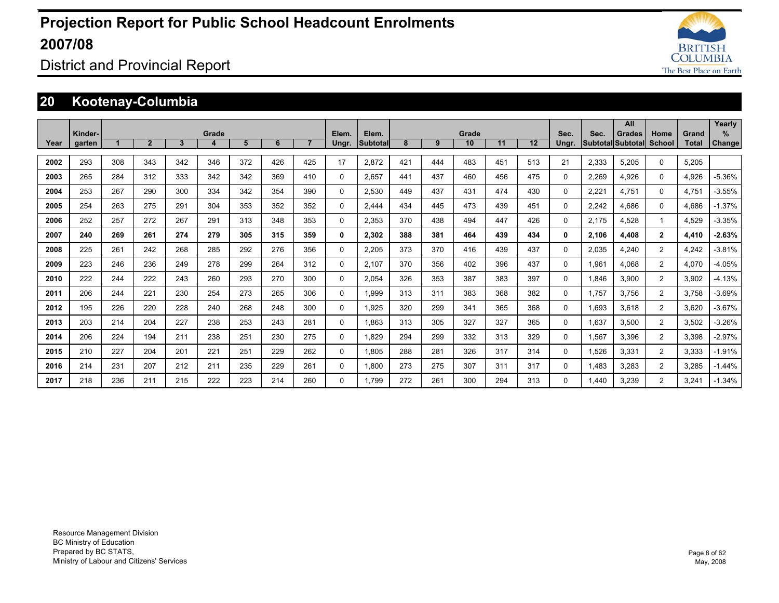

### District and Provincial Report

### **20 Kootenay-Columbia**

|      |         |     |                |              |       |     |     |                |          |                 |     |     |       |     |     |          |       | All                      |                |       | Yearly        |
|------|---------|-----|----------------|--------------|-------|-----|-----|----------------|----------|-----------------|-----|-----|-------|-----|-----|----------|-------|--------------------------|----------------|-------|---------------|
|      | Kinder- |     | $\overline{2}$ |              | Grade |     |     | $\overline{7}$ | Elem.    | Elem.           |     |     | Grade |     |     | Sec.     | Sec.  | <b>Grades</b>            | Home           | Grand | %             |
| Year | garten  |     |                | $\mathbf{3}$ | 4     | 5   | 6   |                | Ungr.    | <b>Subtotal</b> | 8   | 9   | 10    | 11  | 12  | Ungr.    |       | <b>Subtotal Subtotal</b> | School         | Total | <b>Change</b> |
| 2002 | 293     | 308 | 343            | 342          | 346   | 372 | 426 | 425            | 17       | 2.872           | 421 | 444 | 483   | 451 | 513 | 21       | 2,333 | 5,205                    | $\Omega$       | 5,205 |               |
| 2003 | 265     | 284 | 312            | 333          | 342   | 342 | 369 | 410            | 0        | 2.657           | 441 | 437 | 460   | 456 | 475 | 0        | 2,269 | 4.926                    | 0              | 4.926 | $-5.36%$      |
| 2004 | 253     | 267 | 290            | 300          | 334   | 342 | 354 | 390            | 0        | 2,530           | 449 | 437 | 431   | 474 | 430 | 0        | 2,221 | 4.751                    | 0              | 4,751 | $-3.55%$      |
| 2005 | 254     | 263 | 275            | 291          | 304   | 353 | 352 | 352            | $\Omega$ | 2.444           | 434 | 445 | 473   | 439 | 451 | 0        | 2,242 | 4.686                    | $\Omega$       | 4.686 | $-1.37%$      |
| 2006 | 252     | 257 | 272            | 267          | 291   | 313 | 348 | 353            | 0        | 2.353           | 370 | 438 | 494   | 447 | 426 | 0        | 2.175 | 4.528                    |                | 4.529 | $-3.35%$      |
| 2007 | 240     | 269 | 261            | 274          | 279   | 305 | 315 | 359            | 0        | 2.302           | 388 | 381 | 464   | 439 | 434 | 0        | 2.106 | 4,408                    | $\mathbf{2}$   | 4,410 | $-2.63%$      |
| 2008 | 225     | 261 | 242            | 268          | 285   | 292 | 276 | 356            | 0        | 2.205           | 373 | 370 | 416   | 439 | 437 | 0        | 2,035 | 4.240                    | $\overline{2}$ | 4,242 | $-3.81%$      |
| 2009 | 223     | 246 | 236            | 249          | 278   | 299 | 264 | 312            | 0        | 2.107           | 370 | 356 | 402   | 396 | 437 | 0        | 1,961 | 4.068                    | $\overline{2}$ | 4.070 | $-4.05%$      |
| 2010 | 222     | 244 | 222            | 243          | 260   | 293 | 270 | 300            | $\Omega$ | 2.054           | 326 | 353 | 387   | 383 | 397 | $\Omega$ | 1.846 | 3,900                    | $\overline{2}$ | 3,902 | $-4.13%$      |
| 2011 | 206     | 244 | 221            | 230          | 254   | 273 | 265 | 306            | 0        | 1.999           | 313 | 311 | 383   | 368 | 382 | 0        | 1.757 | 3.756                    | $\overline{2}$ | 3.758 | $-3.69%$      |
| 2012 | 195     | 226 | 220            | 228          | 240   | 268 | 248 | 300            | 0        | 1,925           | 320 | 299 | 341   | 365 | 368 | 0        | 1,693 | 3,618                    | $\overline{2}$ | 3,620 | $-3.67%$      |
| 2013 | 203     | 214 | 204            | 227          | 238   | 253 | 243 | 281            | 0        | 1.863           | 313 | 305 | 327   | 327 | 365 | 0        | 1,637 | 3,500                    | $\overline{2}$ | 3,502 | $-3.26%$      |
| 2014 | 206     | 224 | 194            | 211          | 238   | 251 | 230 | 275            | 0        | 1.829           | 294 | 299 | 332   | 313 | 329 | 0        | 1,567 | 3,396                    | $\overline{2}$ | 3,398 | $-2.97%$      |
| 2015 | 210     | 227 | 204            | 201          | 221   | 251 | 229 | 262            | 0        | 1.805           | 288 | 281 | 326   | 317 | 314 | 0        | 1,526 | 3,331                    | $\overline{2}$ | 3,333 | $-1.91%$      |
| 2016 | 214     | 231 | 207            | 212          | 211   | 235 | 229 | 261            | $\Omega$ | 1,800           | 273 | 275 | 307   | 311 | 317 | 0        | 1,483 | 3,283                    | $\overline{2}$ | 3,285 | $-1.44%$      |
| 2017 | 218     | 236 | 211            | 215          | 222   | 223 | 214 | 260            | $\Omega$ | 1.799           | 272 | 261 | 300   | 294 | 313 | $\Omega$ | .440  | 3.239                    | 2              | 3.241 | $-1.34%$      |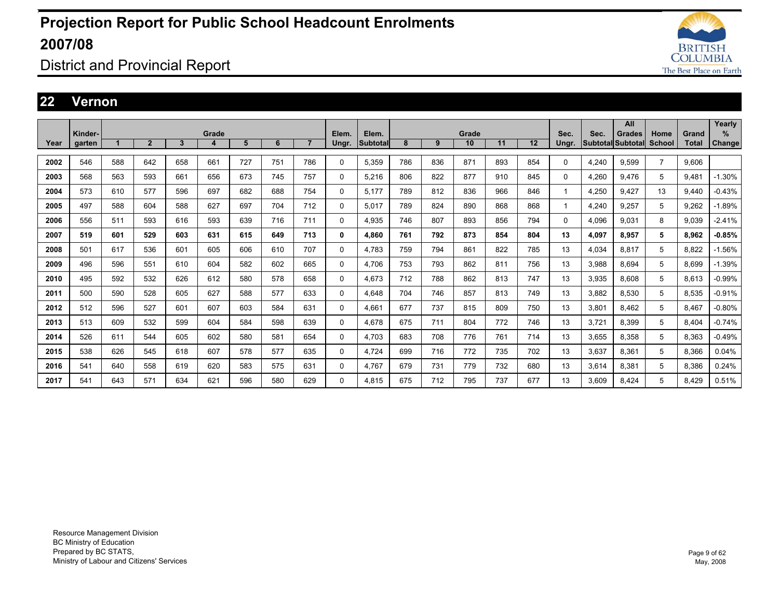

District and Provincial Report

#### **22 Vernon**

|      |         |     |                |     |       |     |     |                |       |          |     |     |       |     |     |       |       | All               |                |              | Yearly   |
|------|---------|-----|----------------|-----|-------|-----|-----|----------------|-------|----------|-----|-----|-------|-----|-----|-------|-------|-------------------|----------------|--------------|----------|
|      | Kinder- |     |                |     | Grade |     |     |                | Elem. | Elem.    |     |     | Grade |     |     | Sec.  | Sec.  | Grades            | Home           | Grand        | ℅        |
| Year | garten  |     | $\overline{2}$ | 3   | 4     | 5   | 6   | $\overline{7}$ | Ungr. | Subtotal | 8   | 9   | 10    | 11  | 12  | Ungr. |       | Subtotal Subtotal | School         | <b>Total</b> | Change   |
|      |         |     |                |     |       |     |     |                |       |          |     |     |       |     |     |       |       |                   |                |              |          |
| 2002 | 546     | 588 | 642            | 658 | 661   | 727 | 751 | 786            | 0     | 5,359    | 786 | 836 | 871   | 893 | 854 | 0     | 4,240 | 9,599             | $\overline{7}$ | 9,606        |          |
| 2003 | 568     | 563 | 593            | 661 | 656   | 673 | 745 | 757            | 0     | 5,216    | 806 | 822 | 877   | 910 | 845 | 0     | 4,260 | 9,476             | 5              | 9,481        | $-1.30%$ |
| 2004 | 573     | 610 | 577            | 596 | 697   | 682 | 688 | 754            | 0     | 5,177    | 789 | 812 | 836   | 966 | 846 |       | 4,250 | 9,427             | 13             | 9,440        | $-0.43%$ |
| 2005 | 497     | 588 | 604            | 588 | 627   | 697 | 704 | 712            | 0     | 5.017    | 789 | 824 | 890   | 868 | 868 |       | 4,240 | 9,257             | 5              | 9,262        | $-1.89%$ |
| 2006 | 556     | 511 | 593            | 616 | 593   | 639 | 716 | 711            | 0     | 4,935    | 746 | 807 | 893   | 856 | 794 | 0     | 4,096 | 9,031             | 8              | 9,039        | $-2.41%$ |
| 2007 | 519     | 601 | 529            | 603 | 631   | 615 | 649 | 713            | 0     | 4.860    | 761 | 792 | 873   | 854 | 804 | 13    | 4,097 | 8,957             | 5              | 8,962        | $-0.85%$ |
| 2008 | 501     | 617 | 536            | 601 | 605   | 606 | 610 | 707            | 0     | 4.783    | 759 | 794 | 861   | 822 | 785 | 13    | 4.034 | 8.817             | 5              | 8.822        | $-1.56%$ |
| 2009 | 496     | 596 | 551            | 610 | 604   | 582 | 602 | 665            | 0     | 4,706    | 753 | 793 | 862   | 811 | 756 | 13    | 3,988 | 8,694             | 5              | 8,699        | $-1.39%$ |
| 2010 | 495     | 592 | 532            | 626 | 612   | 580 | 578 | 658            | 0     | 4.673    | 712 | 788 | 862   | 813 | 747 | 13    | 3,935 | 8.608             | 5              | 8,613        | $-0.99%$ |
| 2011 | 500     | 590 | 528            | 605 | 627   | 588 | 577 | 633            | 0     | 4.648    | 704 | 746 | 857   | 813 | 749 | 13    | 3.882 | 8.530             | 5              | 8.535        | $-0.91%$ |
| 2012 | 512     | 596 | 527            | 601 | 607   | 603 | 584 | 631            | 0     | 4,661    | 677 | 737 | 815   | 809 | 750 | 13    | 3,801 | 8,462             | 5              | 8,467        | $-0.80%$ |
| 2013 | 513     | 609 | 532            | 599 | 604   | 584 | 598 | 639            | 0     | 4,678    | 675 | 711 | 804   | 772 | 746 | 13    | 3,721 | 8,399             | 5              | 8,404        | $-0.74%$ |
| 2014 | 526     | 611 | 544            | 605 | 602   | 580 | 581 | 654            | 0     | 4.703    | 683 | 708 | 776   | 761 | 714 | 13    | 3,655 | 8.358             | 5              | 8.363        | $-0.49%$ |
| 2015 | 538     | 626 | 545            | 618 | 607   | 578 | 577 | 635            | 0     | 4,724    | 699 | 716 | 772   | 735 | 702 | 13    | 3,637 | 8,361             | 5              | 8,366        | 0.04%    |
| 2016 | 541     | 640 | 558            | 619 | 620   | 583 | 575 | 631            | 0     | 4,767    | 679 | 731 | 779   | 732 | 680 | 13    | 3,614 | 8,381             | 5              | 8,386        | 0.24%    |
| 2017 | 541     | 643 | 571            | 634 | 621   | 596 | 580 | 629            | 0     | 4.815    | 675 | 712 | 795   | 737 | 677 | 13    | 3.609 | 8.424             | 5              | 8.429        | 0.51%    |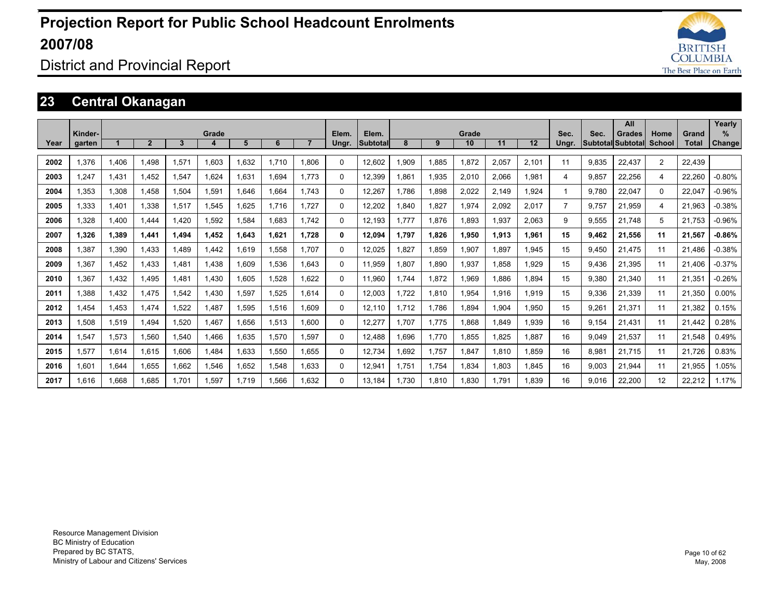

District and Provincial Report

### **23 Central Okanagan**

|      |         |       |                |       |       |             |       |       |          |                  |       |       |       |       |       |                |       | All                |               |              | Yearly        |
|------|---------|-------|----------------|-------|-------|-------------|-------|-------|----------|------------------|-------|-------|-------|-------|-------|----------------|-------|--------------------|---------------|--------------|---------------|
|      | Kinder- |       |                |       | Grade |             |       |       | Elem.    | Elem.            |       |       | Grade |       |       | Sec.           | Sec.  | <b>Grades</b>      | Home          | Grand        | ℅             |
| Year | garten  |       | $\overline{2}$ | 3     |       | 5           | 6     |       | Ungr.    | <b>Subtotall</b> | 8     | 9     | 10    | 11    | 12    | Ungr.          |       | Subtotal  Subtotal | <b>School</b> | <b>Total</b> | <b>Change</b> |
| 2002 | 1.376   | 1.406 | 1.498          | 1.571 | 1.603 | 1.632       | 1.710 | 1.806 | $\Omega$ | 12.602           | 1.909 | 1,885 | 1.872 | 2.057 | 2.101 | 11             | 9.835 | 22.437             | 2             | 22.439       |               |
| 2003 | 1.247   | 1,431 | 1.452          | 1,547 | 1.624 | 1,631       | 1.694 | 1.773 | $\Omega$ | 12,399           | 1,861 | 1,935 | 2,010 | 2.066 | 1,981 | 4              | 9,857 | 22,256             | 4             | 22,260       | $-0.80%$      |
| 2004 | 1,353   | 1,308 | 1.458          | 1,504 | 1,591 | 1,646       | 1.664 | 1.743 | $\Omega$ | 12,267           | 1.786 | 1,898 | 2,022 | 2.149 | 1.924 | 1              | 9.780 | 22.047             | $\Omega$      | 22.047       | $-0.96%$      |
| 2005 | 1.333   | 1.401 | 1.338          | 1,517 | 1,545 | 1.625       | 1,716 | 1.727 | 0        | 12.202           | .840  | 1.827 | 1.974 | 2.092 | 2.017 | $\overline{7}$ | 9.757 | 21.959             | 4             | 21.963       | $-0.38%$      |
| 2006 | 1,328   | 1,400 | 1.444          | 1.420 | .592  | 1,584       | 1.683 | 1.742 | $\Omega$ | 12.193           | 1.777 | 1,876 | 1,893 | 1,937 | 2,063 | 9              | 9,555 | 21,748             | 5             | 21,753       | $-0.96%$      |
| 2007 | 1.326   | 1.389 | 1.441          | 1.494 | 1.452 | 1.643       | 1.621 | 1.728 | 0        | 12.094           | 1.797 | 1.826 | 1.950 | 1.913 | 1.961 | 15             | 9.462 | 21.556             | 11            | 21.567       | $-0.86%$      |
| 2008 | 1,387   | 1,390 | 1.433          | 1.489 | 1.442 | 1,619       | 1.558 | 1.707 | $\Omega$ | 12,025           | 1,827 | 1,859 | 1,907 | 1.897 | 1,945 | 15             | 9.450 | 21.475             | 11            | 21.486       | $-0.38%$      |
| 2009 | 1,367   | 1,452 | 1,433          | 1.481 | 1.438 | <b>009.</b> | 1,536 | 1.643 | 0        | 11,959           | .807  | 1,890 | 1,937 | 1,858 | 1,929 | 15             | 9,436 | 21,395             | 11            | 21,406       | $-0.37%$      |
| 2010 | 1.367   | 1.432 | 1.495          | 1.481 | 1.430 | 1.605       | 1.528 | 1.622 | 0        | 11.960           | 1,744 | 1.872 | 1.969 | 1.886 | 1.894 | 15             | 9.380 | 21.340             | 11            | 21.351       | $-0.26%$      |
| 2011 | 1.388   | 1,432 | 1.475          | 1,542 | 1.430 | 1,597       | 1,525 | 1.614 | $\Omega$ | 12,003           | 1,722 | 1,810 | 1,954 | 1,916 | 1,919 | 15             | 9,336 | 21,339             | 11            | 21,350       | $0.00\%$      |
| 2012 | 1.454   | 1.453 | 1.474          | .522  | .487  | 1.595       | 1.516 | 1.609 | $\Omega$ | 12.110           | 1.712 | 1.786 | 1.894 | 1.904 | 1.950 | 15             | 9.261 | 21.371             | 11            | 21.382       | 0.15%         |
| 2013 | 1.508   | 1,519 | 1.494          | .520  | 1.467 | 1.656       | 1.513 | 1.600 | 0        | 12.277           | 1.707 | 1.775 | 1.868 | 1.849 | 1.939 | 16             | 9.154 | 21,431             | 11            | 21,442       | 0.28%         |
| 2014 | 1,547   | 1,573 | 1,560          | 1,540 | 1.466 | 1,635       | 1,570 | 1.597 | 0        | 12,488           | 1,696 | 1,770 | 1,855 | 1,825 | 1,887 | 16             | 9,049 | 21,537             | 11            | 21,548       | 0.49%         |
| 2015 | 1.577   | 1,614 | 1.615          | 1.606 | .484  | 1.633       | 1.550 | 1.655 | 0        | 12.734           | 1.692 | 1.757 | 1.847 | 1.810 | 1.859 | 16             | 8.981 | 21.715             | 11            | 21.726       | 0.83%         |
| 2016 | 1.601   | 1,644 | 1.655          | 1.662 | 1,546 | 1,652       | 1.548 | .633  | 0        | 12,941           | 1.751 | 1.754 | 1.834 | 1.803 | 1.845 | 16             | 9,003 | 21,944             | 11            | 21,955       | 1.05%         |
| 2017 | 1,616   | 1.668 | 1.685          | 1.701 | .597  | 1.719       | .566  | .632  | 0        | 13.184           | 1.730 | 1.810 | 1.830 | 1.791 | 1.839 | 16             | 9.016 | 22.200             | 12            | 22.212       | 1.17%         |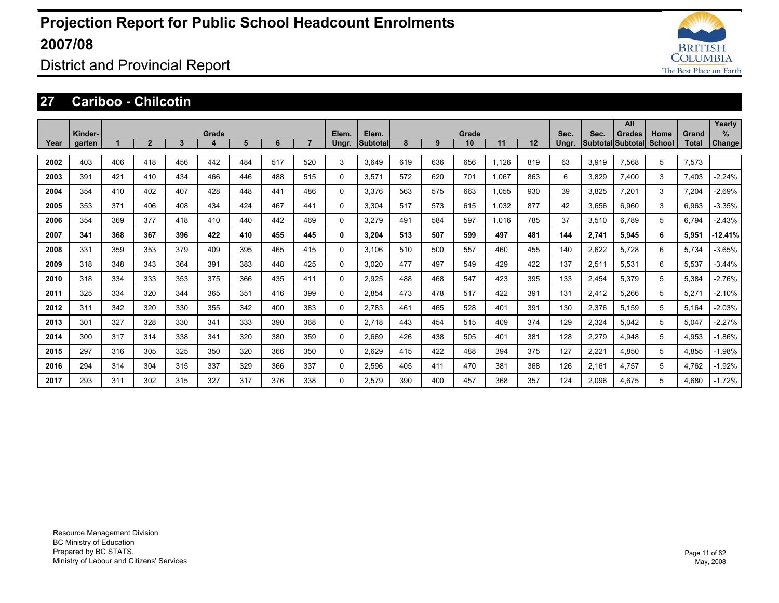

District and Provincial Report

#### **27 Cariboo - Chilcotin**

|      | Kinder- |     |                |     | Grade |     |     |                | Elem. | Elem.           |     |     | Grade |       |     | Sec.  | Sec.  | All<br><b>Grades</b>     | Home          | Grand | Yearly<br>% |
|------|---------|-----|----------------|-----|-------|-----|-----|----------------|-------|-----------------|-----|-----|-------|-------|-----|-------|-------|--------------------------|---------------|-------|-------------|
| Year | garten  |     | $\overline{2}$ | 3   | 4     | 5   | 6   | $\overline{7}$ | Ungr. | <b>Subtotal</b> | 8   | 9   | 10    | 11    | 12  | Ungr. |       | <b>Subtotal Subtotal</b> | <b>School</b> | Total | Change      |
| 2002 | 403     | 406 | 418            | 456 | 442   | 484 | 517 | 520            | 3     | 3.649           | 619 | 636 | 656   | 1.126 | 819 | 63    | 3.919 | 7.568                    | 5             | 7.573 |             |
| 2003 | 391     | 421 | 410            | 434 | 466   | 446 | 488 | 515            | 0     | 3.571           | 572 | 620 | 701   | 1.067 | 863 | 6     | 3.829 | 7,400                    | 3             | 7.403 | $-2.24%$    |
| 2004 | 354     | 410 | 402            | 407 | 428   | 448 | 441 | 486            | 0     | 3.376           | 563 | 575 | 663   | 1.055 | 930 | 39    | 3,825 | 7,201                    | 3             | 7,204 | $-2.69%$    |
| 2005 | 353     | 371 | 406            | 408 | 434   | 424 | 467 | 441            | 0     | 3.304           | 517 | 573 | 615   | 1,032 | 877 | 42    | 3,656 | 6.960                    | 3             | 6,963 | $-3.35%$    |
| 2006 | 354     | 369 | 377            | 418 | 410   | 440 | 442 | 469            | 0     | 3.279           | 491 | 584 | 597   | 1.016 | 785 | 37    | 3,510 | 6.789                    | 5             | 6.794 | $-2.43%$    |
| 2007 | 341     | 368 | 367            | 396 | 422   | 410 | 455 | 445            | 0     | 3.204           | 513 | 507 | 599   | 497   | 481 | 144   | 2,741 | 5.945                    | 6             | 5.951 | $-12.41%$   |
| 2008 | 331     | 359 | 353            | 379 | 409   | 395 | 465 | 415            | 0     | 3.106           | 510 | 500 | 557   | 460   | 455 | 140   | 2,622 | 5,728                    | 6             | 5,734 | $-3.65%$    |
| 2009 | 318     | 348 | 343            | 364 | 391   | 383 | 448 | 425            | 0     | 3.020           | 477 | 497 | 549   | 429   | 422 | 137   | 2,511 | 5.531                    | 6             | 5,537 | $-3.44%$    |
| 2010 | 318     | 334 | 333            | 353 | 375   | 366 | 435 | 411            | 0     | 2,925           | 488 | 468 | 547   | 423   | 395 | 133   | 2,454 | 5,379                    | 5             | 5,384 | $-2.76%$    |
| 2011 | 325     | 334 | 320            | 344 | 365   | 351 | 416 | 399            | 0     | 2.854           | 473 | 478 | 517   | 422   | 391 | 131   | 2,412 | 5.266                    | 5             | 5,271 | $-2.10%$    |
| 2012 | 311     | 342 | 320            | 330 | 355   | 342 | 400 | 383            | 0     | 2.783           | 461 | 465 | 528   | 401   | 391 | 130   | 2,376 | 5.159                    | 5             | 5,164 | $-2.03%$    |
| 2013 | 301     | 327 | 328            | 330 | 341   | 333 | 390 | 368            | 0     | 2,718           | 443 | 454 | 515   | 409   | 374 | 129   | 2,324 | 5.042                    | 5             | 5,047 | $-2.27%$    |
| 2014 | 300     | 317 | 314            | 338 | 341   | 320 | 380 | 359            | 0     | 2,669           | 426 | 438 | 505   | 401   | 381 | 128   | 2,279 | 4,948                    | 5             | 4,953 | $-1.86%$    |
| 2015 | 297     | 316 | 305            | 325 | 350   | 320 | 366 | 350            | 0     | 2,629           | 415 | 422 | 488   | 394   | 375 | 127   | 2,221 | 4,850                    | 5             | 4,855 | $-1.98%$    |
| 2016 | 294     | 314 | 304            | 315 | 337   | 329 | 366 | 337            | 0     | 2,596           | 405 | 411 | 470   | 381   | 368 | 126   | 2,161 | 4,757                    | 5             | 4,762 | $-1.92%$    |
| 2017 | 293     | 311 | 302            | 315 | 327   | 317 | 376 | 338            | 0     | 2.579           | 390 | 400 | 457   | 368   | 357 | 124   | 2,096 | 4.675                    | 5             | 4.680 | $-1.72%$    |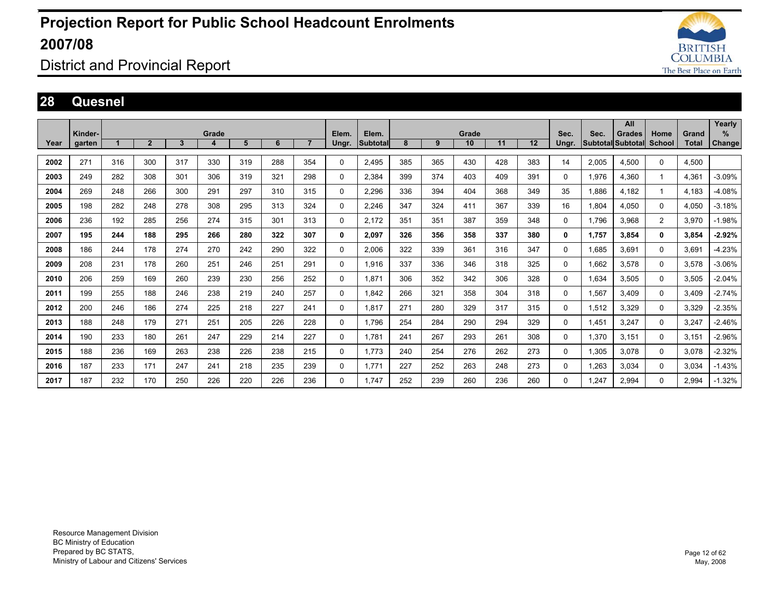

District and Provincial Report

#### **28 Quesnel**

|      |         |     |                |     |       |     |     |                |              |          |     |     |       |     |     |          |       | All                      |                |       | Yearly        |
|------|---------|-----|----------------|-----|-------|-----|-----|----------------|--------------|----------|-----|-----|-------|-----|-----|----------|-------|--------------------------|----------------|-------|---------------|
|      | Kinder- |     |                |     | Grade |     |     |                | Elem.        | Elem.    |     |     | Grade |     |     | Sec.     | Sec.  | <b>Grades</b>            | Home           | Grand | %             |
| Year | garten  |     | $\overline{2}$ | 3   | 4     | 5   | 6   | $\overline{7}$ | Ungr.        | Subtotal | 8   | 9   | 10    | 11  | 12  | Ungr.    |       | <b>Subtotal Subtotal</b> | School         | Total | <b>Change</b> |
| 2002 | 271     | 316 | 300            | 317 | 330   | 319 | 288 | 354            | $\Omega$     | 2,495    | 385 | 365 | 430   | 428 | 383 | 14       | 2,005 | 4,500                    | $\Omega$       | 4,500 |               |
| 2003 | 249     | 282 | 308            | 301 | 306   | 319 | 321 | 298            | 0            | 2,384    | 399 | 374 | 403   | 409 | 391 | 0        | 1,976 | 4,360                    |                | 4,361 | $-3.09%$      |
| 2004 | 269     | 248 | 266            | 300 | 291   | 297 | 310 | 315            | 0            | 2,296    | 336 | 394 | 404   | 368 | 349 | 35       | 1,886 | 4.182                    |                | 4.183 | $-4.08%$      |
| 2005 | 198     | 282 | 248            | 278 | 308   | 295 | 313 | 324            | 0            | 2,246    | 347 | 324 | 411   | 367 | 339 | 16       | 1.804 | 4.050                    | $\Omega$       | 4.050 | $-3.18%$      |
| 2006 | 236     | 192 | 285            | 256 | 274   | 315 | 301 | 313            | $\Omega$     | 2,172    | 351 | 351 | 387   | 359 | 348 | 0        | 1,796 | 3,968                    | $\overline{2}$ | 3.970 | $-1.98%$      |
| 2007 | 195     | 244 | 188            | 295 | 266   | 280 | 322 | 307            | 0            | 2,097    | 326 | 356 | 358   | 337 | 380 | 0        | 1,757 | 3,854                    | 0              | 3,854 | $-2.92%$      |
| 2008 | 186     | 244 | 178            | 274 | 270   | 242 | 290 | 322            | $\mathbf 0$  | 2.006    | 322 | 339 | 361   | 316 | 347 | 0        | 1.685 | 3.691                    | $\Omega$       | 3.691 | $-4.23%$      |
| 2009 | 208     | 231 | 178            | 260 | 251   | 246 | 251 | 291            | $\Omega$     | 1.916    | 337 | 336 | 346   | 318 | 325 | 0        | 1.662 | 3.578                    | $\Omega$       | 3.578 | $-3.06%$      |
| 2010 | 206     | 259 | 169            | 260 | 239   | 230 | 256 | 252            | $\Omega$     | 1.871    | 306 | 352 | 342   | 306 | 328 | 0        | 1.634 | 3.505                    | $\Omega$       | 3.505 | $-2.04%$      |
| 2011 | 199     | 255 | 188            | 246 | 238   | 219 | 240 | 257            | 0            | 1,842    | 266 | 321 | 358   | 304 | 318 | 0        | 1,567 | 3.409                    | 0              | 3.409 | $-2.74%$      |
| 2012 | 200     | 246 | 186            | 274 | 225   | 218 | 227 | 241            | 0            | 1.817    | 271 | 280 | 329   | 317 | 315 | 0        | 1,512 | 3.329                    | 0              | 3.329 | $-2.35%$      |
| 2013 | 188     | 248 | 179            | 271 | 251   | 205 | 226 | 228            | 0            | 1.796    | 254 | 284 | 290   | 294 | 329 | 0        | 1,451 | 3.247                    | 0              | 3,247 | $-2.46%$      |
| 2014 | 190     | 233 | 180            | 261 | 247   | 229 | 214 | 227            | $\Omega$     | 1.781    | 241 | 267 | 293   | 261 | 308 | 0        | 1,370 | 3.151                    | $\Omega$       | 3,151 | $-2.96%$      |
| 2015 | 188     | 236 | 169            | 263 | 238   | 226 | 238 | 215            | $\Omega$     | 1.773    | 240 | 254 | 276   | 262 | 273 | $\Omega$ | 1,305 | 3.078                    | $\Omega$       | 3,078 | $-2.32%$      |
| 2016 | 187     | 233 | 171            | 247 | 241   | 218 | 235 | 239            | $\mathbf{0}$ | 1.771    | 227 | 252 | 263   | 248 | 273 | $\Omega$ | 1,263 | 3.034                    | $\Omega$       | 3,034 | $-1.43%$      |
| 2017 | 187     | 232 | 170            | 250 | 226   | 220 | 226 | 236            | $\Omega$     | 1.747    | 252 | 239 | 260   | 236 | 260 | 0        | .247  | 2.994                    | 0              | 2.994 | $-1.32%$      |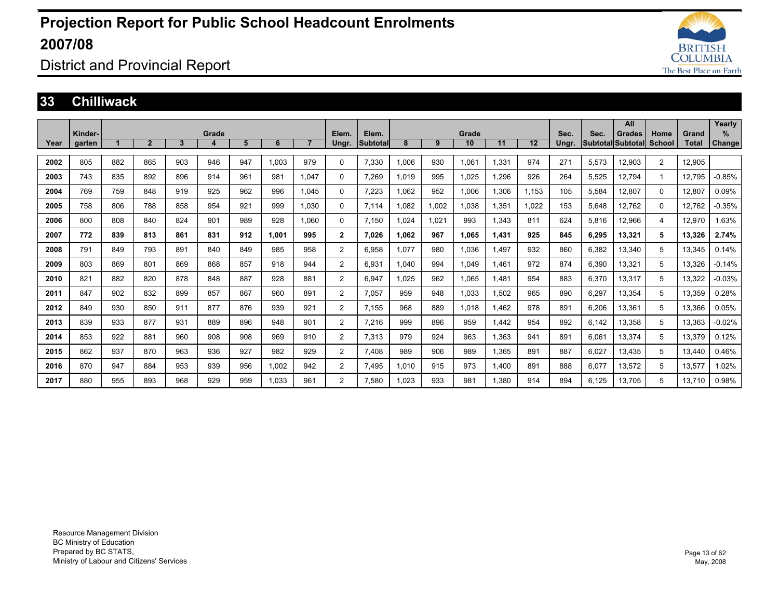

### District and Provincial Report

#### **33 Chilliwack**

|      |         |     |                |              |       |     |       |                |                |          |       |       |       |       |       |       |       | All               |                |              | Yearly        |
|------|---------|-----|----------------|--------------|-------|-----|-------|----------------|----------------|----------|-------|-------|-------|-------|-------|-------|-------|-------------------|----------------|--------------|---------------|
|      | Kinder- |     |                |              | Grade |     |       |                | Elem.          | Elem.    |       |       | Grade |       |       | Sec.  | Sec.  | Grades            | Home           | Grand        | %             |
| Year | garten  |     | $\overline{2}$ | $\mathbf{3}$ | 4     | 5   | 6     | $\overline{7}$ | Ungr.          | Subtotal | 8     | 9     | 10    | 11    | 12    | Ungr. |       | Subtotal Subtotal | School         | <b>Total</b> | <b>Change</b> |
| 2002 | 805     | 882 | 865            | 903          | 946   | 947 | 1.003 | 979            | 0              | 7,330    | 1,006 | 930   | 1,061 | 1,331 | 974   | 271   | 5,573 | 12,903            | $\overline{2}$ | 12,905       |               |
| 2003 | 743     | 835 | 892            | 896          | 914   | 961 | 981   | 1.047          | 0              | 7.269    | 1.019 | 995   | 1.025 | .296  | 926   | 264   | 5.525 | 12,794            | 1              | 12.795       | $-0.85%$      |
| 2004 | 769     | 759 | 848            | 919          | 925   | 962 | 996   | 1,045          | 0              | 7,223    | 1,062 | 952   | 1,006 | 1,306 | 1.153 | 105   | 5,584 | 12,807            | $\Omega$       | 12,807       | 0.09%         |
| 2005 | 758     | 806 | 788            | 858          | 954   | 921 | 999   | 1.030          | 0              | 7,114    | 1.082 | 1,002 | 1,038 | 1,351 | 1.022 | 153   | 5,648 | 12,762            | $\Omega$       | 12.762       | $-0.35%$      |
| 2006 | 800     | 808 | 840            | 824          | 901   | 989 | 928   | 1.060          | 0              | 7.150    | 1.024 | 1.021 | 993   | 1.343 | 811   | 624   | 5.816 | 12,966            | 4              | 12.970       | 1.63%         |
| 2007 | 772     | 839 | 813            | 861          | 831   | 912 | 1.001 | 995            | $\mathbf{2}$   | 7,026    | 1.062 | 967   | 1,065 | 1,431 | 925   | 845   | 6,295 | 13,321            | 5              | 13,326       | 2.74%         |
| 2008 | 791     | 849 | 793            | 891          | 840   | 849 | 985   | 958            | $\overline{2}$ | 6.958    | 1.077 | 980   | 1,036 | 1.497 | 932   | 860   | 6,382 | 13,340            | 5              | 13.345       | 0.14%         |
| 2009 | 803     | 869 | 801            | 869          | 868   | 857 | 918   | 944            | $\overline{2}$ | 6.931    | 1.040 | 994   | 1.049 | .461  | 972   | 874   | 6,390 | 13,321            | 5              | 13.326       | $-0.14%$      |
| 2010 | 821     | 882 | 820            | 878          | 848   | 887 | 928   | 881            | $\overline{2}$ | 6.947    | 1.025 | 962   | 1.065 | .481  | 954   | 883   | 6,370 | 13,317            | 5              | 13.322       | $-0.03%$      |
| 2011 | 847     | 902 | 832            | 899          | 857   | 867 | 960   | 891            | 2              | 7.057    | 959   | 948   | 1,033 | .502  | 965   | 890   | 6,297 | 13,354            | 5              | 13,359       | 0.28%         |
| 2012 | 849     | 930 | 850            | 911          | 877   | 876 | 939   | 921            | $\overline{2}$ | 7,155    | 968   | 889   | 1.018 | .462  | 978   | 891   | 6,206 | 13,361            | 5              | 13,366       | 0.05%         |
| 2013 | 839     | 933 | 877            | 931          | 889   | 896 | 948   | 901            | $\overline{2}$ | 7.216    | 999   | 896   | 959   | .442  | 954   | 892   | 6,142 | 13,358            | 5              | 13.363       | $-0.02%$      |
| 2014 | 853     | 922 | 881            | 960          | 908   | 908 | 969   | 910            | $\overline{2}$ | 7.313    | 979   | 924   | 963   | .363  | 941   | 891   | 6,061 | 13,374            | 5              | 13,379       | 0.12%         |
| 2015 | 862     | 937 | 870            | 963          | 936   | 927 | 982   | 929            | 2              | 7.408    | 989   | 906   | 989   | .365  | 891   | 887   | 6,027 | 13,435            | 5              | 13,440       | 0.46%         |
| 2016 | 870     | 947 | 884            | 953          | 939   | 956 | 1,002 | 942            | 2              | 7.495    | 1.010 | 915   | 973   | 1.400 | 891   | 888   | 6,077 | 13,572            | 5              | 13,577       | 1.02%         |
| 2017 | 880     | 955 | 893            | 968          | 929   | 959 | 1.033 | 961            | 2              | 7,580    | 1.023 | 933   | 981   | .380  | 914   | 894   | 6.125 | 13.705            | 5              | 13.710       | 0.98%         |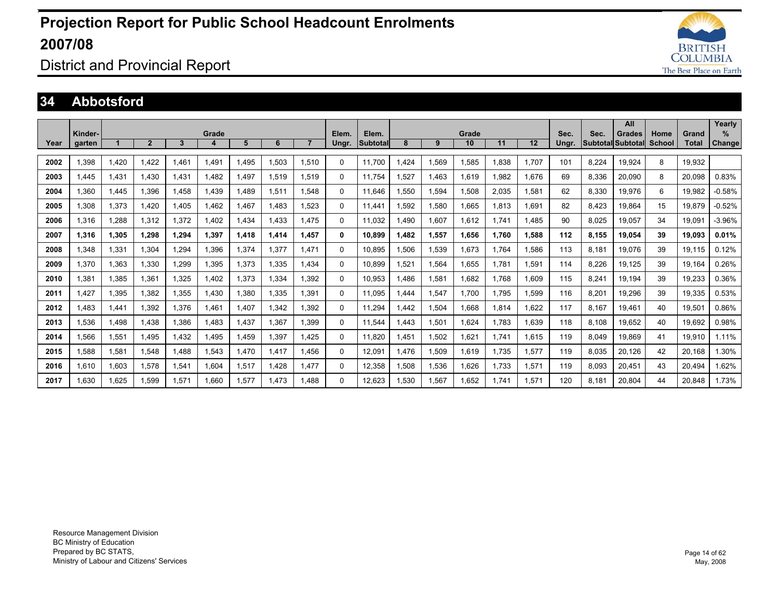

District and Provincial Report

#### **34 Abbotsford**

|      |         |       |                |                |       |       |       |       |          |          |      |       |       |       |       |       |       | All                      |        |        | Yearly        |
|------|---------|-------|----------------|----------------|-------|-------|-------|-------|----------|----------|------|-------|-------|-------|-------|-------|-------|--------------------------|--------|--------|---------------|
|      | Kinder- |       |                |                | Grade |       |       |       | Elem.    | Elem.    |      |       | Grade |       |       | Sec.  | Sec.  | <b>Grades</b>            | Home   | Grand  | $\%$          |
| Year | garten  |       | $\overline{2}$ | $\overline{3}$ | Δ     | 5     | 6     |       | Ungr.    | Subtotal | 8    | 9     | 10    | 11    | 12    | Unar. |       | <b>Subtotal Subtotal</b> | School | Total  | <b>Change</b> |
| 2002 | 1,398   | 1,420 | 1.422          | 1.461          | 1.491 | .495  | 1,503 | 1,510 | $\Omega$ | 11.700   | .424 | 1,569 | 1,585 | 1.838 | 1.707 | 101   | 8,224 | 19,924                   | 8      | 19.932 |               |
| 2003 | 1,445   | 1,431 | 1.430          | 1,431          | 1.482 | ,497  | 1,519 | 1,519 | $\Omega$ | 11.754   | ,527 | 1.463 | 1,619 | 1.982 | 1,676 | 69    | 8,336 | 20,090                   | 8      | 20,098 | 0.83%         |
| 2004 | 1,360   | 1,445 | 1,396          | 1.458          | 1.439 | .489  | 1,511 | 1.548 | $\Omega$ | 11.646   | .550 | 1,594 | 1,508 | 2,035 | 1.581 | 62    | 8,330 | 19,976                   | 6      | 19.982 | $-0.58%$      |
| 2005 | 1,308   | 1,373 | 1.420          | 1.405          | 1.462 | .467  | 1.483 | 1.523 | $\Omega$ | 11.441   | .592 | 1,580 | 1,665 | 1.813 | 1.691 | 82    | 8,423 | 19,864                   | 15     | 19.879 | $-0.52%$      |
| 2006 | 1,316   | 1.288 | 1.312          | 1.372          | 1.402 | .434  | 1.433 | 1.475 | $\Omega$ | 11.032   | .490 | 1.607 | 1.612 | 1.741 | 1.485 | 90    | 8.025 | 19.057                   | 34     | 19.091 | $-3.96%$      |
| 2007 | 1.316   | 1.305 | 1.298          | 1.294          | 1.397 | 1.418 | 1.414 | 1.457 | 0        | 10.899   | .482 | 1,557 | 1.656 | 1.760 | 1.588 | 112   | 8.155 | 19.054                   | 39     | 19.093 | 0.01%         |
| 2008 | 1.348   | 1,331 | 1.304          | 1.294          | 1.396 | .374  | 1.377 | 1.471 | $\Omega$ | 10.895   | .506 | 1,539 | 1.673 | 1.764 | 1.586 | 113   | 8.181 | 19.076                   | 39     | 19.115 | 0.12%         |
| 2009 | 1,370   | 1,363 | 1,330          | 1.299          | 1,395 | .373  | 1,335 | 1.434 | $\Omega$ | 10.899   | .521 | 1,564 | 1,655 | 1.781 | 1,591 | 114   | 8,226 | 19.125                   | 39     | 19.164 | 0.26%         |
| 2010 | 1.381   | 1,385 | 1.361          | 1,325          | 1.402 | .373  | 1,334 | 1.392 | $\Omega$ | 10.953   | .486 | 1,581 | 1.682 | 1.768 | 1.609 | 115   | 8,241 | 19.194                   | 39     | 19,233 | 0.36%         |
| 2011 | 1,427   | 1,395 | 1.382          | 1,355          | 1,430 | ,380  | 1,335 | 1.391 | $\Omega$ | 11.095   | .444 | 1,547 | 1.700 | 1,795 | 1,599 | 116   | 8,201 | 19,296                   | 39     | 19,335 | 0.53%         |
| 2012 | 1.483   | 1,441 | 1,392          | 1,376          | 1,461 | ,407  | 1,342 | 1.392 | $\Omega$ | 11,294   | ,442 | 1,504 | 1,668 | 1,814 | 1,622 | 117   | 8,167 | 19,461                   | 40     | 19,501 | 0.86%         |
| 2013 | 1,536   | 1,498 | 1,438          | 1,386          | 1,483 | ,437  | 1,367 | 1.399 | $\Omega$ | 11,544   | .443 | 1,501 | 1,624 | 1.783 | 1,639 | 118   | 8,108 | 19,652                   | 40     | 19,692 | 0.98%         |
| 2014 | 1.566   | 1,551 | 1.495          | 1.432          | 1.495 | .459  | 1.397 | 1.425 | $\Omega$ | 11.820   | .451 | 1,502 | 1,621 | 1.741 | 1.615 | 119   | 8,049 | 19.869                   | 41     | 19.910 | 1.11%         |
| 2015 | 1.588   | 1,581 | 1.548          | 1.488          | 1,543 | .470  | 1.417 | 1.456 | $\Omega$ | 12.091   | .476 | 1,509 | 1.619 | 1.735 | 1.577 | 119   | 8,035 | 20.126                   | 42     | 20.168 | 1.30%         |
| 2016 | 1.610   | 1,603 | 1.578          | 1,541          | 1.604 | .517  | 1.428 | 1.477 | $\Omega$ | 12,358   | .508 | 1,536 | 1,626 | 1.733 | 1,571 | 119   | 8,093 | 20,451                   | 43     | 20.494 | 1.62%         |
| 2017 | 1.630   | 1,625 | 1.599          | 1.571          | 1.660 | .577  | 1.473 | 1.488 | $\Omega$ | 12.623   | .530 | 1,567 | 1.652 | 1.741 | 1.571 | 120   | 8.181 | 20.804                   | 44     | 20.848 | 1.73%         |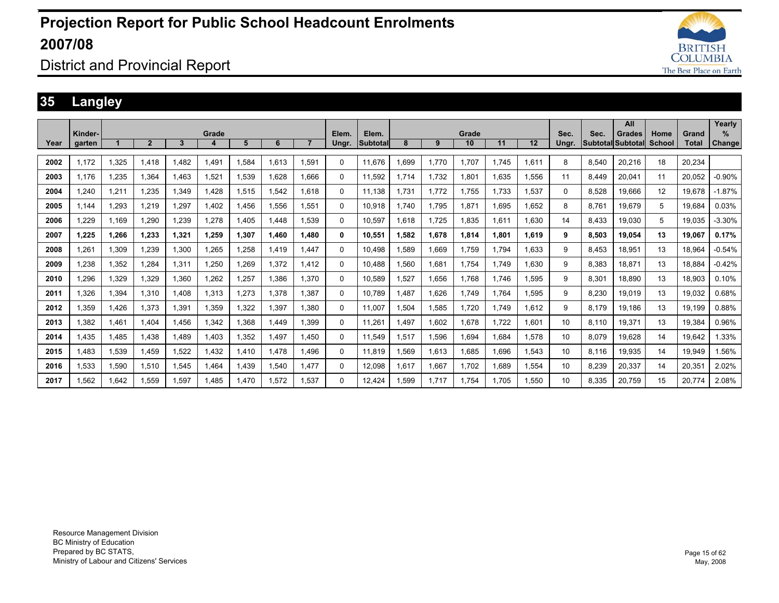

### District and Provincial Report

### **35 Langley**

|      |         |       |                |       |       |             |       |       |          |                 |             |       |       |       |       |       |       | All               |        |        | Yearly   |
|------|---------|-------|----------------|-------|-------|-------------|-------|-------|----------|-----------------|-------------|-------|-------|-------|-------|-------|-------|-------------------|--------|--------|----------|
|      | Kinder- |       |                |       | Grade |             |       |       | Elem.    | Elem.           |             |       | Grade |       |       | Sec.  | Sec.  | <b>Grades</b>     | Home   | Grand  | $\%$     |
| Year | garten  |       | $\overline{2}$ | 3     | 4     | 5           | 6     |       | Ungr.    | <b>Subtotal</b> | 8           | 9     | 10    | 11    | 12    | Ungr. |       | Subtotal Subtotal | School | Total  | Change   |
| 2002 | 1.172   | 1,325 | 1.418          | .482  | 1,491 | 1,584       | 1.613 | .591  | $\Omega$ | 11.676          | 1,699       | 1,770 | 1.707 | 1,745 | 1,611 | 8     | 8,540 | 20,216            | 18     | 20.234 |          |
|      |         |       |                |       |       |             |       |       |          |                 |             |       |       |       |       |       |       |                   |        |        |          |
| 2003 | 1.176   | 1,235 | 1.364          | .463  | 1,521 | 1,539       | 1.628 | 1.666 | 0        | 11,592          | 1.714       | 1.732 | 1,801 | 1,635 | 1,556 | 11    | 8.449 | 20,041            | 11     | 20.052 | $-0.90%$ |
| 2004 | .240    | 1,211 | 1.235          | ,349  | 1.428 | 1,515       | 1.542 | 1.618 | 0        | 11.138          | 1.731       | 1.772 | 1.755 | 1.733 | 1,537 | 0     | 8,528 | 19.666            | 12     | 19.678 | $-1.87%$ |
| 2005 | 1.144   | 1,293 | 1.219          | .297  | 1.402 | 1.456       | 1.556 | 1.551 | 0        | 10.918          | 1.740       | 1.795 | 1.871 | 1.695 | 1.652 | 8     | 8.761 | 19.679            | 5      | 19.684 | 0.03%    |
| 2006 | .229    | 1.169 | 1,290          | ,239  | 1,278 | 1.405       | 1.448 | 1,539 | 0        | 10,597          | 1.618       | 1.725 | 1.835 | 1,611 | 1.630 | 14    | 8.433 | 19.030            | 5      | 19.035 | $-3.30%$ |
| 2007 | 1.225   | 1,266 | 1,233          | 1,321 | 1,259 | 1,307       | 1.460 | 1,480 | 0        | 10,551          | 1,582       | 1,678 | 1,814 | 1.801 | 1.619 | 9     | 8,503 | 19,054            | 13     | 19,067 | 0.17%    |
| 2008 | .261    | 1.309 | 1.239          | 1.300 | 1,265 | .258        | 1.419 | 1.447 | 0        | 10.498          | 1.589       | 1.669 | 1.759 | 1.794 | 1.633 | 9     | 8.453 | 18.951            | 13     | 18.964 | $-0.54%$ |
| 2009 | .238    | 1.352 | 1.284          | 1.311 | 1.250 | 1.269       | 1.372 | 1.412 | 0        | 10.488          | 1.560       | 1.681 | 1.754 | 1.749 | 1.630 | 9     | 8.383 | 18.871            | 13     | 18.884 | $-0.42%$ |
| 2010 | .296    | 1.329 | 1.329          | .360  | 1.262 | .257        | 1.386 | 1.370 | 0        | 10.589          | 1.527       | 1.656 | 1.768 | 1.746 | .595  | 9     | 8.301 | 18.890            | 13     | 18.903 | 0.10%    |
| 2011 | 1.326   | 1,394 | 1,310          | 1.408 | 1,313 | .273        | 1,378 | 1.387 | 0        | 10.789          | 1.487       | 1,626 | 1.749 | 1.764 | 1,595 | 9     | 8,230 | 19,019            | 13     | 19,032 | 0.68%    |
| 2012 | 1.359   | 1.426 | 1.373          | .391  | 1,359 | 1,322       | 1.397 | 1.380 | 0        | 11.007          | 1,504       | 1,585 | 1,720 | 1.749 | 1.612 | 9     | 8.179 | 19.186            | 13     | 19.199 | 0.88%    |
| 2013 | .382    | 1,461 | 1.404          | .456  | 1,342 | 1,368       | .449  | 1.399 | 0        | 11.261          | <b>.497</b> | 1,602 | 1.678 | 1,722 | 1.601 | 10    | 8.110 | 19,371            | 13     | 19,384 | 0.96%    |
| 2014 | .435    | 1,485 | 1,438          | .489  | 1,403 | 1,352       | 1.497 | 1.450 | 0        | 11,549          | 1,517       | 1,596 | 1,694 | 1,684 | 1,578 | 10    | 8,079 | 19,628            | 14     | 19,642 | 1.33%    |
| 2015 | .483    | 1,539 | 1,459          | .522  | 1,432 | 1,410       | 1.478 | 1.496 | 0        | 11.819          | 1,569       | 1,613 | 1,685 | 1.696 | 1,543 | 10    | 8,116 | 19,935            | 14     | 19,949 | .56%     |
| 2016 | 1,533   | 1,590 | 1,510          | .545  | 1.464 | <b>439.</b> | .540  | 1.477 | 0        | 12,098          | 1,617       | 1,667 | 1,702 | 1,689 | 1,554 | 10    | 8,239 | 20,337            | 14     | 20,351 | 2.02%    |
| 2017 | 1.562   | 1.642 | 1.559          | .597  | .485  | .470        | 1,572 | .537  | 0        | 12.424          | 1.599       | 1.717 | 1.754 | 1.705 | .550  | 10    | 8.335 | 20.759            | 15     | 20.774 | 2.08%    |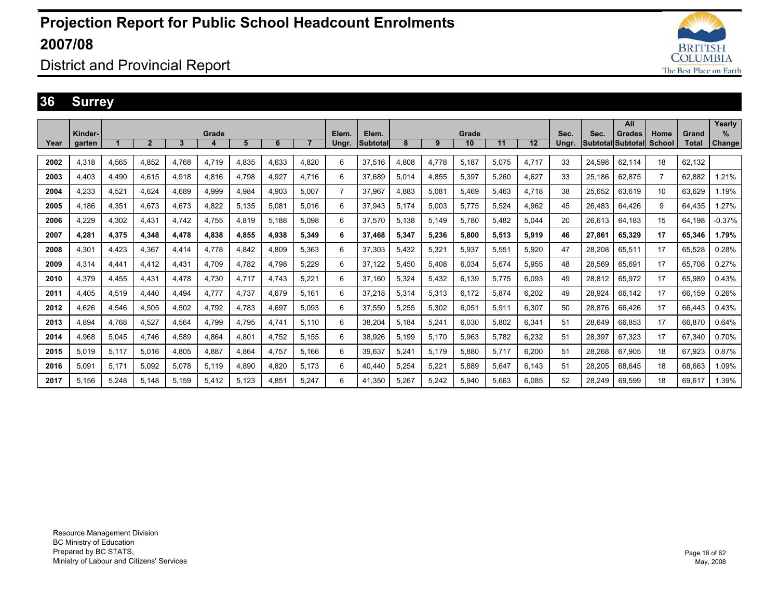

### District and Provincial Report

#### **36 Surrey**

|      |                   |       |                |       |       |       |       |       |                |                          |       |       |             |       |       |               |                                  | All    |                       |                | Yearly                |
|------|-------------------|-------|----------------|-------|-------|-------|-------|-------|----------------|--------------------------|-------|-------|-------------|-------|-------|---------------|----------------------------------|--------|-----------------------|----------------|-----------------------|
| Year | Kinder-<br>garten |       | $\overline{2}$ | 3     | Grade | 5     | 6     |       | Elem.<br>Ungr. | Elem.<br><b>Subtotal</b> | 8     | 9     | Grade<br>10 | 11    | 12    | Sec.<br>Ungr. | Sec.<br><b>Subtotal Subtotal</b> | Grades | Home<br><b>School</b> | Grand<br>Total | $\%$<br><b>Change</b> |
|      |                   |       |                |       |       |       |       |       |                |                          |       |       |             |       |       |               |                                  |        |                       |                |                       |
| 2002 | 4,318             | 4,565 | 4,852          | 4.768 | 4,719 | 4,835 | 4,633 | 4.820 | 6              | 37,516                   | 4,808 | 4,778 | 5.187       | 5,075 | 4,717 | 33            | 24,598                           | 62,114 | 18                    | 62.132         |                       |
| 2003 | 4.403             | 4.490 | 4.615          | 4,918 | 4,816 | 4.798 | 4,927 | 4.716 | 6              | 37.689                   | 5.014 | 4,855 | 5,397       | 5.260 | 4,627 | 33            | 25.186                           | 62,875 | 7                     | 62.882         | 1.21%                 |
| 2004 | 4.233             | 4,521 | 4.624          | 4.689 | 4,999 | 4,984 | 4,903 | 5.007 | $\overline{7}$ | 37.967                   | 4,883 | 5,081 | 5.469       | 5.463 | 4.718 | 38            | 25.652                           | 63,619 | 10                    | 63.629         | 1.19%                 |
| 2005 | 4,186             | 4,351 | 4.673          | 4,673 | 4,822 | 5,135 | 5,081 | 5.016 | 6              | 37,943                   | 5,174 | 5,003 | 5.775       | 5,524 | 4,962 | 45            | 26.483                           | 64,426 | 9                     | 64.435         | 1.27%                 |
| 2006 | 4.229             | 4.302 | 4.431          | 4.742 | 4.755 | 4.819 | 5.188 | 5.098 | 6              | 37.570                   | 5.138 | 5,149 | 5.780       | 5.482 | 5.044 | 20            | 26.613                           | 64.183 | 15                    | 64.198         | $-0.37%$              |
| 2007 | 4.281             | 4,375 | 4.348          | 4.478 | 4.838 | 4.855 | 4,938 | 5,349 | 6              | 37.468                   | 5.347 | 5.236 | 5.800       | 5.513 | 5.919 | 46            | 27.861                           | 65.329 | 17                    | 65.346         | 1.79%                 |
| 2008 | 4.301             | 4.423 | 4.367          | 4.414 | 4.778 | 4.842 | 4.809 | 5.363 | 6              | 37.303                   | 5.432 | 5,321 | 5.937       | 5.551 | 5.920 | 47            | 28.208                           | 65.511 | 17                    | 65.528         | 0.28%                 |
| 2009 | 4.314             | 4.441 | 4.412          | 4.431 | 4.709 | 4.782 | 4.798 | 5.229 | 6              | 37.122                   | 5.450 | 5.408 | 6.034       | 5.674 | 5.955 | 48            | 28.569                           | 65.691 | 17                    | 65.708         | 0.27%                 |
| 2010 | 4.379             | 4.455 | 4.431          | 4.478 | 4.730 | 4.717 | 4.743 | 5.221 | 6              | 37.160                   | 5.324 | 5,432 | 6.139       | 5.775 | 6.093 | 49            | 28.812                           | 65.972 | 17                    | 65.989         | 0.43%                 |
| 2011 | 4.405             | 4.519 | 4.440          | 4.494 | 4.777 | 4.737 | 4.679 | 5.161 | 6              | 37.218                   | 5.314 | 5.313 | 6.172       | 5.874 | 6.202 | 49            | 28.924                           | 66.142 | 17                    | 66.159         | 0.26%                 |
| 2012 | 4.626             | 4,546 | 4.505          | 4.502 | 4.792 | 4.783 | 4.697 | 5.093 | 6              | 37,550                   | 5.255 | 5,302 | 6,051       | 5,911 | 6.307 | 50            | 28.876                           | 66.426 | 17                    | 66.443         | 0.43%                 |
| 2013 | 4.894             | 4.768 | 4.527          | 4.564 | 4.799 | 4.795 | 4.741 | 5.110 | 6              | 38.204                   | 5,184 | 5,241 | 6.030       | 5.802 | 6.341 | 51            | 28.649                           | 66.853 | 17                    | 66.870         | 0.64%                 |
| 2014 | 4,968             | 5,045 | 4.746          | 4,589 | 4,864 | 4,801 | 4,752 | 5.155 | 6              | 38,926                   | 5,199 | 5,170 | 5,963       | 5.782 | 6,232 | 51            | 28,397                           | 67.323 | 17                    | 67,340         | 0.70%                 |
| 2015 | 5.019             | 5,117 | 5,016          | 4.805 | 4,887 | 4,864 | 4,757 | 5.166 | 6              | 39,637                   | 5,241 | 5,179 | 5,880       | 5.717 | 6,200 | 51            | 28,268                           | 67,905 | 18                    | 67,923         | 0.87%                 |
| 2016 | 5.091             | 5.171 | 5.092          | 5.078 | 5.119 | 4.890 | 4.820 | 5.173 | 6              | 40.440                   | 5.254 | 5.221 | 5.889       | 5.647 | 6.143 | 51            | 28.205                           | 68.645 | 18                    | 68.663         | 1.09%                 |
| 2017 | 5.156             | 5.248 | 5.148          | 5.159 | 5.412 | 5.123 | 4.851 | 5.247 | 6              | 41.350                   | 5.267 | 5.242 | 5.940       | 5.663 | 6.085 | 52            | 28.249                           | 69.599 | 18                    | 69.617         | 1.39%                 |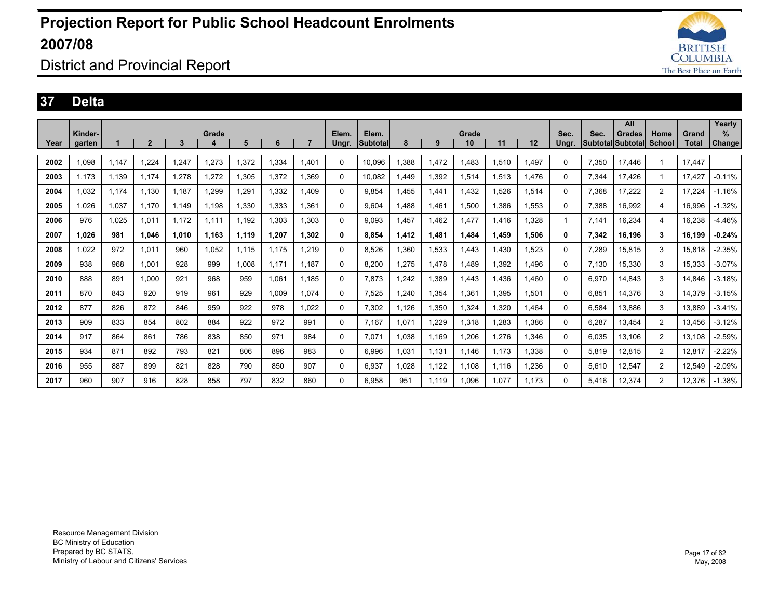

### District and Provincial Report

#### **37 Delta**

|      |         |       |                |                |       |       |       |                |             |          |       |       |       |       |       |          |       | All                      |                |        | Yearly        |
|------|---------|-------|----------------|----------------|-------|-------|-------|----------------|-------------|----------|-------|-------|-------|-------|-------|----------|-------|--------------------------|----------------|--------|---------------|
|      | Kinder- |       |                |                | Grade |       |       |                | Elem.       | Elem.    |       |       | Grade |       |       | Sec.     | Sec.  | Grades                   | Home           | Grand  | %             |
| Year | aarten  |       | $\overline{2}$ | $3\phantom{a}$ | 4     | 5     | 6     | $\overline{7}$ | Ungr.       | Subtotal | 8     | 9     | 10    | 11    | 12    | Ungr.    |       | <b>SubtotallSubtotal</b> | School         | Total  | <b>Change</b> |
|      |         |       |                |                |       |       |       |                |             |          |       |       |       |       |       |          |       |                          |                |        |               |
| 2002 | 1.098   | 1,147 | 1.224          | 1.247          | 1,273 | 1,372 | 1,334 | 1.401          | 0           | 10.096   | 1.388 | 1,472 | 1.483 | 1,510 | .497  | 0        | 7,350 | 17,446                   |                | 17.447 |               |
| 2003 | 1,173   | 1,139 | 1.174          | 1,278          | 1,272 | 1,305 | 1,372 | 1.369          | $\Omega$    | 10,082   | .449  | 1,392 | 1,514 | 1,513 | 1.476 | $\Omega$ | 7,344 | 17,426                   |                | 17.427 | $-0.11%$      |
| 2004 | 1.032   | 1,174 | 1,130          | 1.187          | 1.299 | ,291  | 1,332 | 1.409          | 0           | 9,854    | 1,455 | 1,441 | 1,432 | 1,526 | 1,514 | 0        | 7,368 | 17,222                   | 2              | 17.224 | $-1.16%$      |
| 2005 | 1.026   | 1,037 | 1.170          | 1.149          | 1.198 | 1.330 | 1.333 | 1,361          | 0           | 9.604    | 1.488 | 1.461 | 1,500 | 1,386 | 1,553 | 0        | 7,388 | 16,992                   | 4              | 16.996 | $-1.32%$      |
| 2006 | 976     | 1.025 | 1,011          | 1.172          | 1.111 | 1.192 | 1,303 | 1,303          | $\mathbf 0$ | 9,093    | 1.457 | 1,462 | 1.477 | 1,416 | 1,328 |          | 7,141 | 16,234                   | 4              | 16,238 | $-4.46%$      |
| 2007 | 1.026   | 981   | 1.046          | 1,010          | 1.163 | 1.119 | 1,207 | 1,302          | 0           | 8.854    | 1.412 | 1,481 | 1,484 | 1,459 | 1,506 | 0        | 7,342 | 16.196                   | 3              | 16.199 | $-0.24%$      |
| 2008 | 1.022   | 972   | 1.011          | 960            | 1.052 | 1.115 | 1.175 | 1.219          | 0           | 8.526    | 1.360 | 1,533 | 1.443 | 1.430 | 1.523 | 0        | 7.289 | 15.815                   | 3              | 15.818 | $-2.35%$      |
| 2009 | 938     | 968   | 1.001          | 928            | 999   | 1.008 | 1.171 | 1.187          | $\Omega$    | 8,200    | .275  | 1,478 | 1,489 | 1,392 | 1.496 | 0        | 7,130 | 15,330                   | 3              | 15,333 | $-3.07%$      |
| 2010 | 888     | 891   | 1.000          | 921            | 968   | 959   | 1.061 | 1.185          | $\Omega$    | 7,873    | .242  | 1,389 | 1.443 | 1.436 | .460  | $\Omega$ | 6,970 | 14.843                   | 3              | 14.846 | $-3.18%$      |
| 2011 | 870     | 843   | 920            | 919            | 961   | 929   | 1.009 | 1.074          | 0           | 7.525    | .240  | 1,354 | 1,361 | 1.395 | 1,501 | 0        | 6.851 | 14,376                   | 3              | 14.379 | $-3.15%$      |
| 2012 | 877     | 826   | 872            | 846            | 959   | 922   | 978   | 1.022          | 0           | 7,302    | 1,126 | 1,350 | 1,324 | 1,320 | .464  | 0        | 6,584 | 13,886                   | 3              | 13,889 | $-3.41%$      |
| 2013 | 909     | 833   | 854            | 802            | 884   | 922   | 972   | 991            | $\Omega$    | 7.167    | 1,071 | 1,229 | 1,318 | .283  | 386,  | 0        | 6,287 | 13,454                   | $\overline{2}$ | 13.456 | $-3.12%$      |
| 2014 | 917     | 864   | 861            | 786            | 838   | 850   | 971   | 984            | $\Omega$    | 7.071    | 1.038 | 1,169 | 1,206 | 1.276 | 1,346 | 0        | 6.035 | 13.106                   | $\overline{2}$ | 13.108 | $-2.59%$      |
| 2015 | 934     | 871   | 892            | 793            | 821   | 806   | 896   | 983            | $\Omega$    | 6,996    | 1,031 | 1,131 | 1,146 | 1,173 | 1,338 | 0        | 5,819 | 12,815                   | 2              | 12,817 | $-2.22%$      |
| 2016 | 955     | 887   | 899            | 821            | 828   | 790   | 850   | 907            | $\Omega$    | 6,937    | 1,028 | 1,122 | 1,108 | 1,116 | .236  | 0        | 5,610 | 12,547                   | 2              | 12,549 | $-2.09%$      |
| 2017 | 960     | 907   | 916            | 828            | 858   | 797   | 832   | 860            | $\Omega$    | 6.958    | 951   | 1.119 | 1.096 | 1.077 | 1.173 | 0        | 5.416 | 12.374                   | 2              | 12.376 | $-1.38%$      |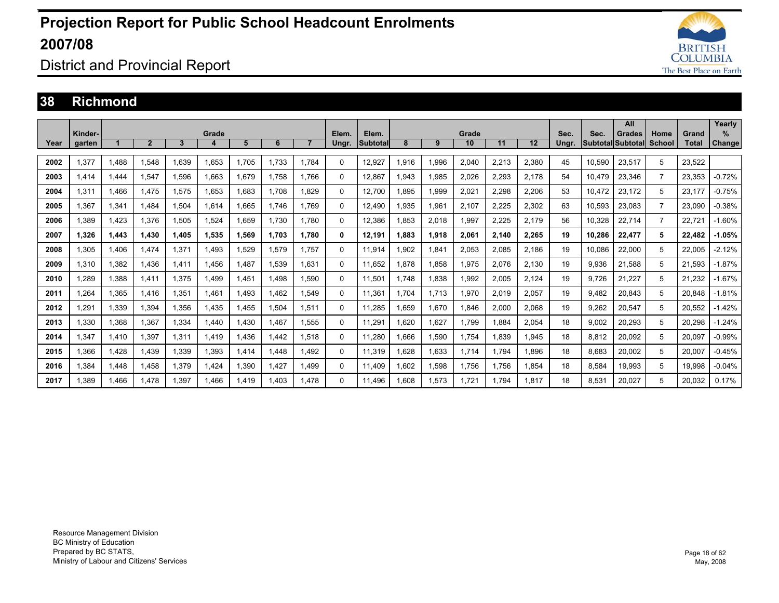

### District and Provincial Report

#### **38 Richmond**

|      |         |       |                |       |       |        |       |                |          |                 |       |       |       |       |       |       |        | All               |                |        | Yearly        |
|------|---------|-------|----------------|-------|-------|--------|-------|----------------|----------|-----------------|-------|-------|-------|-------|-------|-------|--------|-------------------|----------------|--------|---------------|
|      | Kinder- |       |                |       | Grade |        |       |                | Elem.    | Elem.           |       |       | Grade |       |       | Sec.  | Sec.   | <b>Grades</b>     | Home           | Grand  | %             |
| Year | garten  |       | $\overline{2}$ | 3     | 4     | 5      | 6     | $\overline{7}$ | Ungr.    | <b>Subtotal</b> | 8     | 9     | 10    | 11    | 12    | Ungr. |        | Subtotal Subtotal | School         | Total  | <b>Change</b> |
|      |         |       |                |       |       |        |       |                |          |                 |       |       |       |       |       |       |        |                   |                |        |               |
| 2002 | 1.377   | 1.488 | 1.548          | .639  | 1.653 | 1.705  | 1.733 | 1.784          | 0        | 12,927          | 1,916 | 1.996 | 2,040 | 2,213 | 2,380 | 45    | 10,590 | 23,517            | 5              | 23.522 |               |
| 2003 | 1.414   | 1.444 | 1.547          | .596  | 1,663 | 1,679  | 1.758 | 1.766          | 0        | 12,867          | 1,943 | 1,985 | 2,026 | 2,293 | 2,178 | 54    | 10,479 | 23,346            | $\overline{7}$ | 23,353 | $-0.72%$      |
| 2004 | 1,311   | 1,466 | 1.475          | 1,575 | 1,653 | 1,683  | 1.708 | 1.829          | 0        | 12,700          | 1,895 | 1,999 | 2,021 | 2,298 | 2,206 | 53    | 10,472 | 23,172            | 5              | 23.177 | $-0.75%$      |
| 2005 | 1.367   | 1,341 | 1.484          | 1,504 | 1,614 | 1.665  | 1.746 | 1.769          | 0        | 12.490          | 1.935 | 1,961 | 2.107 | 2,225 | 2,302 | 63    | 10,593 | 23,083            | $\overline{7}$ | 23.090 | $-0.38%$      |
| 2006 | 1.389   | 1,423 | 1,376          | 1,505 | 1,524 | 1,659  | 1.730 | 1.780          | 0        | 12,386          | 1,853 | 2,018 | 1,997 | 2,225 | 2,179 | 56    | 10,328 | 22,714            | $\overline{7}$ | 22.721 | $-1.60%$      |
| 2007 | 1.326   | 1,443 | 1,430          | 1.405 | 1,535 | 1,569  | 1,703 | 1.780          | 0        | 12,191          | 1.883 | 1,918 | 2,061 | 2,140 | 2,265 | 19    | 10,286 | 22,477            | 5              | 22,482 | $-1.05%$      |
| 2008 | 1.305   | 1.406 | 1.474          | 1.371 | 1.493 | 1.529  | 1.579 | 1.757          | 0        | 11.914          | 1.902 | 1,841 | 2.053 | 2,085 | 2,186 | 19    | 10.086 | 22,000            | 5              | 22.005 | $-2.12%$      |
| 2009 | 1.310   | 1,382 | 1.436          | 1.411 | 1.456 | 1,487  | 1,539 | 1.631          | 0        | 11,652          | 1.878 | 1,858 | 1,975 | 2,076 | 2,130 | 19    | 9,936  | 21,588            | 5              | 21,593 | $-1.87%$      |
| 2010 | .289    | 1,388 | 1,411          | 1,375 | 1.499 | 1,451  | 1.498 | 1.590          | 0        | 11,501          | 1.748 | 1,838 | 1,992 | 2,005 | 2,124 | 19    | 9,726  | 21.227            | 5              | 21,232 | $-1.67%$      |
| 2011 | .264    | 1.365 | 1.416          | 1,351 | 1.461 | 1.493  | 1.462 | 1.549          | 0        | 11.361          | 1.704 | 1.713 | 1.970 | 2.019 | 2.057 | 19    | 9.482  | 20,843            | 5              | 20.848 | $-1.81%$      |
| 2012 | .291    | 1,339 | 1,394          | .356  | 1,435 | 1,455  | 1,504 | 1,511          | 0        | 11,285          | 1,659 | 1,670 | 1,846 | 2,000 | 2,068 | 19    | 9,262  | 20,547            | 5              | 20,552 | $-1.42%$      |
| 2013 | .330    | 1,368 | 1,367          | 334   | 1.440 | 430, ا | 1.467 | 1.555          | 0        | 11,291          | 1.620 | 1,627 | 1,799 | 1,884 | 2,054 | 18    | 9,002  | 20,293            | 5              | 20,298 | $-1.24%$      |
| 2014 | 1.347   | 1,410 | 1.397          | 1.311 | 1.419 | .436   | 1.442 | 1.518          | 0        | 11.280          | 1.666 | 1,590 | 1.754 | 1.839 | .945  | 18    | 8,812  | 20.092            | 5              | 20.097 | $-0.99%$      |
| 2015 | .366    | 1,428 | 1,439          | ,339  | 1,393 | 1,414  | .448  | 1,492          | 0        | 11,319          | 1,628 | 1,633 | 1,714 | 1,794 | 896.  | 18    | 8,683  | 20,002            | 5              | 20,007 | $-0.45%$      |
| 2016 | .384    | 1,448 | 1,458          | ,379  | 1,424 | 1,390  | .427  | 1,499          | $\Omega$ | 11,409          | 1,602 | 1,598 | 1,756 | 1,756 | 1,854 | 18    | 8,584  | 19,993            | 5              | 19,998 | $-0.04%$      |
| 2017 | .389    | 1.466 | 1.478          | .397  | .466  | I.419  | .403  | 1.478          | 0        | 11.496          | .608  | 1.573 | 1.721 | 1.794 | 1.817 | 18    | 8.531  | 20.027            | 5              | 20.032 | 0.17%         |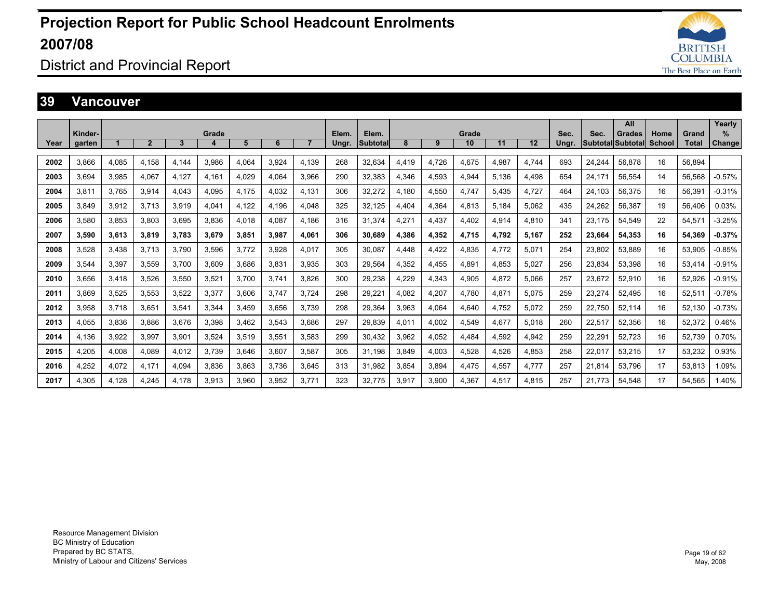

### District and Provincial Report

#### **39 Vancouver**

|      |                   |       |                |       |       |       |       |       |                |                          |       |       |             |       |       |               |                                  | All           |                |                | Yearly         |
|------|-------------------|-------|----------------|-------|-------|-------|-------|-------|----------------|--------------------------|-------|-------|-------------|-------|-------|---------------|----------------------------------|---------------|----------------|----------------|----------------|
| Year | Kinder-<br>garten |       | $\overline{2}$ | 3     | Grade | 5     | 6     |       | Elem.<br>Ungr. | Elem.<br><b>Subtotal</b> | 8     | 9     | Grade<br>10 | 11    | 12    | Sec.<br>Ungr. | Sec.<br><b>Subtotal Subtotal</b> | <b>Grades</b> | Home<br>School | Grand<br>Total | $\%$<br>Change |
|      |                   |       |                |       |       |       |       |       |                |                          |       |       |             |       |       |               |                                  |               |                |                |                |
| 2002 | 3.866             | 4.085 | 4.158          | 4.144 | 3.986 | 4.064 | 3.924 | 4.139 | 268            | 32.634                   | 4,419 | 4,726 | 4.675       | 4.987 | 4.744 | 693           | 24.244                           | 56.878        | 16             | 56.894         |                |
| 2003 | 3.694             | 3,985 | 4,067          | 4.127 | 4,161 | 4,029 | 4,064 | 3,966 | 290            | 32,383                   | 4,346 | 4,593 | 4,944       | 5.136 | 4.498 | 654           | 24.171                           | 56,554        | 14             | 56,568         | $-0.57%$       |
| 2004 | 3.811             | 3.765 | 3,914          | 4.043 | 4,095 | 4.175 | 4.032 | 4.131 | 306            | 32,272                   | 4.180 | 4,550 | 4.747       | 5.435 | 4.727 | 464           | 24.103                           | 56.375        | 16             | 56.391         | $-0.31%$       |
| 2005 | 3.849             | 3,912 | 3.713          | 3.919 | 4,041 | 4,122 | 4.196 | 4.048 | 325            | 32,125                   | 4.404 | 4,364 | 4.813       | 5.184 | 5.062 | 435           | 24,262                           | 56,387        | 19             | 56.406         | 0.03%          |
| 2006 | 3.580             | 3.853 | 3.803          | 3.695 | 3.836 | 4.018 | 4.087 | 4.186 | 316            | 31.374                   | 4.271 | 4.437 | 4.402       | 4.914 | 4.810 | 341           | 23.175                           | 54.549        | 22             | 54.571         | $-3.25%$       |
| 2007 | 3.590             | 3.613 | 3.819          | 3.783 | 3.679 | 3.851 | 3.987 | 4.061 | 306            | 30.689                   | 4.386 | 4,352 | 4.715       | 4.792 | 5.167 | 252           | 23.664                           | 54.353        | 16             | 54.369         | $-0.37%$       |
| 2008 | 3.528             | 3,438 | 3.713          | 3.790 | 3.596 | 3.772 | 3.928 | 4.017 | 305            | 30.087                   | 4.448 | 4,422 | 4.835       | 4.772 | 5.071 | 254           | 23.802                           | 53.889        | 16             | 53.905         | $-0.85%$       |
| 2009 | 3.544             | 3,397 | 3,559          | 3.700 | 3,609 | 3,686 | 3,831 | 3.935 | 303            | 29.564                   | 4,352 | 4,455 | 4.891       | 4.853 | 5.027 | 256           | 23,834                           | 53.398        | 16             | 53.414         | $-0.91%$       |
| 2010 | 3.656             | 3,418 | 3.526          | 3.550 | 3,521 | 3.700 | 3.741 | 3.826 | 300            | 29,238                   | 4,229 | 4,343 | 4.905       | 4.872 | 5.066 | 257           | 23,672                           | 52.910        | 16             | 52,926         | $-0.91%$       |
| 2011 | 3.869             | 3,525 | 3,553          | 3,522 | 3,377 | 3,606 | 3.747 | 3.724 | 298            | 29,221                   | 4.082 | 4,207 | 4.780       | 4.871 | 5.075 | 259           | 23,274                           | 52,495        | 16             | 52,511         | $-0.78%$       |
| 2012 | 3,958             | 3,718 | 3,651          | 3,541 | 3,344 | 3,459 | 3,656 | 3.739 | 298            | 29,364                   | 3,963 | 4,064 | 4,640       | 4.752 | 5,072 | 259           | 22,750                           | 52,114        | 16             | 52.130         | $-0.73%$       |
| 2013 | 4,055             | 3,836 | 3,886          | 3,676 | 3,398 | 3,462 | 3,543 | 3.686 | 297            | 29,839                   | 4,011 | 4,002 | 4,549       | 4,677 | 5.018 | 260           | 22,517                           | 52,356        | 16             | 52,372         | 0.46%          |
| 2014 | 4.136             | 3,922 | 3.997          | 3.901 | 3.524 | 3.519 | 3.551 | 3.583 | 299            | 30.432                   | 3.962 | 4,052 | 4.484       | 4.592 | 4,942 | 259           | 22,291                           | 52.723        | 16             | 52.739         | 0.70%          |
| 2015 | 4.205             | 4,008 | 4.089          | 4.012 | 3.739 | 3.646 | 3.607 | 3.587 | 305            | 31.198                   | 3.849 | 4,003 | 4.528       | 4.526 | 4.853 | 258           | 22,017                           | 53.215        | 17             | 53.232         | 0.93%          |
| 2016 | 4.252             | 4,072 | 4.171          | 4.094 | 3,836 | 3.863 | 3.736 | 3.645 | 313            | 31,982                   | 3.854 | 3,894 | 4.475       | 4.557 | 4,777 | 257           | 21,814                           | 53.796        | 17             | 53.813         | 1.09%          |
| 2017 | 4.305             | 4.128 | 4.245          | 4.178 | 3,913 | 3.960 | 3.952 | 3.771 | 323            | 32.775                   | 3.917 | 3,900 | 4.367       | 4.517 | 4.815 | 257           | 21.773                           | 54.548        | 17             | 54.565         | 1.40%          |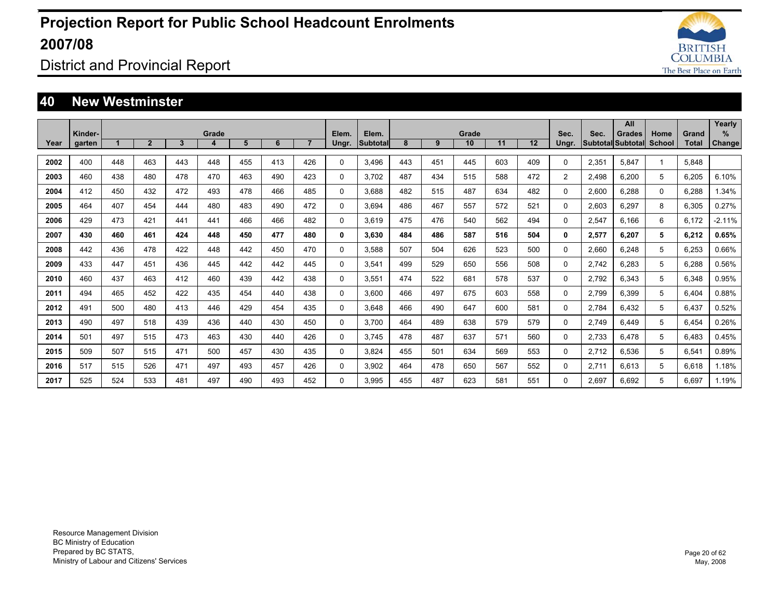

### District and Provincial Report

#### **40 New Westminster**

|      |                   |     |                |     |            |     |     |                |                |                   |     |     |             |     |     |                |       | All                                       |                |                | Yearly                |
|------|-------------------|-----|----------------|-----|------------|-----|-----|----------------|----------------|-------------------|-----|-----|-------------|-----|-----|----------------|-------|-------------------------------------------|----------------|----------------|-----------------------|
| Year | Kinder-<br>garten |     | $\overline{2}$ | 3   | Grade<br>4 | 5   | 6   | $\overline{7}$ | Elem.<br>Ungr. | Elem.<br>Subtotal | 8   | 9   | Grade<br>10 | 11  | 12  | Sec.<br>Ungr.  | Sec.  | <b>Grades</b><br><b>Subtotal Subtotal</b> | Home<br>School | Grand<br>Total | $\%$<br><b>Change</b> |
|      |                   |     |                |     |            |     |     |                |                |                   |     |     |             |     |     |                |       |                                           |                |                |                       |
| 2002 | 400               | 448 | 463            | 443 | 448        | 455 | 413 | 426            | $\Omega$       | 3.496             | 443 | 451 | 445         | 603 | 409 | 0              | 2,351 | 5,847                                     |                | 5,848          |                       |
| 2003 | 460               | 438 | 480            | 478 | 470        | 463 | 490 | 423            | $\Omega$       | 3.702             | 487 | 434 | 515         | 588 | 472 | $\overline{2}$ | 2,498 | 6,200                                     | 5              | 6,205          | 6.10%                 |
| 2004 | 412               | 450 | 432            | 472 | 493        | 478 | 466 | 485            | $\Omega$       | 3.688             | 482 | 515 | 487         | 634 | 482 | 0              | 2,600 | 6,288                                     | $\Omega$       | 6.288          | 1.34%                 |
| 2005 | 464               | 407 | 454            | 444 | 480        | 483 | 490 | 472            | $\Omega$       | 3.694             | 486 | 467 | 557         | 572 | 521 | 0              | 2,603 | 6,297                                     | 8              | 6,305          | 0.27%                 |
| 2006 | 429               | 473 | 421            | 441 | 441        | 466 | 466 | 482            | $\mathbf 0$    | 3.619             | 475 | 476 | 540         | 562 | 494 | 0              | 2,547 | 6.166                                     | 6              | 6.172          | $-2.11%$              |
| 2007 | 430               | 460 | 461            | 424 | 448        | 450 | 477 | 480            | 0              | 3.630             | 484 | 486 | 587         | 516 | 504 | 0              | 2,577 | 6.207                                     | 5              | 6.212          | 0.65%                 |
| 2008 | 442               | 436 | 478            | 422 | 448        | 442 | 450 | 470            | $\Omega$       | 3.588             | 507 | 504 | 626         | 523 | 500 | 0              | 2,660 | 6.248                                     | 5              | 6.253          | 0.66%                 |
| 2009 | 433               | 447 | 451            | 436 | 445        | 442 | 442 | 445            | $\Omega$       | 3.541             | 499 | 529 | 650         | 556 | 508 | 0              | 2.742 | 6.283                                     | 5              | 6,288          | 0.56%                 |
| 2010 | 460               | 437 | 463            | 412 | 460        | 439 | 442 | 438            | $\Omega$       | 3.551             | 474 | 522 | 681         | 578 | 537 | 0              | 2.792 | 6.343                                     | 5              | 6.348          | 0.95%                 |
| 2011 | 494               | 465 | 452            | 422 | 435        | 454 | 440 | 438            | $\Omega$       | 3.600             | 466 | 497 | 675         | 603 | 558 | 0              | 2.799 | 6.399                                     | 5              | 6.404          | 0.88%                 |
| 2012 | 491               | 500 | 480            | 413 | 446        | 429 | 454 | 435            | $\Omega$       | 3.648             | 466 | 490 | 647         | 600 | 581 | 0              | 2.784 | 6.432                                     | 5              | 6.437          | 0.52%                 |
| 2013 | 490               | 497 | 518            | 439 | 436        | 440 | 430 | 450            | $\Omega$       | 3.700             | 464 | 489 | 638         | 579 | 579 | 0              | 2.749 | 6.449                                     | 5              | 6.454          | 0.26%                 |
| 2014 | 501               | 497 | 515            | 473 | 463        | 430 | 440 | 426            | $\Omega$       | 3.745             | 478 | 487 | 637         | 571 | 560 | 0              | 2,733 | 6.478                                     | 5              | 6.483          | 0.45%                 |
| 2015 | 509               | 507 | 515            | 471 | 500        | 457 | 430 | 435            | $\Omega$       | 3.824             | 455 | 501 | 634         | 569 | 553 | 0              | 2,712 | 6,536                                     | 5              | 6,541          | 0.89%                 |
| 2016 | 517               | 515 | 526            | 471 | 497        | 493 | 457 | 426            | $\Omega$       | 3.902             | 464 | 478 | 650         | 567 | 552 | 0              | 2.711 | 6.613                                     | 5              | 6.618          | 1.18%                 |
| 2017 | 525               | 524 | 533            | 481 | 497        | 490 | 493 | 452            | $\Omega$       | 3.995             | 455 | 487 | 623         | 581 | 551 | $\Omega$       | 2.697 | 6.692                                     | 5              | 6.697          | 1.19%                 |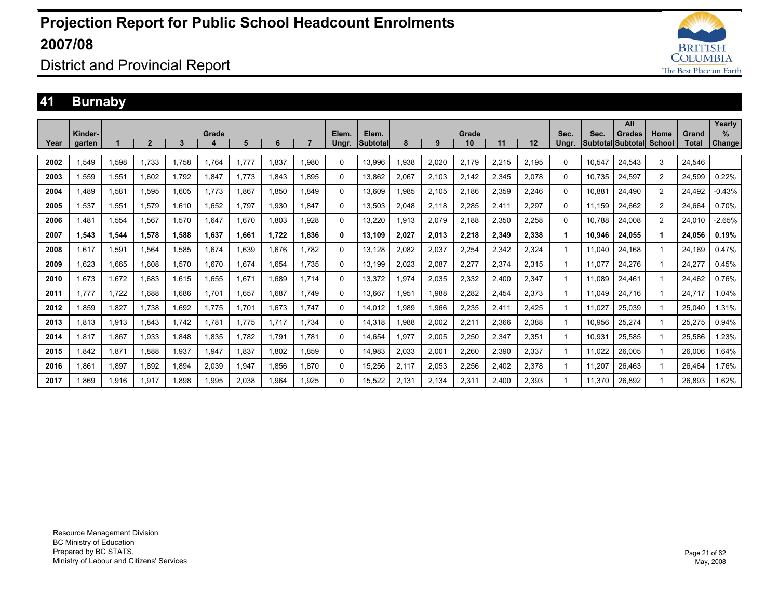

### District and Provincial Report

### **41 Burnaby**

|      |         |       |                |       |       |       |       |       |          |          |       |       |       |       |       |       |        | All               |                |        | Yearly        |
|------|---------|-------|----------------|-------|-------|-------|-------|-------|----------|----------|-------|-------|-------|-------|-------|-------|--------|-------------------|----------------|--------|---------------|
|      | Kinder- |       |                |       | Grade |       |       |       | Elem.    | Elem.    |       |       | Grade |       |       | Sec.  | Sec.   | <b>Grades</b>     | Home           | Grand  | $\%$          |
| Year | garten  |       | $\overline{2}$ | 3     | 4     | 5     | 6     |       | Ungr.    | Subtotal | 8     | 9     | 10    | 11    | 12    | Ungr. |        | Subtotal Subtotal | School         | Total  | <b>Change</b> |
|      |         |       |                |       |       |       |       |       |          |          |       |       |       |       |       |       |        |                   |                |        |               |
| 2002 | 1,549   | 1,598 | 1.733          | 1.758 | 1.764 | 1,777 | 1,837 | 1,980 | $\Omega$ | 13,996   | .938  | 2,020 | 2,179 | 2,215 | 2,195 | 0     | 10,547 | 24,543            | 3              | 24,546 |               |
| 2003 | 1,559   | 1,551 | 1.602          | 1.792 | 1,847 | 1.773 | 1,843 | 1.895 | 0        | 13.862   | 2,067 | 2,103 | 2,142 | 2,345 | 2,078 | 0     | 10.735 | 24,597            | 2              | 24,599 | 0.22%         |
| 2004 | 1.489   | 1,581 | 1.595          | 1.605 | 1.773 | .867  | 1.850 | 1.849 | 0        | 13.609   | .985  | 2,105 | 2,186 | 2,359 | 2,246 | 0     | 10.881 | 24,490            | $\overline{2}$ | 24.492 | $-0.43%$      |
| 2005 | 1,537   | 1,551 | 1.579          | 1.610 | 1.652 | .797  | 1,930 | 1.847 | $\Omega$ | 13.503   | 2,048 | 2.118 | 2,285 | 2,411 | 2.297 | 0     | 11.159 | 24.662            | 2              | 24.664 | 0.70%         |
| 2006 | 1.481   | 1,554 | 1,567          | 1,570 | 1,647 | .670  | 1.803 | 1.928 | $\Omega$ | 13,220   | .913  | 2,079 | 2,188 | 2,350 | 2,258 | 0     | 10.788 | 24,008            | 2              | 24.010 | $-2.65%$      |
| 2007 | 1,543   | 1,544 | 1,578          | 1,588 | 1,637 | 1,661 | 1,722 | 1,836 | 0        | 13,109   | 2,027 | 2,013 | 2,218 | 2,349 | 2,338 | 1.    | 10.946 | 24,055            | 1              | 24.056 | 0.19%         |
| 2008 | 1.617   | 1,591 | 1.564          | 1.585 | 1.674 | .639  | 1.676 | 1.782 | $\Omega$ | 13.128   | 2.082 | 2,037 | 2,254 | 2,342 | 2.324 |       | 11.040 | 24.168            |                | 24.169 | 0.47%         |
| 2009 | 1.623   | 1.665 | 1.608          | 1.570 | 1.670 | .674  | 1.654 | 1.735 | $\Omega$ | 13.199   | 2.023 | 2,087 | 2,277 | 2.374 | 2.315 |       | 11.077 | 24.276            | 1              | 24.277 | 0.45%         |
| 2010 | 1.673   | 1,672 | 1.683          | 1.615 | 1.655 | .671  | 1.689 | 1.714 | $\Omega$ | 13.372   | .974  | 2,035 | 2,332 | 2.400 | 2.347 |       | 11.089 | 24.461            | -1             | 24.462 | 0.76%         |
| 2011 | 1.777   | 1,722 | 1.688          | 1.686 | 1.701 | ,657  | 1.687 | 1.749 | $\Omega$ | 13.667   | .951  | 1,988 | 2,282 | 2,454 | 2,373 |       | 11.049 | 24,716            | -1             | 24.717 | 1.04%         |
| 2012 | 1.859   | 1,827 | 1.738          | 1.692 | 1.775 | .701  | 1,673 | 1.747 | $\Omega$ | 14.012   | .989  | 1,966 | 2,235 | 2.411 | 2.425 |       | 11.027 | 25,039            | 1              | 25.040 | 1.31%         |
| 2013 | 1.813   | 1,913 | 1.843          | 1.742 | 1.781 | .775  | 1.717 | 1.734 | $\Omega$ | 14.318   | .988  | 2,002 | 2,211 | 2,366 | 2,388 |       | 10.956 | 25,274            | 1              | 25,275 | 0.94%         |
| 2014 | 1,817   | 1,867 | 1,933          | 1,848 | 1,835 | .782  | 1,791 | 1.781 | $\Omega$ | 14.654   | ,977  | 2,005 | 2,250 | 2,347 | 2,351 |       | 10,931 | 25,585            | 1              | 25,586 | .23%          |
| 2015 | 1,842   | 1,871 | 1.888          | 1,937 | 1,947 | .837  | 1,802 | 1.859 | $\Omega$ | 14,983   | 2,033 | 2,001 | 2,260 | 2,390 | 2,337 |       | 11,022 | 26,005            | 1              | 26,006 | 1.64%         |
| 2016 | 1,861   | 1,897 | 1,892          | 1,894 | 2,039 | .947  | 1,856 | 1.870 | $\Omega$ | 15,256   | 2,117 | 2,053 | 2,256 | 2,402 | 2,378 |       | 11,207 | 26,463            | 1              | 26.464 | 1.76%         |
| 2017 | 1.869   | 1.916 | 1.917          | 898.  | 1.995 | 2.038 | 1.964 | 1.925 | $\Omega$ | 15.522   | 2.131 | 2.134 | 2.311 | 2.400 | 2.393 |       | 11.370 | 26.892            |                | 26.893 | 1.62%         |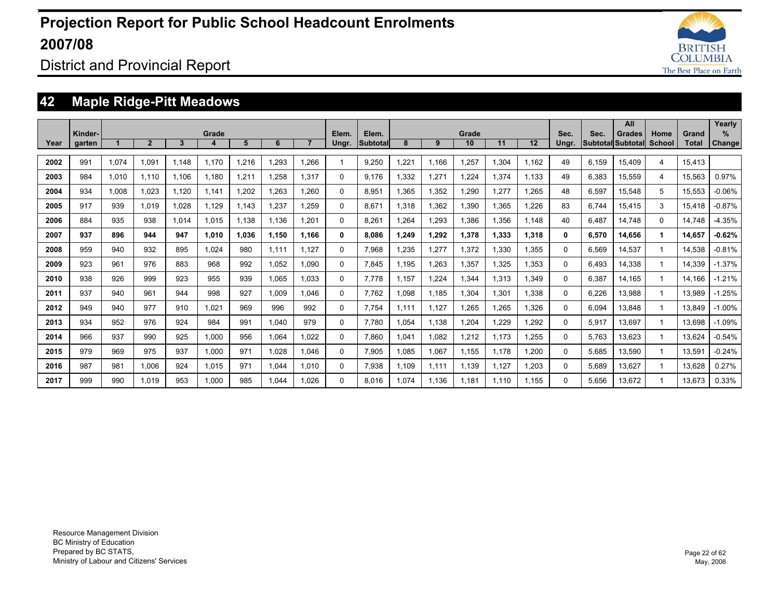

District and Provincial Report

### **42 Maple Ridge-Pitt Meadows**

|      |                   |       |                |       |            |       |       |                |                |                          |       |       |             |       |       |               |                                  | All           |                       |                | Yearly                |
|------|-------------------|-------|----------------|-------|------------|-------|-------|----------------|----------------|--------------------------|-------|-------|-------------|-------|-------|---------------|----------------------------------|---------------|-----------------------|----------------|-----------------------|
| Year | Kinder-<br>garten |       | $\overline{2}$ | 3     | Grade<br>4 | 5     | 6     | $\overline{7}$ | Elem.<br>Ungr. | Elem.<br><b>Subtotal</b> | 8     | 9     | Grade<br>10 | 11    | 12    | Sec.<br>Ungr. | Sec.<br><b>Subtotal Subtotal</b> | <b>Grades</b> | Home<br><b>School</b> | Grand<br>Total | $\%$<br><b>Change</b> |
|      |                   |       |                |       |            |       |       |                |                |                          |       |       |             |       |       |               |                                  |               |                       |                |                       |
| 2002 | 991               | 1,074 | 1,091          | 1.148 | 1.170      | .216  | ,293  | 1.266          |                | 9,250                    | 1,221 | 1.166 | 1,257       | 1,304 | 1.162 | 49            | 6,159                            | 15.409        | 4                     | 15.413         |                       |
| 2003 | 984               | 1.010 | 1.110          | 1.106 | 1.180      | 1,211 | 1.258 | 1.317          | 0              | 9.176                    | 1.332 | 1,271 | 1.224       | 1,374 | 1.133 | 49            | 6,383                            | 15.559        | 4                     | 15.563         | 0.97%                 |
| 2004 | 934               | 1.008 | 1.023          | 1.120 | 1.141      | 1.202 | 1.263 | 1.260          | 0              | 8.951                    | 1.365 | 1.352 | 1.290       | 1.277 | 1.265 | 48            | 6,597                            | 15.548        | 5                     | 15.553         | $-0.06%$              |
| 2005 | 917               | 939   | 1.019          | 1.028 | 1.129      | 1.143 | 1.237 | 1.259          | 0              | 8.671                    | 1.318 | 1.362 | 1.390       | 1.365 | .226  | 83            | 6.744                            | 15.415        | 3                     | 15.418         | $-0.87%$              |
| 2006 | 884               | 935   | 938            | 1.014 | 1,015      | 1,138 | 1,136 | 1,201          | 0              | 8,261                    | 1.264 | 1,293 | 1,386       | 1,356 | 1.148 | 40            | 6.487                            | 14.748        | $\Omega$              | 14.748         | $-4.35%$              |
| 2007 | 937               | 896   | 944            | 947   | 1,010      | 1.036 | 1.150 | 1.166          | 0              | 8.086                    | 1.249 | 1,292 | 1,378       | 1,333 | 1,318 | 0             | 6,570                            | 14,656        | 1                     | 14.657         | $-0.62%$              |
| 2008 | 959               | 940   | 932            | 895   | 1.024      | 980   | 1.111 | 1.127          | 0              | 7.968                    | 1.235 | 1.277 | 1.372       | 1,330 | 1.355 | 0             | 6.569                            | 14.537        |                       | 14.538         | $-0.81%$              |
| 2009 | 923               | 961   | 976            | 883   | 968        | 992   | 1.052 | 1.090          | 0              | 7.845                    | 1.195 | 1.263 | 1.357       | 1.325 | .353  | $\Omega$      | 6.493                            | 14.338        |                       | 14.339         | $-1.37%$              |
| 2010 | 938               | 926   | 999            | 923   | 955        | 939   | 1.065 | 1.033          | 0              | 7.778                    | 1.157 | 1.224 | 1.344       | 1,313 | .349  | 0             | 6.387                            | 14.165        |                       | 14.166         | $-1.21%$              |
| 2011 | 937               | 940   | 961            | 944   | 998        | 927   | 1.009 | 1.046          | 0              | 7.762                    | 1.098 | 1.185 | 1.304       | 1.301 | .338  | 0             | 6.226                            | 13.988        |                       | 13.989         | $-1.25%$              |
| 2012 | 949               | 940   | 977            | 910   | 1.021      | 969   | 996   | 992            | 0              | 7,754                    | 1.111 | 1,127 | 1,265       | 1,265 | .326  | $\Omega$      | 6,094                            | 13,848        |                       | 13,849         | $-1.00%$              |
| 2013 | 934               | 952   | 976            | 924   | 984        | 991   | 1.040 | 979            | 0              | 7,780                    | 1,054 | 1,138 | 1,204       | ,229  | .292  | 0             | 5,917                            | 13,697        |                       | 13,698         | $-1.09%$              |
| 2014 | 966               | 937   | 990            | 925   | 1.000      | 956   | 1.064 | 1.022          | 0              | 7.860                    | 1.041 | 1,082 | 1,212       | 1,173 | .255  | 0             | 5,763                            | 13.623        |                       | 13,624         | $-0.54%$              |
| 2015 | 979               | 969   | 975            | 937   | 1.000      | 971   | 1,028 | 1.046          | 0              | 7.905                    | 1.085 | 1,067 | 1,155       | 1.178 | ,200  | 0             | 5,685                            | 13,590        |                       | 13,591         | $-0.24%$              |
| 2016 | 987               | 981   | 1,006          | 924   | 1,015      | 971   | 1,044 | 1.010          | 0              | 7,938                    | 1.109 | 1,111 | 1,139       | 1,127 | ,203  | 0             | 5,689                            | 13,627        |                       | 13,628         | 0.27%                 |
| 2017 | 999               | 990   | 1.019          | 953   | 1.000      | 985   | 1.044 | 1.026          | 0              | 8.016                    | 1.074 | 1.136 | 1.181       | 1.110 | 1.155 | $\Omega$      | 5.656                            | 13.672        |                       | 13.673         | 0.33%                 |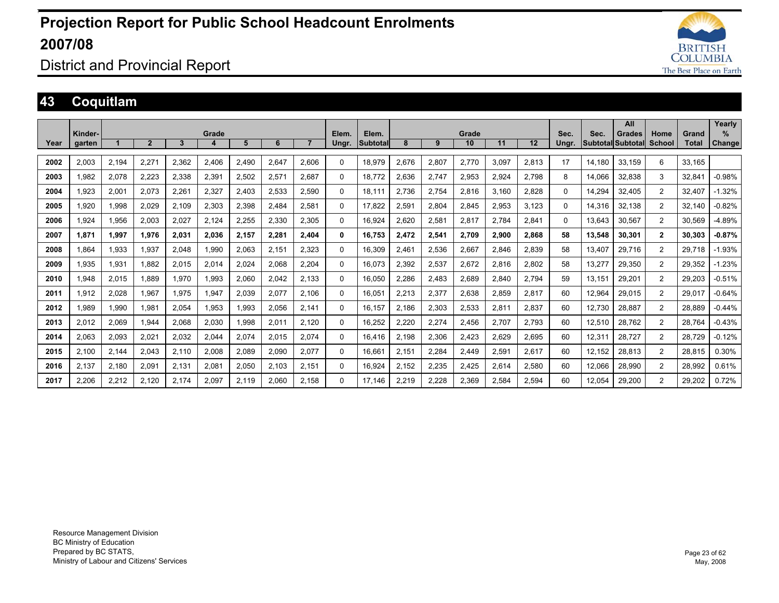

### District and Provincial Report

### **43 Coquitlam**

|      |         |       |                |       |       |       |       |                |          |          |       |       |       |       |       |          |        | All               |                |        | Yearly   |
|------|---------|-------|----------------|-------|-------|-------|-------|----------------|----------|----------|-------|-------|-------|-------|-------|----------|--------|-------------------|----------------|--------|----------|
|      | Kinder- |       |                |       | Grade |       |       |                | Elem.    | Elem.    |       |       | Grade |       |       | Sec.     | Sec.   | <b>Grades</b>     | Home           | Grand  | %        |
| Year | garten  |       | $\overline{2}$ | 3     | 4     | 5     | 6     | $\overline{7}$ | Ungr.    | Subtotal | 8     | 9     | 10    | 11    | 12    | Ungr.    |        | Subtotal Subtotal | School         | Total  | Change   |
|      |         |       |                |       |       |       |       |                |          |          |       |       |       |       |       |          |        |                   |                |        |          |
| 2002 | 2,003   | 2,194 | 2,271          | 2,362 | 2,406 | 2,490 | 2,647 | 2,606          | $\Omega$ | 18,979   | 2,676 | 2,807 | 2,770 | 3.097 | 2,813 | 17       | 14,180 | 33,159            | 6              | 33.165 |          |
| 2003 | 1,982   | 2,078 | 2.223          | 2,338 | 2,391 | 2,502 | 2,571 | 2,687          | 0        | 18.772   | 2.636 | 2,747 | 2,953 | 2,924 | 2.798 | 8        | 14.066 | 32,838            | 3              | 32.841 | $-0.98%$ |
| 2004 | 1,923   | 2,001 | 2,073          | 2.261 | 2,327 | 2.403 | 2,533 | 2,590          | 0        | 18.111   | 2,736 | 2,754 | 2,816 | 3.160 | 2.828 | $\Omega$ | 14.294 | 32,405            | 2              | 32.407 | $-1.32%$ |
| 2005 | 1,920   | 1,998 | 2,029          | 2,109 | 2,303 | 2,398 | 2,484 | 2,581          | $\Omega$ | 17.822   | 2,591 | 2,804 | 2,845 | 2,953 | 3,123 | $\Omega$ | 14,316 | 32,138            | 2              | 32.140 | $-0.82%$ |
| 2006 | 1.924   | 1,956 | 2,003          | 2,027 | 2.124 | 2,255 | 2,330 | 2,305          | 0        | 16.924   | 2.620 | 2,581 | 2.817 | 2.784 | 2.841 | $\Omega$ | 13.643 | 30.567            | 2              | 30.569 | $-4.89%$ |
| 2007 | 1,871   | 1,997 | 1,976          | 2,031 | 2,036 | 2,157 | 2,281 | 2,404          | 0        | 16,753   | 2,472 | 2,541 | 2,709 | 2,900 | 2,868 | 58       | 13,548 | 30,301            | $\mathbf{2}$   | 30,303 | $-0.87%$ |
| 2008 | 1.864   | 1,933 | 1.937          | 2.048 | 1.990 | 2.063 | 2,151 | 2,323          | $\Omega$ | 16.309   | 2,461 | 2,536 | 2,667 | 2.846 | 2.839 | 58       | 13.407 | 29,716            | 2              | 29.718 | $-1.93%$ |
| 2009 | 1,935   | 1,931 | 1.882          | 2,015 | 2,014 | 2,024 | 2,068 | 2,204          | $\Omega$ | 16,073   | 2,392 | 2,537 | 2,672 | 2,816 | 2,802 | 58       | 13.277 | 29,350            | 2              | 29,352 | $-1.23%$ |
| 2010 | 1,948   | 2,015 | 1.889          | 1,970 | .993  | 2.060 | 2,042 | 2,133          | $\Omega$ | 16,050   | 2,286 | 2,483 | 2,689 | 2.840 | 2.794 | 59       | 13.151 | 29,201            | 2              | 29,203 | $-0.51%$ |
| 2011 | 1,912   | 2,028 | 1.967          | 1.975 | 1,947 | 2.039 | 2,077 | 2.106          | $\Omega$ | 16.051   | 2,213 | 2,377 | 2.638 | 2.859 | 2.817 | 60       | 12.964 | 29.015            | 2              | 29.017 | $-0.64%$ |
| 2012 | 1,989   | 1,990 | 1,981          | 2,054 | 1,953 | 1,993 | 2,056 | 2.141          | $\Omega$ | 16.157   | 2,186 | 2,303 | 2,533 | 2,811 | 2,837 | 60       | 12,730 | 28,887            | 2              | 28.889 | $-0.44%$ |
| 2013 | 2,012   | 2,069 | 1.944          | 2,068 | 2,030 | 1,998 | 2,011 | 2,120          | 0        | 16,252   | 2,220 | 2,274 | 2,456 | 2.707 | 2.793 | 60       | 12,510 | 28,762            | 2              | 28.764 | $-0.43%$ |
| 2014 | 2,063   | 2,093 | 2,021          | 2,032 | 2,044 | 2,074 | 2,015 | 2,074          | $\Omega$ | 16,416   | 2,198 | 2,306 | 2,423 | 2,629 | 2,695 | 60       | 12,311 | 28,727            | 2              | 28,729 | $-0.12%$ |
| 2015 | 2.100   | 2,144 | 2,043          | 2.110 | 2,008 | 2,089 | 2,090 | 2,077          | 0        | 16.661   | 2,151 | 2,284 | 2,449 | 2,591 | 2,617 | 60       | 12.152 | 28,813            | $\overline{2}$ | 28,815 | 0.30%    |
| 2016 | 2,137   | 2,180 | 2,091          | 2,131 | 2,081 | 2,050 | 2,103 | 2,151          | 0        | 16,924   | 2,152 | 2,235 | 2,425 | 2,614 | 2,580 | 60       | 12,066 | 28,990            | $\overline{c}$ | 28,992 | 0.61%    |
| 2017 | 2,206   | 2,212 | 2.120          | 2.174 | 2,097 | 2.119 | 2,060 | 2.158          | $\Omega$ | 17.146   | 2,219 | 2,228 | 2,369 | 2.584 | 2,594 | 60       | 12.054 | 29,200            | $\overline{2}$ | 29,202 | 0.72%    |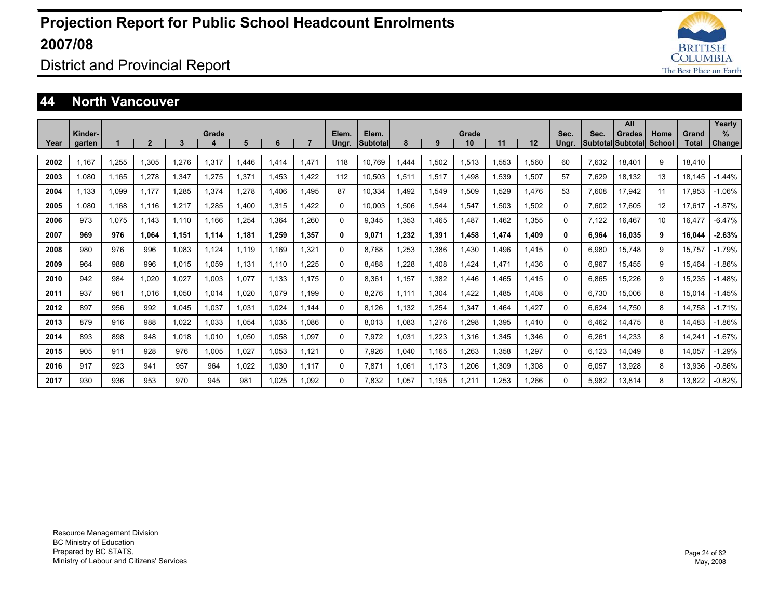

### District and Provincial Report

#### **44 North Vancouver**

|      |                   |       |                |       |            |        |       |                |                |                          |       |       |             |       |       |               |       | All                                |                       |                | Yearly             |
|------|-------------------|-------|----------------|-------|------------|--------|-------|----------------|----------------|--------------------------|-------|-------|-------------|-------|-------|---------------|-------|------------------------------------|-----------------------|----------------|--------------------|
| Year | Kinder-<br>garten |       | $\overline{2}$ | 3     | Grade<br>4 | 5      | 6     | $\overline{7}$ | Elem.<br>Ungr. | Elem.<br><b>Subtotal</b> | 8     | 9     | Grade<br>10 | 11    | 12    | Sec.<br>Ungr. | Sec.  | <b>Grades</b><br>Subtotal Subtotal | Home<br><b>School</b> | Grand<br>Total | %<br><b>Change</b> |
|      |                   |       |                |       |            |        |       |                |                |                          |       |       |             |       |       |               |       |                                    |                       |                |                    |
| 2002 | 1.167             | 1.255 | 1.305          | 1.276 | 1,317      | .446   | 1.414 | 1.471          | 118            | 10.769                   | .444  | 1.502 | 1.513       | 1.553 | .560  | 60            | 7.632 | 18.401                             | 9                     | 18.410         |                    |
| 2003 | 1.080             | 1.165 | 1.278          | 1.347 | 1.275      | 1.371  | 1.453 | 1.422          | 112            | 10.503                   | 1.511 | 1.517 | 1.498       | 1.539 | 1.507 | 57            | 7.629 | 18.132                             | 13                    | 18.145         | $-1.44%$           |
| 2004 | 1.133             | 1.099 | 1.177          | .285  | 1.374      | .278   | 1.406 | 1.495          | 87             | 10.334                   | 1.492 | 1.549 | 1.509       | 1.529 | 1.476 | 53            | 7.608 | 17.942                             | 11                    | 17.953         | $-1.06%$           |
| 2005 | 1.080             | 1.168 | 1.116          | .217  | 1.285      | 1.400  | 1,315 | 1.422          | 0              | 10.003                   | 1.506 | 1,544 | 1.547       | 1.503 | .502  | $\Omega$      | 7.602 | 17.605                             | 12                    | 17.617         | $-1.87%$           |
| 2006 | 973               | 1.075 | 1.143          | 1.110 | 1.166      | 1.254  | 1.364 | 1.260          | 0              | 9.345                    | 1.353 | 1.465 | 1,487       | 1.462 | 1,355 | $\Omega$      | 7.122 | 16.467                             | 10                    | 16.477         | $-6.47%$           |
| 2007 | 969               | 976   | 1.064          | 1,151 | 1,114      | 1,181  | 1.259 | 1,357          | 0              | 9,071                    | 1,232 | 1,391 | 1,458       | 1,474 | 1.409 | $\bf{0}$      | 6,964 | 16.035                             | 9                     | 16.044         | $-2.63%$           |
| 2008 | 980               | 976   | 996            | 1.083 | 1.124      | 1.119  | 1.169 | 1,321          | 0              | 8.768                    | .253  | 1,386 | 1,430       | 1.496 | 1.415 | 0             | 6,980 | 15.748                             | 9                     | 15.757         | $-1.79%$           |
| 2009 | 964               | 988   | 996            | 1.015 | 1,059      | 1,131  | 1.110 | .225           | 0              | 8.488                    | .228  | 1.408 | 1.424       | 1.471 | .436  | $\Omega$      | 6,967 | 15.455                             | 9                     | 15.464         | $-1.86%$           |
| 2010 | 942               | 984   | 1.020          | 027   | 1,003      | 1,077  | 1,133 | 1.175          | 0              | 8,361                    | 1.157 | 1,382 | 1.446       | 1.465 | 1.415 | $\Omega$      | 6,865 | 15,226                             | 9                     | 15,235         | $-1.48%$           |
| 2011 | 937               | 961   | 1.016          | 1.050 | 1,014      | 020, ا | 1.079 | 1.199          | 0              | 8.276                    | 1.111 | 1,304 | 1,422       | 1.485 | .408  | 0             | 6.730 | 15,006                             | 8                     | 15.014         | $-1.45%$           |
| 2012 | 897               | 956   | 992            | .045  | 1.037      | 1,031  | 1.024 | 1.144          | 0              | 8.126                    | 1.132 | 1,254 | 1.347       | 1.464 | .427  | 0             | 6,624 | 14.750                             | 8                     | 14.758         | $-1.71%$           |
| 2013 | 879               | 916   | 988            | 022   | 1,033      | 1,054  | 1,035 | 1.086          | 0              | 8.013                    | 1.083 | 1,276 | 1,298       | 1,395 | 1.410 | 0             | 6.462 | 14,475                             | 8                     | 14.483         | $-1.86%$           |
| 2014 | 893               | 898   | 948            | 1.018 | 1,010      | 1,050  | 1.058 | 1.097          | 0              | 7,972                    | 1.031 | 1,223 | 1.316       | 1,345 | .346  | 0             | 6,261 | 14.233                             | 8                     | 14.241         | $-1.67%$           |
| 2015 | 905               | 911   | 928            | 976   | 1.005      | 1,027  | 1,053 | 1.121          | 0              | 7.926                    | 1.040 | 1.165 | 1,263       | 1,358 | .297  | 0             | 6.123 | 14.049                             | 8                     | 14.057         | $-1.29%$           |
| 2016 | 917               | 923   | 941            | 957   | 964        | 1,022  | 1,030 | 1.117          | 0              | 7,871                    | 1,061 | 1.173 | 1,206       | 1,309 | .308  | 0             | 6,057 | 13,928                             | 8                     | 13,936         | $-0.86%$           |
| 2017 | 930               | 936   | 953            | 970   | 945        | 981    | 1.025 | 1.092          | 0              | 7.832                    | 1.057 | 1.195 | 1.211       | .253  | .266  | $\Omega$      | 5.982 | 13.814                             | 8                     | 13.822         | $-0.82%$           |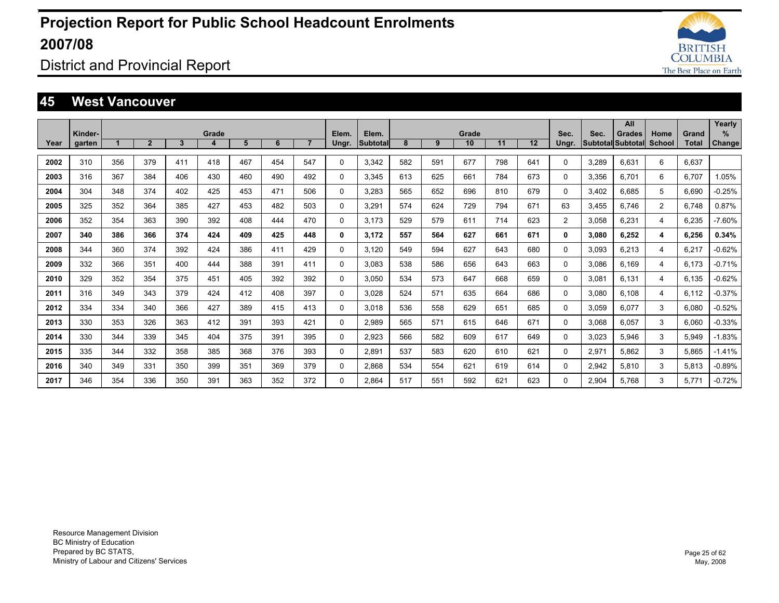

### District and Provincial Report

#### **45 West Vancouver**

|      |                   |     |                |              |            |     |     |                |                |                   |     |     |             |     |     |               |       | All                                       |                |                | Yearly                |
|------|-------------------|-----|----------------|--------------|------------|-----|-----|----------------|----------------|-------------------|-----|-----|-------------|-----|-----|---------------|-------|-------------------------------------------|----------------|----------------|-----------------------|
| Year | Kinder-<br>garten |     | $\overline{2}$ | $\mathbf{3}$ | Grade<br>4 | 5   | 6   | $\overline{7}$ | Elem.<br>Ungr. | Elem.<br>Subtotal | 8   | 9   | Grade<br>10 | 11  | 12  | Sec.<br>Ungr. | Sec.  | <b>Grades</b><br><b>Subtotal Subtotal</b> | Home<br>School | Grand<br>Total | $\%$<br><b>Change</b> |
|      |                   |     |                |              |            |     |     |                |                |                   |     |     |             |     |     |               |       |                                           |                |                |                       |
| 2002 | 310               | 356 | 379            | 411          | 418        | 467 | 454 | 547            | $\Omega$       | 3,342             | 582 | 591 | 677         | 798 | 641 | $\Omega$      | 3,289 | 6,631                                     | 6              | 6,637          |                       |
| 2003 | 316               | 367 | 384            | 406          | 430        | 460 | 490 | 492            | 0              | 3.345             | 613 | 625 | 661         | 784 | 673 | 0             | 3,356 | 6.701                                     | 6              | 6.707          | 1.05%                 |
| 2004 | 304               | 348 | 374            | 402          | 425        | 453 | 471 | 506            | 0              | 3.283             | 565 | 652 | 696         | 810 | 679 | 0             | 3.402 | 6.685                                     | 5              | 6.690          | $-0.25%$              |
| 2005 | 325               | 352 | 364            | 385          | 427        | 453 | 482 | 503            | $\Omega$       | 3.291             | 574 | 624 | 729         | 794 | 671 | 63            | 3.455 | 6.746                                     | $\overline{2}$ | 6.748          | 0.87%                 |
| 2006 | 352               | 354 | 363            | 390          | 392        | 408 | 444 | 470            | $\Omega$       | 3.173             | 529 | 579 | 611         | 714 | 623 | 2             | 3,058 | 6,231                                     | 4              | 6,235          | $-7.60%$              |
| 2007 | 340               | 386 | 366            | 374          | 424        | 409 | 425 | 448            | 0              | 3.172             | 557 | 564 | 627         | 661 | 671 | $\mathbf{0}$  | 3,080 | 6.252                                     | 4              | 6,256          | 0.34%                 |
| 2008 | 344               | 360 | 374            | 392          | 424        | 386 | 411 | 429            | $\Omega$       | 3.120             | 549 | 594 | 627         | 643 | 680 | 0             | 3.093 | 6,213                                     | 4              | 6.217          | $-0.62%$              |
| 2009 | 332               | 366 | 351            | 400          | 444        | 388 | 391 | 411            | $\Omega$       | 3.083             | 538 | 586 | 656         | 643 | 663 | 0             | 3.086 | 6.169                                     | 4              | 6.173          | $-0.71%$              |
| 2010 | 329               | 352 | 354            | 375          | 451        | 405 | 392 | 392            | $\Omega$       | 3.050             | 534 | 573 | 647         | 668 | 659 | 0             | 3,081 | 6.131                                     | 4              | 6.135          | $-0.62%$              |
| 2011 | 316               | 349 | 343            | 379          | 424        | 412 | 408 | 397            | $\Omega$       | 3.028             | 524 | 571 | 635         | 664 | 686 | 0             | 3.080 | 6.108                                     | 4              | 6.112          | $-0.37%$              |
| 2012 | 334               | 334 | 340            | 366          | 427        | 389 | 415 | 413            | $\Omega$       | 3.018             | 536 | 558 | 629         | 651 | 685 | 0             | 3,059 | 6,077                                     | 3              | 6,080          | $-0.52%$              |
| 2013 | 330               | 353 | 326            | 363          | 412        | 391 | 393 | 421            | $\Omega$       | 2,989             | 565 | 571 | 615         | 646 | 671 | 0             | 3,068 | 6.057                                     | 3              | 6,060          | $-0.33%$              |
| 2014 | 330               | 344 | 339            | 345          | 404        | 375 | 391 | 395            | 0              | 2,923             | 566 | 582 | 609         | 617 | 649 | 0             | 3,023 | 5.946                                     | 3              | 5,949          | $-1.83%$              |
| 2015 | 335               | 344 | 332            | 358          | 385        | 368 | 376 | 393            | 0              | 2,891             | 537 | 583 | 620         | 610 | 621 | 0             | 2,971 | 5.862                                     | 3              | 5.865          | $-1.41%$              |
| 2016 | 340               | 349 | 331            | 350          | 399        | 351 | 369 | 379            | $\Omega$       | 2,868             | 534 | 554 | 621         | 619 | 614 | 0             | 2,942 | 5.810                                     | 3              | 5,813          | $-0.89%$              |
| 2017 | 346               | 354 | 336            | 350          | 391        | 363 | 352 | 372            | $\Omega$       | 2.864             | 517 | 551 | 592         | 621 | 623 | $\Omega$      | 2.904 | 5.768                                     | 3              | 5.771          | $-0.72%$              |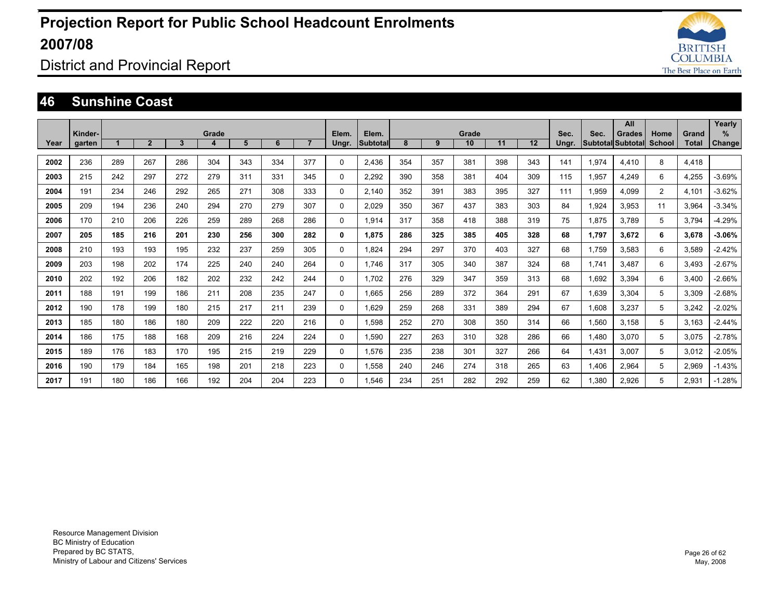

District and Provincial Report

#### **46 Sunshine Coast**

|      |                   |     |              |     |            |     |     |                |                |                          |     |     |             |     |     |               |       | All                                       |                       |                       | Yearly             |
|------|-------------------|-----|--------------|-----|------------|-----|-----|----------------|----------------|--------------------------|-----|-----|-------------|-----|-----|---------------|-------|-------------------------------------------|-----------------------|-----------------------|--------------------|
| Year | Kinder-<br>garten |     | $\mathbf{2}$ | 3   | Grade<br>4 | 5   | 6   | $\overline{7}$ | Elem.<br>Ungr. | Elem.<br><b>Subtotal</b> | 8   | 9   | Grade<br>10 | 11  | 12  | Sec.<br>Ungr. | Sec.  | <b>Grades</b><br><b>Subtotal Subtotal</b> | Home<br><b>School</b> | Grand<br><b>Total</b> | %<br><b>Change</b> |
|      |                   |     |              |     |            |     |     |                |                |                          |     |     |             |     |     |               |       |                                           |                       |                       |                    |
| 2002 | 236               | 289 | 267          | 286 | 304        | 343 | 334 | 377            | $\mathbf{0}$   | 2,436                    | 354 | 357 | 381         | 398 | 343 | 141           | 1,974 | 4.410                                     | 8                     | 4,418                 |                    |
| 2003 | 215               | 242 | 297          | 272 | 279        | 311 | 331 | 345            | $\Omega$       | 2.292                    | 390 | 358 | 381         | 404 | 309 | 115           | 1.957 | 4.249                                     | 6                     | 4,255                 | $-3.69%$           |
| 2004 | 191               | 234 | 246          | 292 | 265        | 271 | 308 | 333            | 0              | 2.140                    | 352 | 391 | 383         | 395 | 327 | 111           | 1.959 | 4.099                                     | $\overline{2}$        | 4.101                 | $-3.62%$           |
| 2005 | 209               | 194 | 236          | 240 | 294        | 270 | 279 | 307            | 0              | 2.029                    | 350 | 367 | 437         | 383 | 303 | 84            | 1.924 | 3.953                                     | 11                    | 3.964                 | $-3.34%$           |
| 2006 | 170               | 210 | 206          | 226 | 259        | 289 | 268 | 286            | 0              | 1,914                    | 317 | 358 | 418         | 388 | 319 | 75            | 1,875 | 3.789                                     | 5                     | 3.794                 | $-4.29%$           |
| 2007 | 205               | 185 | 216          | 201 | 230        | 256 | 300 | 282            | 0              | 1.875                    | 286 | 325 | 385         | 405 | 328 | 68            | 1,797 | 3.672                                     | 6                     | 3,678                 | $-3.06%$           |
| 2008 | 210               | 193 | 193          | 195 | 232        | 237 | 259 | 305            | $\Omega$       | 1,824                    | 294 | 297 | 370         | 403 | 327 | 68            | 1,759 | 3,583                                     | 6                     | 3,589                 | $-2.42%$           |
| 2009 | 203               | 198 | 202          | 174 | 225        | 240 | 240 | 264            | $\Omega$       | 1.746                    | 317 | 305 | 340         | 387 | 324 | 68            | 1,741 | 3.487                                     | 6                     | 3,493                 | $-2.67%$           |
| 2010 | 202               | 192 | 206          | 182 | 202        | 232 | 242 | 244            | $\Omega$       | 1,702                    | 276 | 329 | 347         | 359 | 313 | 68            | 1,692 | 3,394                                     | 6                     | 3,400                 | $-2.66%$           |
| 2011 | 188               | 191 | 199          | 186 | 211        | 208 | 235 | 247            | 0              | 1.665                    | 256 | 289 | 372         | 364 | 291 | 67            | 1,639 | 3,304                                     | 5                     | 3,309                 | $-2.68%$           |
| 2012 | 190               | 178 | 199          | 180 | 215        | 217 | 211 | 239            | $\mathbf 0$    | 1.629                    | 259 | 268 | 331         | 389 | 294 | 67            | 1,608 | 3.237                                     | 5                     | 3,242                 | $-2.02%$           |
| 2013 | 185               | 180 | 186          | 180 | 209        | 222 | 220 | 216            | $\mathbf{0}$   | 1.598                    | 252 | 270 | 308         | 350 | 314 | 66            | 1,560 | 3.158                                     | 5                     | 3,163                 | $-2.44%$           |
| 2014 | 186               | 175 | 188          | 168 | 209        | 216 | 224 | 224            | 0              | 1,590                    | 227 | 263 | 310         | 328 | 286 | 66            | 1,480 | 3,070                                     | 5                     | 3,075                 | $-2.78%$           |
| 2015 | 189               | 176 | 183          | 170 | 195        | 215 | 219 | 229            | 0              | 1,576                    | 235 | 238 | 301         | 327 | 266 | 64            | 1,431 | 3,007                                     | 5                     | 3,012                 | $-2.05%$           |
| 2016 | 190               | 179 | 184          | 165 | 198        | 201 | 218 | 223            | 0              | 1,558                    | 240 | 246 | 274         | 318 | 265 | 63            | 1,406 | 2,964                                     | 5                     | 2,969                 | $-1.43%$           |
| 2017 | 191               | 180 | 186          | 166 | 192        | 204 | 204 | 223            | $\Omega$       | 1,546                    | 234 | 251 | 282         | 292 | 259 | 62            | 1,380 | 2.926                                     | 5                     | 2,931                 | $-1.28%$           |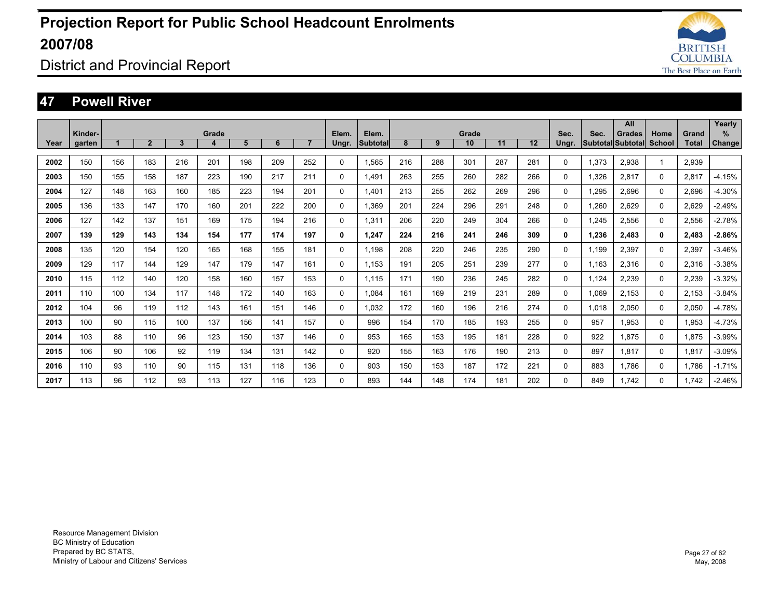

### District and Provincial Report

#### **47 Powell River**

|      | Kinder- |     |                |     | Grade |     |     |                | Elem.    | Elem.           |     |     | Grade |     |     | Sec.         | Sec.                     | All<br><b>Grades</b> | Home          | Grand | Yearly<br>%   |
|------|---------|-----|----------------|-----|-------|-----|-----|----------------|----------|-----------------|-----|-----|-------|-----|-----|--------------|--------------------------|----------------------|---------------|-------|---------------|
| Year | garten  |     | $\overline{2}$ | 3   | 4     | 5   | 6   | $\overline{7}$ | Ungr.    | <b>Subtotal</b> | 8   | 9   | 10    | 11  | 12  | Ungr.        | <b>Subtotal Subtotal</b> |                      | <b>School</b> | Total | <b>Change</b> |
| 2002 | 150     | 156 | 183            | 216 | 201   | 198 | 209 | 252            | 0        | 1.565           | 216 | 288 | 301   | 287 | 281 | 0            | 1,373                    | 2,938                |               | 2,939 |               |
| 2003 | 150     | 155 | 158            | 187 | 223   | 190 | 217 | 211            | 0        | 1.491           | 263 | 255 | 260   | 282 | 266 | 0            | 1,326                    | 2,817                | 0             | 2,817 | $-4.15%$      |
| 2004 | 127     | 148 | 163            | 160 | 185   | 223 | 194 | 201            | $\Omega$ | 1.401           | 213 | 255 | 262   | 269 | 296 | 0            | 1,295                    | 2,696                | $\Omega$      | 2,696 | $-4.30%$      |
| 2005 | 136     | 133 | 147            | 170 | 160   | 201 | 222 | 200            | $\Omega$ | 1.369           | 201 | 224 | 296   | 291 | 248 | 0            | 1,260                    | 2,629                | $\Omega$      | 2,629 | $-2.49%$      |
| 2006 | 127     | 142 | 137            | 151 | 169   | 175 | 194 | 216            | 0        | 1.311           | 206 | 220 | 249   | 304 | 266 | 0            | 1.245                    | 2,556                | 0             | 2,556 | $-2.78%$      |
| 2007 | 139     | 129 | 143            | 134 | 154   | 177 | 174 | 197            | 0        | 1.247           | 224 | 216 | 241   | 246 | 309 | 0            | 1.236                    | 2.483                | 0             | 2.483 | $-2.86%$      |
| 2008 | 135     | 120 | 154            | 120 | 165   | 168 | 155 | 181            | 0        | 1.198           | 208 | 220 | 246   | 235 | 290 | 0            | 1.199                    | 2.397                | 0             | 2.397 | $-3.46%$      |
| 2009 | 129     | 117 | 144            | 129 | 147   | 179 | 147 | 161            | 0        | 1.153           | 191 | 205 | 251   | 239 | 277 | 0            | 1.163                    | 2,316                | 0             | 2,316 | $-3.38%$      |
| 2010 | 115     | 112 | 140            | 120 | 158   | 160 | 157 | 153            | 0        | 1.115           | 171 | 190 | 236   | 245 | 282 | 0            | 1,124                    | 2,239                | 0             | 2,239 | $-3.32%$      |
| 2011 | 110     | 100 | 134            | 117 | 148   | 172 | 140 | 163            | 0        | 1.084           | 161 | 169 | 219   | 231 | 289 | 0            | 1,069                    | 2.153                | 0             | 2,153 | $-3.84%$      |
| 2012 | 104     | 96  | 119            | 112 | 143   | 161 | 151 | 146            | 0        | 1.032           | 172 | 160 | 196   | 216 | 274 | 0            | 1,018                    | 2,050                | 0             | 2,050 | $-4.78%$      |
| 2013 | 100     | 90  | 115            | 100 | 137   | 156 | 141 | 157            | 0        | 996             | 154 | 170 | 185   | 193 | 255 | 0            | 957                      | 1.953                | $\Omega$      | 1,953 | $-4.73%$      |
| 2014 | 103     | 88  | 110            | 96  | 123   | 150 | 137 | 146            | 0        | 953             | 165 | 153 | 195   | 181 | 228 | 0            | 922                      | 1.875                | 0             | 1.875 | $-3.99%$      |
| 2015 | 106     | 90  | 106            | 92  | 119   | 134 | 131 | 142            | $\Omega$ | 920             | 155 | 163 | 176   | 190 | 213 | 0            | 897                      | 1.817                | 0             | 1.817 | $-3.09%$      |
| 2016 | 110     | 93  | 110            | 90  | 115   | 131 | 118 | 136            | $\Omega$ | 903             | 150 | 153 | 187   | 172 | 221 | 0            | 883                      | 1.786                | 0             | 1.786 | $-1.71%$      |
| 2017 | 113     | 96  | 112            | 93  | 113   | 127 | 116 | 123            | $\Omega$ | 893             | 144 | 148 | 174   | 181 | 202 | $\mathbf{0}$ | 849                      | 1.742                | 0             | 1.742 | $-2.46%$      |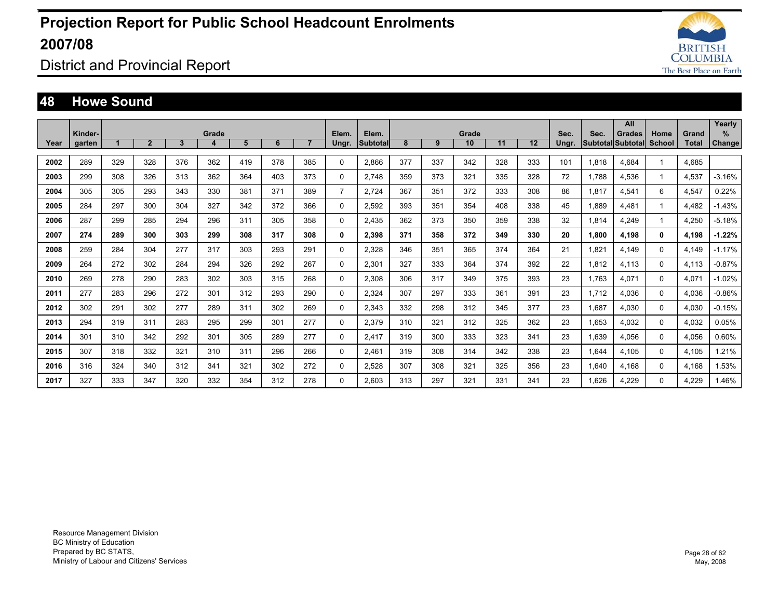

### District and Provincial Report

#### **48 Howe Sound**

|      | Kinder- |     |                |              | Grade |     |     |                | Elem.          | Elem.           |     |     | Grade |     |     | Sec.  | Sec.  | All<br><b>Grades</b>     | Home         | Grand | Yearly<br>%   |
|------|---------|-----|----------------|--------------|-------|-----|-----|----------------|----------------|-----------------|-----|-----|-------|-----|-----|-------|-------|--------------------------|--------------|-------|---------------|
| Year | garten  |     | $\overline{2}$ | $\mathbf{3}$ | 4     | 5   | 6   | $\overline{7}$ | Ungr.          | <b>Subtotal</b> | 8   | 9   | 10    | 11  | 12  | Ungr. |       | <b>Subtotal Subtotal</b> | School       | Total | <b>Change</b> |
| 2002 | 289     | 329 | 328            | 376          | 362   | 419 | 378 | 385            | 0              | 2,866           | 377 | 337 | 342   | 328 | 333 | 101   | 1,818 | 4.684                    | -1           | 4.685 |               |
| 2003 | 299     | 308 | 326            | 313          | 362   | 364 | 403 | 373            | $\mathbf 0$    | 2,748           | 359 | 373 | 321   | 335 | 328 | 72    | 1,788 | 4,536                    |              | 4,537 | $-3.16%$      |
| 2004 | 305     | 305 | 293            | 343          | 330   | 381 | 371 | 389            | $\overline{7}$ | 2,724           | 367 | 351 | 372   | 333 | 308 | 86    | 1.817 | 4,541                    | 6            | 4,547 | 0.22%         |
| 2005 | 284     | 297 | 300            | 304          | 327   | 342 | 372 | 366            | $\mathbf{0}$   | 2,592           | 393 | 351 | 354   | 408 | 338 | 45    | 1,889 | 4.481                    |              | 4.482 | $-1.43%$      |
| 2006 | 287     | 299 | 285            | 294          | 296   | 311 | 305 | 358            | 0              | 2.435           | 362 | 373 | 350   | 359 | 338 | 32    | 1.814 | 4.249                    |              | 4,250 | $-5.18%$      |
| 2007 | 274     | 289 | 300            | 303          | 299   | 308 | 317 | 308            | 0              | 2.398           | 371 | 358 | 372   | 349 | 330 | 20    | 1.800 | 4.198                    | $\mathbf{0}$ | 4.198 | $-1.22%$      |
| 2008 | 259     | 284 | 304            | 277          | 317   | 303 | 293 | 291            | 0              | 2.328           | 346 | 351 | 365   | 374 | 364 | 21    | 1.821 | 4.149                    | $\Omega$     | 4.149 | $-1.17%$      |
| 2009 | 264     | 272 | 302            | 284          | 294   | 326 | 292 | 267            | 0              | 2,301           | 327 | 333 | 364   | 374 | 392 | 22    | 1,812 | 4.113                    | 0            | 4,113 | $-0.87%$      |
| 2010 | 269     | 278 | 290            | 283          | 302   | 303 | 315 | 268            | 0              | 2.308           | 306 | 317 | 349   | 375 | 393 | 23    | 1.763 | 4.071                    | 0            | 4.071 | $-1.02%$      |
| 2011 | 277     | 283 | 296            | 272          | 301   | 312 | 293 | 290            | $\Omega$       | 2,324           | 307 | 297 | 333   | 361 | 391 | 23    | 1,712 | 4.036                    | $\Omega$     | 4,036 | $-0.86%$      |
| 2012 | 302     | 291 | 302            | 277          | 289   | 311 | 302 | 269            | $\mathbf 0$    | 2,343           | 332 | 298 | 312   | 345 | 377 | 23    | 1,687 | 4,030                    | $\Omega$     | 4,030 | $-0.15%$      |
| 2013 | 294     | 319 | 311            | 283          | 295   | 299 | 301 | 277            | $\Omega$       | 2,379           | 310 | 321 | 312   | 325 | 362 | 23    | 1,653 | 4.032                    | $\Omega$     | 4,032 | 0.05%         |
| 2014 | 301     | 310 | 342            | 292          | 301   | 305 | 289 | 277            | $\Omega$       | 2.417           | 319 | 300 | 333   | 323 | 341 | 23    | 1,639 | 4.056                    | 0            | 4.056 | 0.60%         |
| 2015 | 307     | 318 | 332            | 321          | 310   | 311 | 296 | 266            | $\Omega$       | 2.461           | 319 | 308 | 314   | 342 | 338 | 23    | 1,644 | 4.105                    | $\Omega$     | 4.105 | 1.21%         |
| 2016 | 316     | 324 | 340            | 312          | 341   | 321 | 302 | 272            | $\Omega$       | 2.528           | 307 | 308 | 321   | 325 | 356 | 23    | 1,640 | 4,168                    | $\Omega$     | 4.168 | 1.53%         |
| 2017 | 327     | 333 | 347            | 320          | 332   | 354 | 312 | 278            | $\Omega$       | 2.603           | 313 | 297 | 321   | 331 | 341 | 23    | 1.626 | 4.229                    | $\Omega$     | 4,229 | 1.46%         |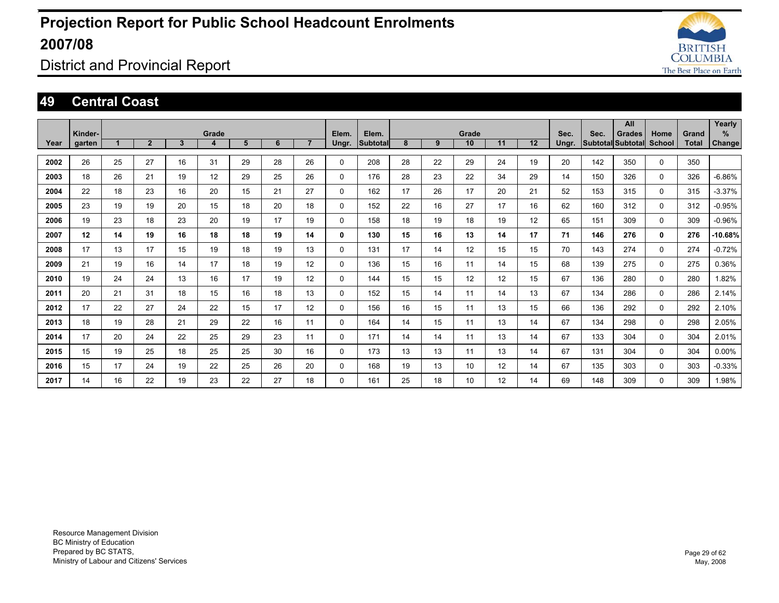

### District and Provincial Report

#### **49 Central Coast**

|      |         |    |                |    |       |    |    |                |          |          |    |    |                 |    |    |       |      | All                      |             |       | Yearly    |
|------|---------|----|----------------|----|-------|----|----|----------------|----------|----------|----|----|-----------------|----|----|-------|------|--------------------------|-------------|-------|-----------|
|      | Kinder- |    |                |    | Grade |    |    |                | Elem.    | Elem.    |    |    | Grade           |    |    | Sec.  | Sec. | <b>Grades</b>            | Home        | Grand | %         |
| Year | garten  |    | $\overline{2}$ | 3  | 4     | 5  | 6  | $\overline{7}$ | Ungr.    | Subtotal | 8  | 9  | 10              | 11 | 12 | Ungr. |      | <b>Subtotal Subtotal</b> | School      | Total | Change    |
|      |         |    |                |    |       |    |    |                |          |          |    |    |                 |    |    |       |      |                          |             |       |           |
| 2002 | 26      | 25 | 27             | 16 | 31    | 29 | 28 | 26             | 0        | 208      | 28 | 22 | 29              | 24 | 19 | 20    | 142  | 350                      | $\mathbf 0$ | 350   |           |
| 2003 | 18      | 26 | 21             | 19 | 12    | 29 | 25 | 26             | 0        | 176      | 28 | 23 | 22              | 34 | 29 | 14    | 150  | 326                      | 0           | 326   | $-6.86%$  |
| 2004 | 22      | 18 | 23             | 16 | 20    | 15 | 21 | 27             | 0        | 162      | 17 | 26 | 17              | 20 | 21 | 52    | 153  | 315                      | 0           | 315   | $-3.37%$  |
| 2005 | 23      | 19 | 19             | 20 | 15    | 18 | 20 | 18             | 0        | 152      | 22 | 16 | 27              | 17 | 16 | 62    | 160  | 312                      | 0           | 312   | $-0.95%$  |
| 2006 | 19      | 23 | 18             | 23 | 20    | 19 | 17 | 19             | $\Omega$ | 158      | 18 | 19 | 18              | 19 | 12 | 65    | 151  | 309                      | $\Omega$    | 309   | $-0.96%$  |
| 2007 | 12      | 14 | 19             | 16 | 18    | 18 | 19 | 14             | 0        | 130      | 15 | 16 | 13              | 14 | 17 | 71    | 146  | 276                      | 0           | 276   | $-10.68%$ |
| 2008 | 17      | 13 | 17             | 15 | 19    | 18 | 19 | 13             | 0        | 131      | 17 | 14 | 12              | 15 | 15 | 70    | 143  | 274                      | $\mathbf 0$ | 274   | $-0.72%$  |
| 2009 | 21      | 19 | 16             | 14 | 17    | 18 | 19 | 12             | $\Omega$ | 136      | 15 | 16 | 11              | 14 | 15 | 68    | 139  | 275                      | $\mathbf 0$ | 275   | 0.36%     |
| 2010 | 19      | 24 | 24             | 13 | 16    | 17 | 19 | 12             | $\Omega$ | 144      | 15 | 15 | 12              | 12 | 15 | 67    | 136  | 280                      | $\mathbf 0$ | 280   | 1.82%     |
| 2011 | 20      | 21 | 31             | 18 | 15    | 16 | 18 | 13             | 0        | 152      | 15 | 14 | 11              | 14 | 13 | 67    | 134  | 286                      | $\mathbf 0$ | 286   | 2.14%     |
| 2012 | 17      | 22 | 27             | 24 | 22    | 15 | 17 | 12             | 0        | 156      | 16 | 15 | 11              | 13 | 15 | 66    | 136  | 292                      | 0           | 292   | 2.10%     |
| 2013 | 18      | 19 | 28             | 21 | 29    | 22 | 16 | 11             | 0        | 164      | 14 | 15 | 11              | 13 | 14 | 67    | 134  | 298                      | $\mathbf 0$ | 298   | 2.05%     |
| 2014 | 17      | 20 | 24             | 22 | 25    | 29 | 23 | 11             | 0        | 171      | 14 | 14 | 11              | 13 | 14 | 67    | 133  | 304                      | $\mathbf 0$ | 304   | 2.01%     |
| 2015 | 15      | 19 | 25             | 18 | 25    | 25 | 30 | 16             | $\Omega$ | 173      | 13 | 13 | 11              | 13 | 14 | 67    | 131  | 304                      | $\Omega$    | 304   | $0.00\%$  |
| 2016 | 15      | 17 | 24             | 19 | 22    | 25 | 26 | 20             | $\Omega$ | 168      | 19 | 13 | 10 <sup>1</sup> | 12 | 14 | 67    | 135  | 303                      | $\Omega$    | 303   | $-0.33%$  |
| 2017 | 14      | 16 | 22             | 19 | 23    | 22 | 27 | 18             | 0        | 161      | 25 | 18 | 10 <sup>°</sup> | 12 | 14 | 69    | 148  | 309                      | 0           | 309   | 1.98%     |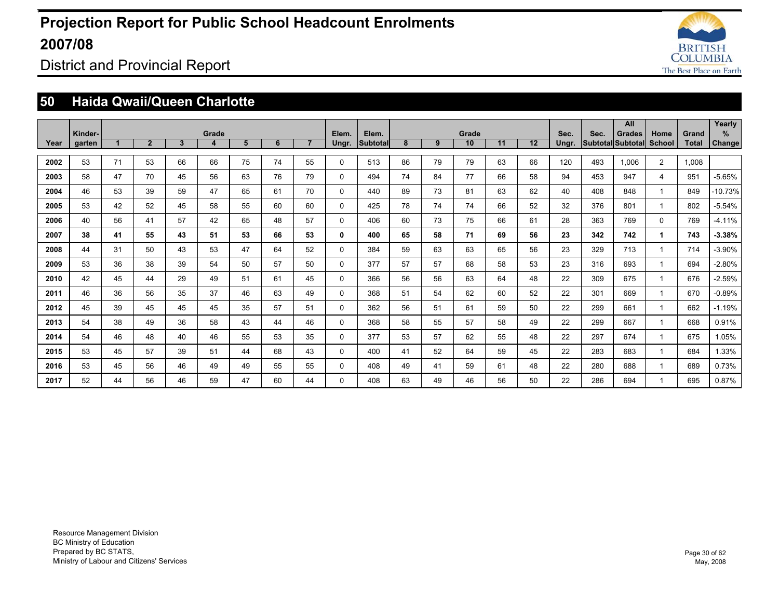

District and Provincial Report

### **50 Haida Qwaii/Queen Charlotte**

|      |         |    |                |              |       |    |    |                |              |                 |    |    |       |    |    |       |      | All                      |                |              | Yearly    |
|------|---------|----|----------------|--------------|-------|----|----|----------------|--------------|-----------------|----|----|-------|----|----|-------|------|--------------------------|----------------|--------------|-----------|
|      | Kinder- |    |                |              | Grade |    |    |                | Elem.        | Elem.           |    |    | Grade |    |    | Sec.  | Sec. | <b>Grades</b>            | Home           | Grand        | %         |
| Year | garten  |    | $\overline{2}$ | $\mathbf{3}$ | 4     | 5  | 6  | $\overline{7}$ | Ungr.        | <b>Subtotal</b> | 8  | 9  | 10    | 11 | 12 | Ungr. |      | <b>Subtotal Subtotal</b> | School         | <b>Total</b> | Change    |
| 2002 | 53      | 71 | 53             | 66           | 66    | 75 | 74 | 55             | $\Omega$     | 513             | 86 | 79 | 79    | 63 | 66 | 120   | 493  | 1.006                    | $\overline{2}$ | 1,008        |           |
| 2003 | 58      | 47 | 70             | 45           | 56    | 63 | 76 | 79             | $\mathbf 0$  | 494             | 74 | 84 | 77    | 66 | 58 | 94    | 453  | 947                      | 4              | 951          | $-5.65%$  |
| 2004 | 46      | 53 | 39             | 59           | 47    | 65 | 61 | 70             | $\Omega$     | 440             | 89 | 73 | 81    | 63 | 62 | 40    | 408  | 848                      |                | 849          | $-10.73%$ |
| 2005 | 53      | 42 | 52             | 45           | 58    | 55 | 60 | 60             | $\mathbf{0}$ | 425             | 78 | 74 | 74    | 66 | 52 | 32    | 376  | 801                      |                | 802          | $-5.54%$  |
| 2006 | 40      | 56 | 41             | 57           | 42    | 65 | 48 | 57             | $\mathbf{0}$ | 406             | 60 | 73 | 75    | 66 | 61 | 28    | 363  | 769                      | $\mathbf 0$    | 769          | $-4.11%$  |
| 2007 | 38      | 41 | 55             | 43           | 51    | 53 | 66 | 53             | 0            | 400             | 65 | 58 | 71    | 69 | 56 | 23    | 342  | 742                      | 1              | 743          | $-3.38%$  |
| 2008 | 44      | 31 | 50             | 43           | 53    | 47 | 64 | 52             | $\mathbf{0}$ | 384             | 59 | 63 | 63    | 65 | 56 | 23    | 329  | 713                      |                | 714          | $-3.90%$  |
| 2009 | 53      | 36 | 38             | 39           | 54    | 50 | 57 | 50             | $\mathbf{0}$ | 377             | 57 | 57 | 68    | 58 | 53 | 23    | 316  | 693                      |                | 694          | $-2.80%$  |
| 2010 | 42      | 45 | 44             | 29           | 49    | 51 | 61 | 45             | $\mathbf{0}$ | 366             | 56 | 56 | 63    | 64 | 48 | 22    | 309  | 675                      |                | 676          | $-2.59%$  |
| 2011 | 46      | 36 | 56             | 35           | 37    | 46 | 63 | 49             | $\mathbf{0}$ | 368             | 51 | 54 | 62    | 60 | 52 | 22    | 301  | 669                      |                | 670          | $-0.89%$  |
| 2012 | 45      | 39 | 45             | 45           | 45    | 35 | 57 | 51             | $\mathbf{0}$ | 362             | 56 | 51 | 61    | 59 | 50 | 22    | 299  | 661                      |                | 662          | $-1.19%$  |
| 2013 | 54      | 38 | 49             | 36           | 58    | 43 | 44 | 46             | $\mathbf{0}$ | 368             | 58 | 55 | 57    | 58 | 49 | 22    | 299  | 667                      |                | 668          | 0.91%     |
| 2014 | 54      | 46 | 48             | 40           | 46    | 55 | 53 | 35             | $\mathbf{0}$ | 377             | 53 | 57 | 62    | 55 | 48 | 22    | 297  | 674                      |                | 675          | 1.05%     |
| 2015 | 53      | 45 | 57             | 39           | 51    | 44 | 68 | 43             | $\mathbf{0}$ | 400             | 41 | 52 | 64    | 59 | 45 | 22    | 283  | 683                      |                | 684          | 1.33%     |
| 2016 | 53      | 45 | 56             | 46           | 49    | 49 | 55 | 55             | $\Omega$     | 408             | 49 | 41 | 59    | 61 | 48 | 22    | 280  | 688                      |                | 689          | 0.73%     |
| 2017 | 52      | 44 | 56             | 46           | 59    | 47 | 60 | 44             | $\Omega$     | 408             | 63 | 49 | 46    | 56 | 50 | 22    | 286  | 694                      |                | 695          | 0.87%     |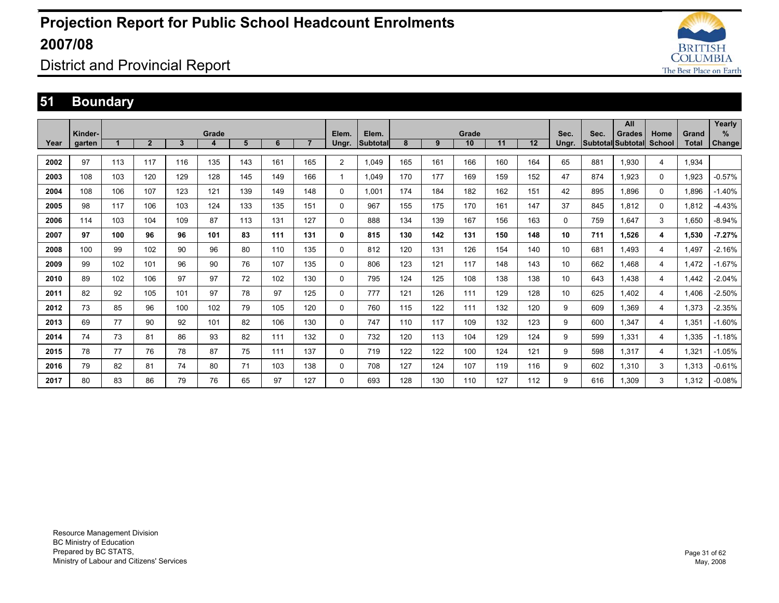

District and Provincial Report

### **51 Boundary**

|      |         |     |                |     |       |     |     |                |                |          |     |     |       |     |     |       |                          | All           |                         |       | Yearly   |
|------|---------|-----|----------------|-----|-------|-----|-----|----------------|----------------|----------|-----|-----|-------|-----|-----|-------|--------------------------|---------------|-------------------------|-------|----------|
|      | Kinder- |     |                |     | Grade |     |     |                | Elem.          | Elem.    |     |     | Grade |     |     | Sec.  | Sec.                     | <b>Grades</b> | Home                    | Grand | %        |
| Year | garten  |     | $\overline{2}$ | 3   | 4     | 5   | 6   | $\overline{7}$ | Ungr.          | Subtotal | 8   | 9   | 10    | 11  | 12  | Ungr. | <b>Subtotal Subtotal</b> |               | <b>School</b>           | Total | Change   |
|      |         |     |                |     |       |     |     |                |                |          |     |     |       |     |     |       |                          |               |                         |       |          |
| 2002 | 97      | 113 | 117            | 116 | 135   | 143 | 161 | 165            | $\overline{2}$ | 1,049    | 165 | 161 | 166   | 160 | 164 | 65    | 881                      | 1.930         | 4                       | 1,934 |          |
| 2003 | 108     | 103 | 120            | 129 | 128   | 145 | 149 | 166            |                | 1,049    | 170 | 177 | 169   | 159 | 152 | 47    | 874                      | 1.923         | 0                       | 1,923 | $-0.57%$ |
| 2004 | 108     | 106 | 107            | 123 | 121   | 139 | 149 | 148            | 0              | 1.001    | 174 | 184 | 182   | 162 | 151 | 42    | 895                      | 1.896         | 0                       | 1.896 | $-1.40%$ |
| 2005 | 98      | 117 | 106            | 103 | 124   | 133 | 135 | 151            | 0              | 967      | 155 | 175 | 170   | 161 | 147 | 37    | 845                      | 1.812         | 0                       | 1.812 | $-4.43%$ |
| 2006 | 114     | 103 | 104            | 109 | 87    | 113 | 131 | 127            | 0              | 888      | 134 | 139 | 167   | 156 | 163 | 0     | 759                      | 1.647         | 3                       | 1.650 | $-8.94%$ |
| 2007 | 97      | 100 | 96             | 96  | 101   | 83  | 111 | 131            | 0              | 815      | 130 | 142 | 131   | 150 | 148 | 10    | 711                      | 1.526         | 4                       | 1.530 | $-7.27%$ |
| 2008 | 100     | 99  | 102            | 90  | 96    | 80  | 110 | 135            | 0              | 812      | 120 | 131 | 126   | 154 | 140 | 10    | 681                      | 1.493         | $\overline{\mathbf{4}}$ | 1.497 | $-2.16%$ |
| 2009 | 99      | 102 | 101            | 96  | 90    | 76  | 107 | 135            | 0              | 806      | 123 | 121 | 117   | 148 | 143 | 10    | 662                      | 1.468         | 4                       | 1.472 | $-1.67%$ |
| 2010 | 89      | 102 | 106            | 97  | 97    | 72  | 102 | 130            | 0              | 795      | 124 | 125 | 108   | 138 | 138 | 10    | 643                      | 1.438         | 4                       | 1.442 | $-2.04%$ |
| 2011 | 82      | 92  | 105            | 101 | 97    | 78  | 97  | 125            | 0              | 777      | 121 | 126 | 111   | 129 | 128 | 10    | 625                      | 1,402         | 4                       | 1,406 | $-2.50%$ |
| 2012 | 73      | 85  | 96             | 100 | 102   | 79  | 105 | 120            | 0              | 760      | 115 | 122 | 111   | 132 | 120 | 9     | 609                      | 1,369         | 4                       | 1,373 | $-2.35%$ |
| 2013 | 69      | 77  | 90             | 92  | 101   | 82  | 106 | 130            | 0              | 747      | 110 | 117 | 109   | 132 | 123 | 9     | 600                      | 1.347         | 4                       | 1,351 | $-1.60%$ |
| 2014 | 74      | 73  | 81             | 86  | 93    | 82  | 111 | 132            | 0              | 732      | 120 | 113 | 104   | 129 | 124 | 9     | 599                      | 1.331         | 4                       | 1,335 | $-1.18%$ |
| 2015 | 78      | 77  | 76             | 78  | 87    | 75  | 111 | 137            | 0              | 719      | 122 | 122 | 100   | 124 | 121 | 9     | 598                      | 1.317         | 4                       | 1,321 | $-1.05%$ |
| 2016 | 79      | 82  | 81             | 74  | 80    | 71  | 103 | 138            | 0              | 708      | 127 | 124 | 107   | 119 | 116 | 9     | 602                      | 1,310         | 3                       | 1,313 | $-0.61%$ |
| 2017 | 80      | 83  | 86             | 79  | 76    | 65  | 97  | 127            | $\Omega$       | 693      | 128 | 130 | 110   | 127 | 112 | 9     | 616                      | 1.309         | 3                       | 1,312 | $-0.08%$ |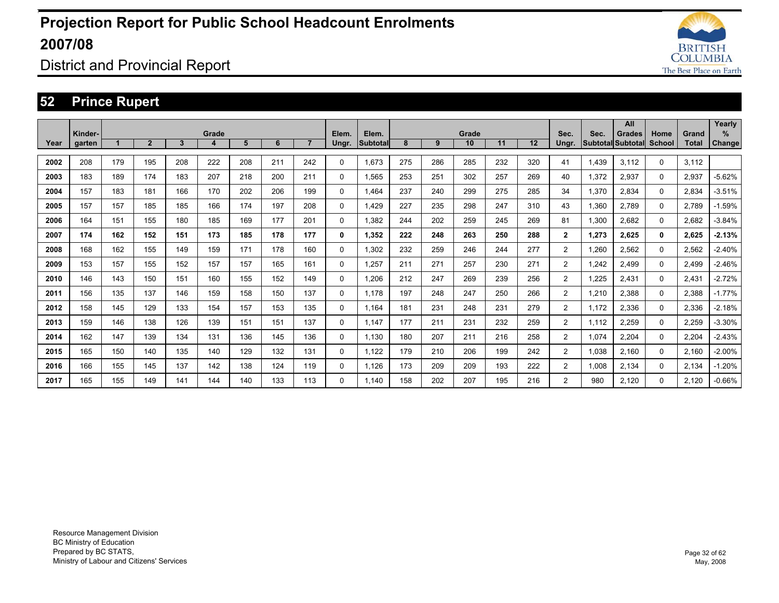

District and Provincial Report

### **52 Prince Rupert**

|      |                   |     |              |     |            |     |     |                |                |                          |     |     |             |     |     |                |       | All                                |          |                       | Yearly         |
|------|-------------------|-----|--------------|-----|------------|-----|-----|----------------|----------------|--------------------------|-----|-----|-------------|-----|-----|----------------|-------|------------------------------------|----------|-----------------------|----------------|
| Year | Kinder-<br>garten |     | $\mathbf{2}$ | 3   | Grade<br>4 | 5   | 6   | $\overline{7}$ | Elem.<br>Ungr. | Elem.<br><b>Subtotal</b> | 8   | 9   | Grade<br>10 | 11  | 12  | Sec.<br>Ungr.  | Sec.  | Grades<br>Subtotal Subtotal School | Home     | Grand<br><b>Total</b> | $\%$<br>Change |
|      |                   |     |              |     |            |     |     |                |                |                          |     |     |             |     |     |                |       |                                    |          |                       |                |
| 2002 | 208               | 179 | 195          | 208 | 222        | 208 | 211 | 242            | $\Omega$       | 1.673                    | 275 | 286 | 285         | 232 | 320 | 41             | 1.439 | 3.112                              | 0        | 3,112                 |                |
| 2003 | 183               | 189 | 174          | 183 | 207        | 218 | 200 | 211            | 0              | 1.565                    | 253 | 251 | 302         | 257 | 269 | 40             | 1,372 | 2,937                              | 0        | 2,937                 | $-5.62%$       |
| 2004 | 157               | 183 | 181          | 166 | 170        | 202 | 206 | 199            | $\Omega$       | 1.464                    | 237 | 240 | 299         | 275 | 285 | 34             | 1,370 | 2.834                              | 0        | 2,834                 | $-3.51%$       |
| 2005 | 157               | 157 | 185          | 185 | 166        | 174 | 197 | 208            | 0              | 1.429                    | 227 | 235 | 298         | 247 | 310 | 43             | 1.360 | 2.789                              | $\Omega$ | 2.789                 | $-1.59%$       |
| 2006 | 164               | 151 | 155          | 180 | 185        | 169 | 177 | 201            | 0              | 1,382                    | 244 | 202 | 259         | 245 | 269 | 81             | 1,300 | 2,682                              | 0        | 2,682                 | $-3.84%$       |
| 2007 | 174               | 162 | 152          | 151 | 173        | 185 | 178 | 177            | 0              | 1.352                    | 222 | 248 | 263         | 250 | 288 | $\overline{2}$ | 1.273 | 2.625                              | 0        | 2.625                 | $-2.13%$       |
| 2008 | 168               | 162 | 155          | 149 | 159        | 171 | 178 | 160            | 0              | 1,302                    | 232 | 259 | 246         | 244 | 277 | 2              | 1,260 | 2,562                              | 0        | 2,562                 | $-2.40%$       |
| 2009 | 153               | 157 | 155          | 152 | 157        | 157 | 165 | 161            | 0              | 1,257                    | 211 | 271 | 257         | 230 | 271 | $\overline{2}$ | 1,242 | 2.499                              | 0        | 2.499                 | $-2.46%$       |
| 2010 | 146               | 143 | 150          | 151 | 160        | 155 | 152 | 149            | 0              | 1.206                    | 212 | 247 | 269         | 239 | 256 | $\overline{2}$ | 1,225 | 2.431                              | 0        | 2.431                 | $-2.72%$       |
| 2011 | 156               | 135 | 137          | 146 | 159        | 158 | 150 | 137            | 0              | 1.178                    | 197 | 248 | 247         | 250 | 266 | $\overline{2}$ | 1,210 | 2.388                              | 0        | 2,388                 | $-1.77%$       |
| 2012 | 158               | 145 | 129          | 133 | 154        | 157 | 153 | 135            | 0              | 1.164                    | 181 | 231 | 248         | 231 | 279 | $\overline{2}$ | 1.172 | 2.336                              | 0        | 2.336                 | $-2.18%$       |
| 2013 | 159               | 146 | 138          | 126 | 139        | 151 | 151 | 137            | 0              | 1.147                    | 177 | 211 | 231         | 232 | 259 | $\overline{2}$ | 1.112 | 2.259                              | 0        | 2.259                 | $-3.30%$       |
| 2014 | 162               | 147 | 139          | 134 | 131        | 136 | 145 | 136            | 0              | 1,130                    | 180 | 207 | 211         | 216 | 258 | $\overline{2}$ | 1,074 | 2,204                              | 0        | 2,204                 | $-2.43%$       |
| 2015 | 165               | 150 | 140          | 135 | 140        | 129 | 132 | 131            | 0              | 1,122                    | 179 | 210 | 206         | 199 | 242 | $\overline{2}$ | 1.038 | 2.160                              | 0        | 2.160                 | $-2.00%$       |
| 2016 | 166               | 155 | 145          | 137 | 142        | 138 | 124 | 119            | $\Omega$       | 1.126                    | 173 | 209 | 209         | 193 | 222 | $\overline{2}$ | 1,008 | 2.134                              | 0        | 2.134                 | $-1.20%$       |
| 2017 | 165               | 155 | 149          | 141 | 144        | 140 | 133 | 113            | $\Omega$       | 1.140                    | 158 | 202 | 207         | 195 | 216 | $\overline{2}$ | 980   | 2.120                              | 0        | 2.120                 | $-0.66%$       |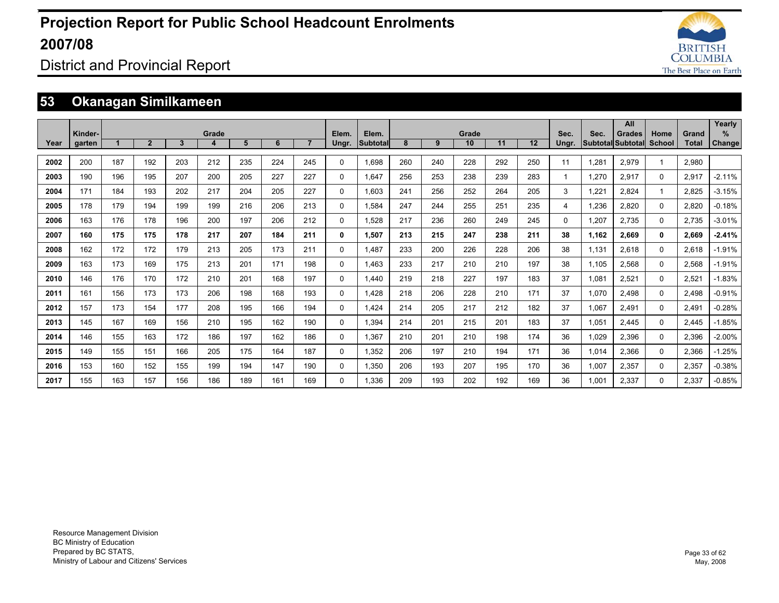

### District and Provincial Report

### **53 Okanagan Similkameen**

|      |                   |     |                |     |            |     |     |                |                |                          |     |     |             |     |     |               |       | All                                |                       |                | Yearly             |
|------|-------------------|-----|----------------|-----|------------|-----|-----|----------------|----------------|--------------------------|-----|-----|-------------|-----|-----|---------------|-------|------------------------------------|-----------------------|----------------|--------------------|
| Year | Kinder-<br>garten |     | $\overline{2}$ | 3   | Grade<br>4 | 5   | 6   | $\overline{7}$ | Elem.<br>Ungr. | Elem.<br><b>Subtotal</b> | 8   | 9   | Grade<br>10 | 11  | 12  | Sec.<br>Ungr. | Sec.  | <b>Grades</b><br>Subtotal Subtotal | Home<br><b>School</b> | Grand<br>Total | %<br><b>Change</b> |
|      |                   |     |                |     |            |     |     |                |                |                          |     |     |             |     |     |               |       |                                    |                       |                |                    |
| 2002 | 200               | 187 | 192            | 203 | 212        | 235 | 224 | 245            | 0              | 1.698                    | 260 | 240 | 228         | 292 | 250 | 11            | 1.281 | 2,979                              | 1                     | 2.980          |                    |
| 2003 | 190               | 196 | 195            | 207 | 200        | 205 | 227 | 227            | 0              | 1.647                    | 256 | 253 | 238         | 239 | 283 | 1             | 1.270 | 2.917                              | $\Omega$              | 2.917          | $-2.11%$           |
| 2004 | 171               | 184 | 193            | 202 | 217        | 204 | 205 | 227            | 0              | 1.603                    | 241 | 256 | 252         | 264 | 205 | 3             | 1.221 | 2.824                              |                       | 2.825          | $-3.15%$           |
| 2005 | 178               | 179 | 194            | 199 | 199        | 216 | 206 | 213            | 0              | 1.584                    | 247 | 244 | 255         | 251 | 235 | 4             | 1.236 | 2.820                              | $\Omega$              | 2.820          | $-0.18%$           |
| 2006 | 163               | 176 | 178            | 196 | 200        | 197 | 206 | 212            | 0              | 1,528                    | 217 | 236 | 260         | 249 | 245 | $\Omega$      | 1.207 | 2.735                              | $\Omega$              | 2,735          | $-3.01%$           |
| 2007 | 160               | 175 | 175            | 178 | 217        | 207 | 184 | 211            | 0              | 1,507                    | 213 | 215 | 247         | 238 | 211 | 38            | 1,162 | 2,669                              | 0                     | 2,669          | $-2.41%$           |
| 2008 | 162               | 172 | 172            | 179 | 213        | 205 | 173 | 211            | 0              | 1.487                    | 233 | 200 | 226         | 228 | 206 | 38            | 1,131 | 2,618                              | 0                     | 2,618          | $-1.91%$           |
| 2009 | 163               | 173 | 169            | 175 | 213        | 201 | 171 | 198            | 0              | 1.463                    | 233 | 217 | 210         | 210 | 197 | 38            | 1,105 | 2,568                              | $\Omega$              | 2,568          | $-1.91%$           |
| 2010 | 146               | 176 | 170            | 172 | 210        | 201 | 168 | 197            | 0              | 1.440                    | 219 | 218 | 227         | 197 | 183 | 37            | 1,081 | 2,521                              | $\Omega$              | 2,521          | $-1.83%$           |
| 2011 | 161               | 156 | 173            | 173 | 206        | 198 | 168 | 193            | 0              | 1.428                    | 218 | 206 | 228         | 210 | 171 | 37            | 1,070 | 2.498                              | 0                     | 2.498          | $-0.91%$           |
| 2012 | 157               | 173 | 154            | 177 | 208        | 195 | 166 | 194            | 0              | 1,424                    | 214 | 205 | 217         | 212 | 182 | 37            | 1,067 | 2.491                              | 0                     | 2,491          | $-0.28%$           |
| 2013 | 145               | 167 | 169            | 156 | 210        | 195 | 162 | 190            | 0              | 1,394                    | 214 | 201 | 215         | 201 | 183 | 37            | 1,051 | 2.445                              | 0                     | 2.445          | $-1.85%$           |
| 2014 | 146               | 155 | 163            | 172 | 186        | 197 | 162 | 186            | 0              | 1,367                    | 210 | 201 | 210         | 198 | 174 | 36            | 1,029 | 2,396                              | 0                     | 2,396          | $-2.00%$           |
| 2015 | 149               | 155 | 151            | 166 | 205        | 175 | 164 | 187            | 0              | 1,352                    | 206 | 197 | 210         | 194 | 171 | 36            | 1,014 | 2.366                              | 0                     | 2,366          | $-1.25%$           |
| 2016 | 153               | 160 | 152            | 155 | 199        | 194 | 147 | 190            | 0              | 1,350                    | 206 | 193 | 207         | 195 | 170 | 36            | 1,007 | 2,357                              | 0                     | 2,357          | $-0.38%$           |
| 2017 | 155               | 163 | 157            | 156 | 186        | 189 | 161 | 169            | 0              | 1.336                    | 209 | 193 | 202         | 192 | 169 | 36            | 1.001 | 2,337                              | 0                     | 2,337          | $-0.85%$           |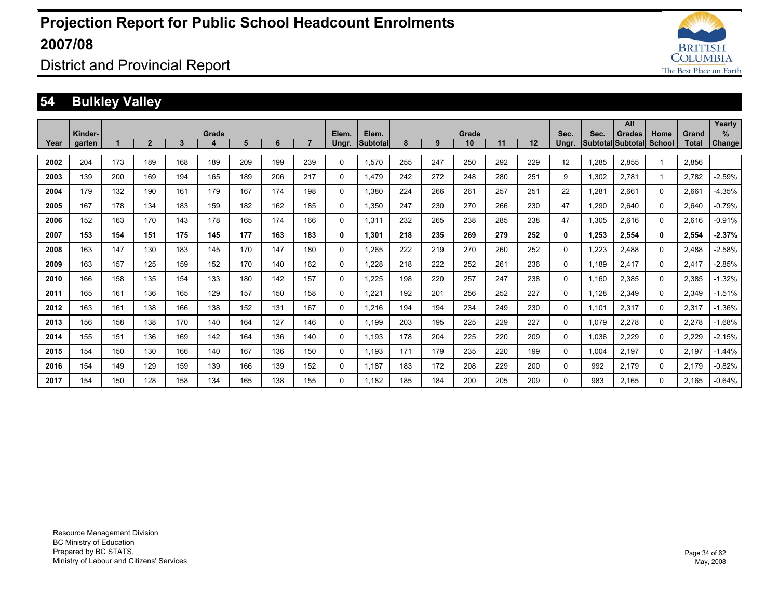

### District and Provincial Report

### **54 Bulkley Valley**

|      |         |     |              |              |       |     |     |                |              |          |     |     |                 |     |     |       |       | All                      |          |              | Yearly        |
|------|---------|-----|--------------|--------------|-------|-----|-----|----------------|--------------|----------|-----|-----|-----------------|-----|-----|-------|-------|--------------------------|----------|--------------|---------------|
|      | Kinder- |     |              |              | Grade |     | 6   | $\overline{7}$ | Elem.        | Elem.    | 8   |     | Grade           | 11  | 12  | Sec.  | Sec.  | <b>Grades</b>            | Home     | Grand        | $\%$          |
| Year | garten  |     | $\mathbf{2}$ | $\mathbf{3}$ | 4     | 5   |     |                | Ungr.        | Subtotal |     | 9   | 10 <sup>°</sup> |     |     | Ungr. |       | <b>Subtotal Subtotal</b> | School   | <b>Total</b> | <b>Change</b> |
| 2002 | 204     | 173 | 189          | 168          | 189   | 209 | 199 | 239            | $\Omega$     | 1.570    | 255 | 247 | 250             | 292 | 229 | 12    | 1.285 | 2.855                    |          | 2.856        |               |
| 2003 | 139     | 200 | 169          | 194          | 165   | 189 | 206 | 217            | $\mathbf{0}$ | 1.479    | 242 | 272 | 248             | 280 | 251 | 9     | 1,302 | 2.781                    |          | 2,782        | $-2.59%$      |
| 2004 | 179     | 132 | 190          | 161          | 179   | 167 | 174 | 198            | $\Omega$     | 1,380    | 224 | 266 | 261             | 257 | 251 | 22    | 1,281 | 2.661                    | $\Omega$ | 2,661        | $-4.35%$      |
| 2005 | 167     | 178 | 134          | 183          | 159   | 182 | 162 | 185            | $\Omega$     | 1.350    | 247 | 230 | 270             | 266 | 230 | 47    | 1.290 | 2.640                    | $\Omega$ | 2.640        | $-0.79%$      |
| 2006 | 152     | 163 | 170          | 143          | 178   | 165 | 174 | 166            | $\mathbf{0}$ | 1,311    | 232 | 265 | 238             | 285 | 238 | 47    | 1,305 | 2,616                    | $\Omega$ | 2,616        | $-0.91%$      |
| 2007 | 153     | 154 | 151          | 175          | 145   | 177 | 163 | 183            | 0            | 1.301    | 218 | 235 | 269             | 279 | 252 | 0     | 1.253 | 2.554                    | 0        | 2,554        | $-2.37%$      |
| 2008 | 163     | 147 | 130          | 183          | 145   | 170 | 147 | 180            | $\mathbf{0}$ | 1,265    | 222 | 219 | 270             | 260 | 252 | 0     | 1,223 | 2.488                    | $\Omega$ | 2,488        | $-2.58%$      |
| 2009 | 163     | 157 | 125          | 159          | 152   | 170 | 140 | 162            | $\Omega$     | 1,228    | 218 | 222 | 252             | 261 | 236 | 0     | 1,189 | 2.417                    | $\Omega$ | 2,417        | $-2.85%$      |
| 2010 | 166     | 158 | 135          | 154          | 133   | 180 | 142 | 157            | $\mathbf 0$  | 1.225    | 198 | 220 | 257             | 247 | 238 | 0     | 1.160 | 2.385                    | 0        | 2,385        | $-1.32%$      |
| 2011 | 165     | 161 | 136          | 165          | 129   | 157 | 150 | 158            | 0            | 1,221    | 192 | 201 | 256             | 252 | 227 | 0     | 1,128 | 2,349                    | 0        | 2,349        | $-1.51%$      |
| 2012 | 163     | 161 | 138          | 166          | 138   | 152 | 131 | 167            | $\Omega$     | 1.216    | 194 | 194 | 234             | 249 | 230 | 0     | 1.101 | 2.317                    | $\Omega$ | 2,317        | $-1.36%$      |
| 2013 | 156     | 158 | 138          | 170          | 140   | 164 | 127 | 146            | $\mathbf 0$  | 1.199    | 203 | 195 | 225             | 229 | 227 | 0     | 1,079 | 2,278                    | 0        | 2,278        | $-1.68%$      |
| 2014 | 155     | 151 | 136          | 169          | 142   | 164 | 136 | 140            | $\mathbf 0$  | 1,193    | 178 | 204 | 225             | 220 | 209 | 0     | 1,036 | 2,229                    | 0        | 2,229        | $-2.15%$      |
| 2015 | 154     | 150 | 130          | 166          | 140   | 167 | 136 | 150            | $\Omega$     | 1.193    | 171 | 179 | 235             | 220 | 199 | 0     | 1,004 | 2.197                    | $\Omega$ | 2.197        | $-1.44%$      |
| 2016 | 154     | 149 | 129          | 159          | 139   | 166 | 139 | 152            | $\Omega$     | 1.187    | 183 | 172 | 208             | 229 | 200 | 0     | 992   | 2.179                    | 0        | 2,179        | $-0.82%$      |
| 2017 | 154     | 150 | 128          | 158          | 134   | 165 | 138 | 155            | $\Omega$     | 1.182    | 185 | 184 | 200             | 205 | 209 | 0     | 983   | 2.165                    | $\Omega$ | 2.165        | $-0.64%$      |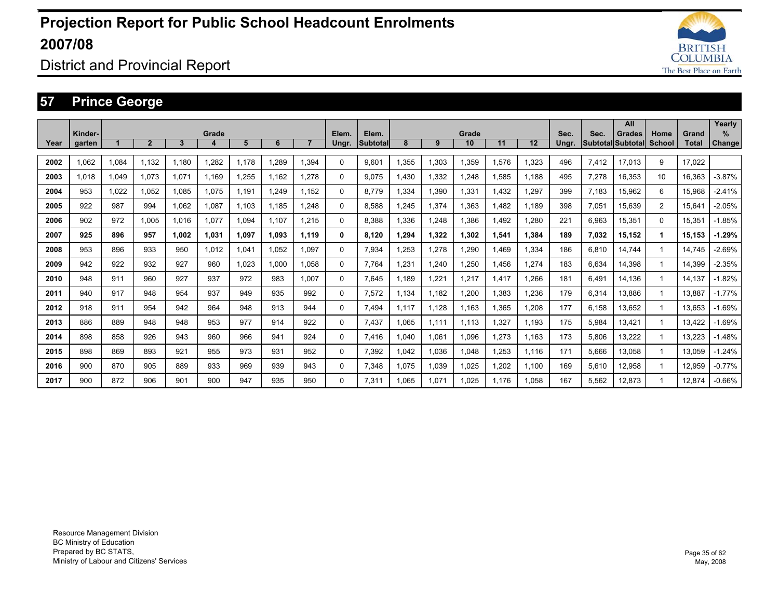

District and Provincial Report

### **57 Prince George**

|      |         |       |                |       |       |       |       |                |       |           |       |       |       |       |       |       |       | All               |                |        | Yearly        |
|------|---------|-------|----------------|-------|-------|-------|-------|----------------|-------|-----------|-------|-------|-------|-------|-------|-------|-------|-------------------|----------------|--------|---------------|
|      | Kinder- |       |                |       | Grade |       |       |                | Elem. | Elem.     |       |       | Grade |       |       | Sec.  | Sec.  | <b>Grades</b>     | Home           | Grand  | $\%$          |
| Year | garten  |       | $\overline{2}$ | 3     |       | 5     | 6     | $\overline{7}$ | Ungr. | Subtotall | 8     | 9     | 10    | 11    | 12    | Ungr. |       | Subtotal Subtotal | School         | Total  | <b>Change</b> |
| 2002 | 1.062   | 1,084 | 1,132          | 1.180 | 1,282 | 1.178 | 1.289 | 1.394          | 0     | 9.601     | 1,355 | 1,303 | 1,359 | 1,576 | ,323  | 496   | 7,412 | 17,013            | 9              | 17.022 |               |
| 2003 | 1.018   | 1.049 | 1.073          | 1,071 | 1.169 | .255  | 1.162 | 1.278          | 0     | 9.075     | 1.430 | 1,332 | 1.248 | 1,585 | 1.188 | 495   | 7,278 | 16,353            | 10             | 16,363 | $-3.87%$      |
| 2004 | 953     | 1.022 | 1.052          | 1.085 | 1,075 | 1.191 | 1.249 | 1.152          | 0     | 8.779     | 1.334 | 1,390 | 1.331 | 1.432 | .297  | 399   | 7.183 | 15,962            | 6              | 15.968 | $-2.41%$      |
| 2005 | 922     | 987   | 994            | .062  | 1,087 | 1.103 | 1.185 | 1.248          | 0     | 8.588     | 1.245 | 1,374 | 1,363 | 1.482 | 1.189 | 398   | 7,051 | 15.639            | $\overline{2}$ | 15.641 | $-2.05%$      |
| 2006 | 902     | 972   | 1.005          | 1.016 | 1,077 | 1.094 | 1.107 | 1.215          | 0     | 8.388     | 1.336 | 1,248 | 1.386 | 1.492 | .280  | 221   | 6,963 | 15.351            | $\Omega$       | 15.351 | $-1.85%$      |
| 2007 | 925     | 896   | 957            | 1.002 | 1,031 | 1.097 | 1,093 | 1.119          | 0     | 8.120     | 1,294 | 1,322 | 1,302 | 1,541 | 1.384 | 189   | 7,032 | 15.152            | 1              | 15.153 | $-1.29%$      |
| 2008 | 953     | 896   | 933            | 950   | 1,012 | 1,041 | 1,052 | 1.097          | 0     | 7,934     | 1,253 | 1,278 | 1,290 | 1.469 | 1,334 | 186   | 6,810 | 14.744            |                | 14.745 | $-2.69%$      |
| 2009 | 942     | 922   | 932            | 927   | 960   | 1.023 | 1.000 | 1.058          | 0     | 7.764     | 1.231 | 1.240 | 1,250 | 1.456 | .274  | 183   | 6,634 | 14.398            |                | 14.399 | $-2.35%$      |
| 2010 | 948     | 911   | 960            | 927   | 937   | 972   | 983   | 1.007          | 0     | 7.645     | 1.189 | 1.221 | 1.217 | 1,417 | .266  | 181   | 6.491 | 14.136            |                | 14.137 | $-1.82%$      |
| 2011 | 940     | 917   | 948            | 954   | 937   | 949   | 935   | 992            | 0     | 7,572     | 1,134 | 1,182 | 1,200 | 1,383 | .236  | 179   | 6,314 | 13,886            |                | 13.887 | $-1.77%$      |
| 2012 | 918     | 911   | 954            | 942   | 964   | 948   | 913   | 944            | 0     | 7,494     | 1.117 | 1,128 | 1,163 | 1,365 | .208  | 177   | 6,158 | 13,652            |                | 13,653 | $-1.69%$      |
| 2013 | 886     | 889   | 948            | 948   | 953   | 977   | 914   | 922            | 0     | 7,437     | 1,065 | 1,111 | 1,113 | 1,327 | 1,193 | 175   | 5,984 | 13,421            |                | 13,422 | $-1.69%$      |
| 2014 | 898     | 858   | 926            | 943   | 960   | 966   | 941   | 924            | 0     | 7,416     | 1,040 | 1,061 | 1,096 | 1,273 | 1.163 | 173   | 5,806 | 13,222            |                | 13,223 | $-1.48%$      |
| 2015 | 898     | 869   | 893            | 921   | 955   | 973   | 931   | 952            | 0     | 7,392     | 1,042 | 1,036 | 1,048 | 1,253 | 1.116 | 171   | 5,666 | 13,058            |                | 13,059 | $-1.24%$      |
| 2016 | 900     | 870   | 905            | 889   | 933   | 969   | 939   | 943            | 0     | 7,348     | 1,075 | 1,039 | 1,025 | 1,202 | 1,100 | 169   | 5,610 | 12,958            |                | 12,959 | $-0.77%$      |
| 2017 | 900     | 872   | 906            | 901   | 900   | 947   | 935   | 950            | 0     | 7.311     | 1.065 | 1,071 | 1.025 | 1.176 | 1.058 | 167   | 5.562 | 12.873            |                | 12.874 | $-0.66%$      |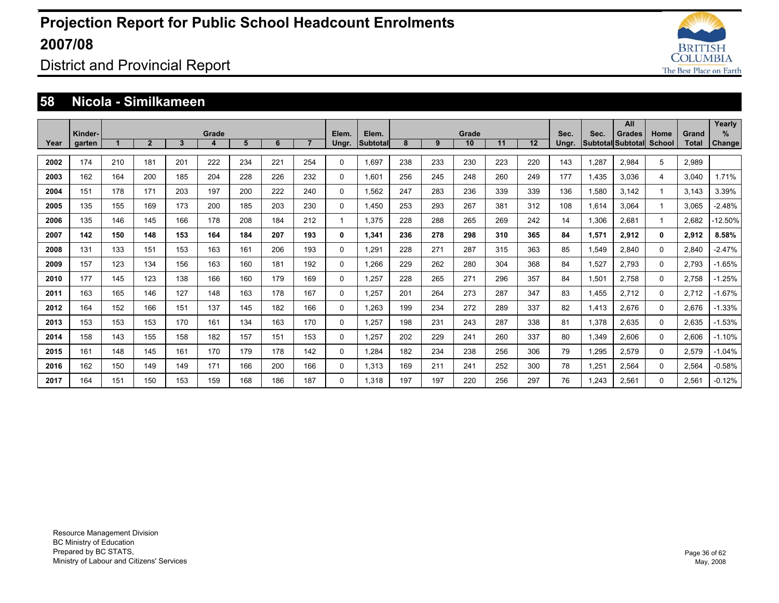

### District and Provincial Report

#### **58 Nicola - Similkameen**

|      | Kinder- |     |                |              | Grade |     |     |                | Elem.        | Elem.    |     |     | Grade |     |     | Sec.  | Sec.  | All<br><b>Grades</b>     | Home         | Grand        | Yearly<br>%   |
|------|---------|-----|----------------|--------------|-------|-----|-----|----------------|--------------|----------|-----|-----|-------|-----|-----|-------|-------|--------------------------|--------------|--------------|---------------|
| Year | garten  |     | $\overline{2}$ | $\mathbf{3}$ | 4     | 5   | 6   | $\overline{7}$ | Ungr.        | Subtotal | 8   | 9   | 10    | 11  | 12  | Ungr. |       | <b>Subtotal Subtotal</b> | School       | <b>Total</b> | <b>Change</b> |
| 2002 | 174     | 210 | 181            | 201          | 222   | 234 | 221 | 254            | $\Omega$     | 1,697    | 238 | 233 | 230   | 223 | 220 | 143   | 1,287 | 2,984                    | 5            | 2,989        |               |
| 2003 | 162     | 164 | 200            | 185          | 204   | 228 | 226 | 232            | $\mathbf 0$  | 1.601    | 256 | 245 | 248   | 260 | 249 | 177   | 1.435 | 3.036                    | 4            | 3.040        | 1.71%         |
| 2004 | 151     | 178 | 171            | 203          | 197   | 200 | 222 | 240            | $\mathbf 0$  | 1.562    | 247 | 283 | 236   | 339 | 339 | 136   | 1,580 | 3.142                    |              | 3.143        | 3.39%         |
| 2005 | 135     | 155 | 169            | 173          | 200   | 185 | 203 | 230            | $\mathbf{0}$ | 1.450    | 253 | 293 | 267   | 381 | 312 | 108   | 1.614 | 3.064                    |              | 3.065        | $-2.48%$      |
| 2006 | 135     | 146 | 145            | 166          | 178   | 208 | 184 | 212            |              | 1.375    | 228 | 288 | 265   | 269 | 242 | 14    | 1,306 | 2,681                    |              | 2,682        | $-12.50\%$    |
| 2007 | 142     | 150 | 148            | 153          | 164   | 184 | 207 | 193            | 0            | 1,341    | 236 | 278 | 298   | 310 | 365 | 84    | 1,571 | 2,912                    | $\mathbf{0}$ | 2,912        | 8.58%         |
| 2008 | 131     | 133 | 151            | 153          | 163   | 161 | 206 | 193            | 0            | 1.291    | 228 | 271 | 287   | 315 | 363 | 85    | 1.549 | 2,840                    | 0            | 2,840        | $-2.47%$      |
| 2009 | 157     | 123 | 134            | 156          | 163   | 160 | 181 | 192            | 0            | 1.266    | 229 | 262 | 280   | 304 | 368 | 84    | 1,527 | 2.793                    | 0            | 2.793        | $-1.65%$      |
| 2010 | 177     | 145 | 123            | 138          | 166   | 160 | 179 | 169            | 0            | 1.257    | 228 | 265 | 271   | 296 | 357 | 84    | 1,501 | 2.758                    | 0            | 2.758        | $-1.25%$      |
| 2011 | 163     | 165 | 146            | 127          | 148   | 163 | 178 | 167            | $\mathbf 0$  | 1.257    | 201 | 264 | 273   | 287 | 347 | 83    | 1.455 | 2.712                    | $\Omega$     | 2.712        | $-1.67%$      |
| 2012 | 164     | 152 | 166            | 151          | 137   | 145 | 182 | 166            | $\Omega$     | 1,263    | 199 | 234 | 272   | 289 | 337 | 82    | 1,413 | 2,676                    | 0            | 2,676        | $-1.33%$      |
| 2013 | 153     | 153 | 153            | 170          | 161   | 134 | 163 | 170            | $\Omega$     | 1,257    | 198 | 231 | 243   | 287 | 338 | 81    | 1,378 | 2,635                    | $\Omega$     | 2,635        | $-1.53%$      |
| 2014 | 158     | 143 | 155            | 158          | 182   | 157 | 151 | 153            | 0            | 1,257    | 202 | 229 | 241   | 260 | 337 | 80    | 1,349 | 2,606                    | 0            | 2,606        | $-1.10%$      |
| 2015 | 161     | 148 | 145            | 161          | 170   | 179 | 178 | 142            | 0            | 1,284    | 182 | 234 | 238   | 256 | 306 | 79    | 1,295 | 2,579                    | 0            | 2,579        | $-1.04%$      |
| 2016 | 162     | 150 | 149            | 149          | 171   | 166 | 200 | 166            | 0            | 1,313    | 169 | 211 | 241   | 252 | 300 | 78    | 1,251 | 2,564                    | 0            | 2,564        | $-0.58%$      |
| 2017 | 164     | 151 | 150            | 153          | 159   | 168 | 186 | 187            | $\Omega$     | 1.318    | 197 | 197 | 220   | 256 | 297 | 76    | 1.243 | 2.561                    | 0            | 2.561        | $-0.12%$      |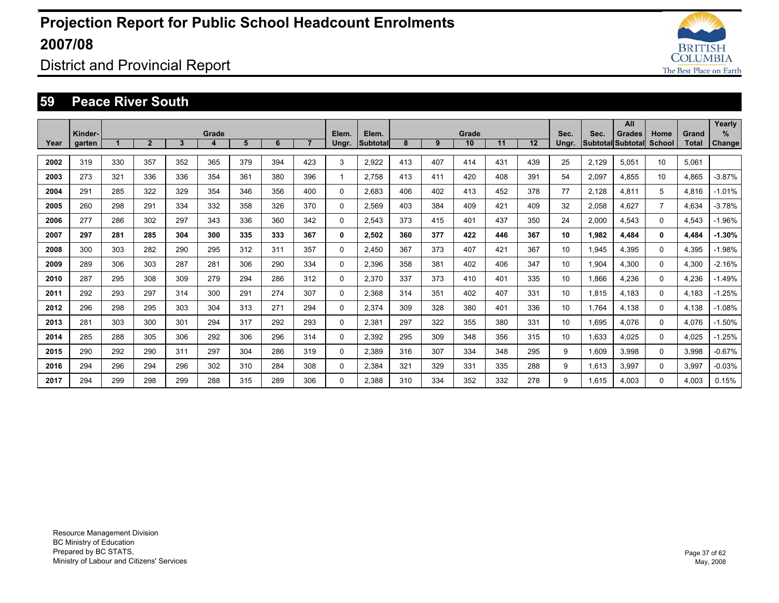

### District and Provincial Report

#### **59 Peace River South**

|      | Kinder- |     |                |     | Grade |     |     |                | Elem.    | Elem.           |     |     | Grade |     |     | Sec.  | Sec.  | All<br><b>Grades</b> | Home           | Grand        | Yearly<br>%   |
|------|---------|-----|----------------|-----|-------|-----|-----|----------------|----------|-----------------|-----|-----|-------|-----|-----|-------|-------|----------------------|----------------|--------------|---------------|
| Year | garten  |     | $\overline{2}$ | 3   | 4     | 5   | 6   | $\overline{7}$ | Ungr.    | <b>Subtotal</b> | 8   | 9   | 10    | 11  | 12  | Ungr. |       | Subtotal Subtotal    | <b>School</b>  | <b>Total</b> | <b>Change</b> |
| 2002 | 319     | 330 | 357            | 352 | 365   | 379 | 394 | 423            | 3        | 2,922           | 413 | 407 | 414   | 431 | 439 | 25    | 2,129 | 5,051                | 10             | 5.061        |               |
| 2003 | 273     | 321 | 336            | 336 | 354   | 361 | 380 | 396            |          | 2.758           | 413 | 411 | 420   | 408 | 391 | 54    | 2,097 | 4.855                | 10             | 4.865        | $-3.87%$      |
| 2004 | 291     | 285 | 322            | 329 | 354   | 346 | 356 | 400            | 0        | 2.683           | 406 | 402 | 413   | 452 | 378 | 77    | 2,128 | 4.811                | 5              | 4.816        | $-1.01%$      |
| 2005 | 260     | 298 | 291            | 334 | 332   | 358 | 326 | 370            | 0        | 2.569           | 403 | 384 | 409   | 421 | 409 | 32    | 2,058 | 4.627                | $\overline{7}$ | 4.634        | $-3.78%$      |
| 2006 | 277     | 286 | 302            | 297 | 343   | 336 | 360 | 342            | 0        | 2,543           | 373 | 415 | 401   | 437 | 350 | 24    | 2,000 | 4,543                | $\Omega$       | 4,543        | $-1.96%$      |
| 2007 | 297     | 281 | 285            | 304 | 300   | 335 | 333 | 367            | 0        | 2,502           | 360 | 377 | 422   | 446 | 367 | 10    | 1,982 | 4,484                | 0              | 4,484        | $-1.30%$      |
| 2008 | 300     | 303 | 282            | 290 | 295   | 312 | 311 | 357            | 0        | 2.450           | 367 | 373 | 407   | 421 | 367 | 10    | 1.945 | 4.395                | 0              | 4.395        | $-1.98%$      |
| 2009 | 289     | 306 | 303            | 287 | 281   | 306 | 290 | 334            | 0        | 2.396           | 358 | 381 | 402   | 406 | 347 | 10    | 1.904 | 4.300                | 0              | 4,300        | $-2.16%$      |
| 2010 | 287     | 295 | 308            | 309 | 279   | 294 | 286 | 312            | 0        | 2.370           | 337 | 373 | 410   | 401 | 335 | 10    | 1.866 | 4,236                | 0              | 4,236        | $-1.49%$      |
| 2011 | 292     | 293 | 297            | 314 | 300   | 291 | 274 | 307            | 0        | 2.368           | 314 | 351 | 402   | 407 | 331 | 10    | 1.815 | 4.183                | 0              | 4.183        | $-1.25%$      |
| 2012 | 296     | 298 | 295            | 303 | 304   | 313 | 271 | 294            | 0        | 2.374           | 309 | 328 | 380   | 401 | 336 | 10    | 1.764 | 4.138                | $\Omega$       | 4,138        | $-1.08%$      |
| 2013 | 281     | 303 | 300            | 301 | 294   | 317 | 292 | 293            | 0        | 2,381           | 297 | 322 | 355   | 380 | 331 | 10    | 1,695 | 4,076                | 0              | 4,076        | $-1.50%$      |
| 2014 | 285     | 288 | 305            | 306 | 292   | 306 | 296 | 314            | 0        | 2,392           | 295 | 309 | 348   | 356 | 315 | 10    | 1,633 | 4.025                | 0              | 4,025        | $-1.25%$      |
| 2015 | 290     | 292 | 290            | 311 | 297   | 304 | 286 | 319            | 0        | 2.389           | 316 | 307 | 334   | 348 | 295 | 9     | 1,609 | 3.998                | 0              | 3,998        | $-0.67%$      |
| 2016 | 294     | 296 | 294            | 296 | 302   | 310 | 284 | 308            | 0        | 2,384           | 321 | 329 | 331   | 335 | 288 | 9     | 1,613 | 3,997                | 0              | 3,997        | $-0.03%$      |
| 2017 | 294     | 299 | 298            | 299 | 288   | 315 | 289 | 306            | $\Omega$ | 2.388           | 310 | 334 | 352   | 332 | 278 | 9     | 1.615 | 4.003                | 0              | 4.003        | 0.15%         |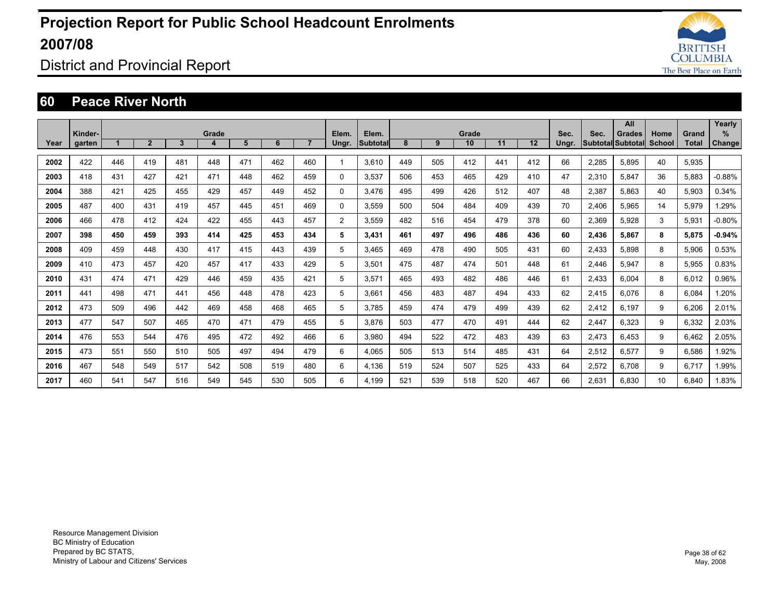

### District and Provincial Report

#### **60 Peace River North**

|      |                   |     |                |              |            |     |     |                |                |                          |     |     |             |     |     |               |       | All                                |                |                | Yearly             |
|------|-------------------|-----|----------------|--------------|------------|-----|-----|----------------|----------------|--------------------------|-----|-----|-------------|-----|-----|---------------|-------|------------------------------------|----------------|----------------|--------------------|
| Year | Kinder-<br>garten |     | $\overline{2}$ | $\mathbf{3}$ | Grade<br>4 | 5   | 6   | $\overline{7}$ | Elem.<br>Ungr. | Elem.<br><b>Subtotal</b> | 8   | 9   | Grade<br>10 | 11  | 12  | Sec.<br>Ungr. | Sec.  | <b>Grades</b><br>Subtotal Subtotal | Home<br>School | Grand<br>Total | %<br><b>Change</b> |
|      |                   |     |                |              |            |     |     |                |                |                          |     |     |             |     |     |               |       |                                    |                |                |                    |
| 2002 | 422               | 446 | 419            | 481          | 448        | 471 | 462 | 460            |                | 3.610                    | 449 | 505 | 412         | 441 | 412 | 66            | 2.285 | 5.895                              | 40             | 5.935          |                    |
| 2003 | 418               | 431 | 427            | 421          | 471        | 448 | 462 | 459            | $\Omega$       | 3.537                    | 506 | 453 | 465         | 429 | 410 | 47            | 2.310 | 5.847                              | 36             | 5.883          | $-0.88%$           |
| 2004 | 388               | 421 | 425            | 455          | 429        | 457 | 449 | 452            | $\Omega$       | 3.476                    | 495 | 499 | 426         | 512 | 407 | 48            | 2,387 | 5.863                              | 40             | 5.903          | 0.34%              |
| 2005 | 487               | 400 | 431            | 419          | 457        | 445 | 451 | 469            | $\Omega$       | 3.559                    | 500 | 504 | 484         | 409 | 439 | 70            | 2.406 | 5.965                              | 14             | 5.979          | 1.29%              |
| 2006 | 466               | 478 | 412            | 424          | 422        | 455 | 443 | 457            | $\overline{2}$ | 3.559                    | 482 | 516 | 454         | 479 | 378 | 60            | 2,369 | 5.928                              | 3              | 5,931          | $-0.80%$           |
| 2007 | 398               | 450 | 459            | 393          | 414        | 425 | 453 | 434            | 5              | 3,431                    | 461 | 497 | 496         | 486 | 436 | 60            | 2,436 | 5,867                              | 8              | 5,875          | $-0.94%$           |
| 2008 | 409               | 459 | 448            | 430          | 417        | 415 | 443 | 439            | 5              | 3.465                    | 469 | 478 | 490         | 505 | 431 | 60            | 2,433 | 5.898                              | 8              | 5,906          | 0.53%              |
| 2009 | 410               | 473 | 457            | 420          | 457        | 417 | 433 | 429            | 5              | 3,501                    | 475 | 487 | 474         | 501 | 448 | 61            | 2,446 | 5,947                              | 8              | 5,955          | 0.83%              |
| 2010 | 431               | 474 | 471            | 429          | 446        | 459 | 435 | 421            | 5              | 3,571                    | 465 | 493 | 482         | 486 | 446 | 61            | 2,433 | 6.004                              | 8              | 6,012          | 0.96%              |
| 2011 | 441               | 498 | 471            | 441          | 456        | 448 | 478 | 423            | 5              | 3.661                    | 456 | 483 | 487         | 494 | 433 | 62            | 2,415 | 6.076                              | 8              | 6.084          | 1.20%              |
| 2012 | 473               | 509 | 496            | 442          | 469        | 458 | 468 | 465            | 5              | 3.785                    | 459 | 474 | 479         | 499 | 439 | 62            | 2,412 | 6.197                              | 9              | 6,206          | 2.01%              |
| 2013 | 477               | 547 | 507            | 465          | 470        | 471 | 479 | 455            | 5              | 3.876                    | 503 | 477 | 470         | 491 | 444 | 62            | 2,447 | 6.323                              | 9              | 6,332          | 2.03%              |
| 2014 | 476               | 553 | 544            | 476          | 495        | 472 | 492 | 466            | 6              | 3.980                    | 494 | 522 | 472         | 483 | 439 | 63            | 2,473 | 6.453                              | 9              | 6.462          | 2.05%              |
| 2015 | 473               | 551 | 550            | 510          | 505        | 497 | 494 | 479            | 6              | 4.065                    | 505 | 513 | 514         | 485 | 431 | 64            | 2,512 | 6.577                              | 9              | 6.586          | 1.92%              |
| 2016 | 467               | 548 | 549            | 517          | 542        | 508 | 519 | 480            | 6              | 4,136                    | 519 | 524 | 507         | 525 | 433 | 64            | 2,572 | 6.708                              | 9              | 6.717          | 1.99%              |
| 2017 | 460               | 541 | 547            | 516          | 549        | 545 | 530 | 505            | 6              | 4.199                    | 521 | 539 | 518         | 520 | 467 | 66            | 2.631 | 6.830                              | 10             | 6.840          | 1.83%              |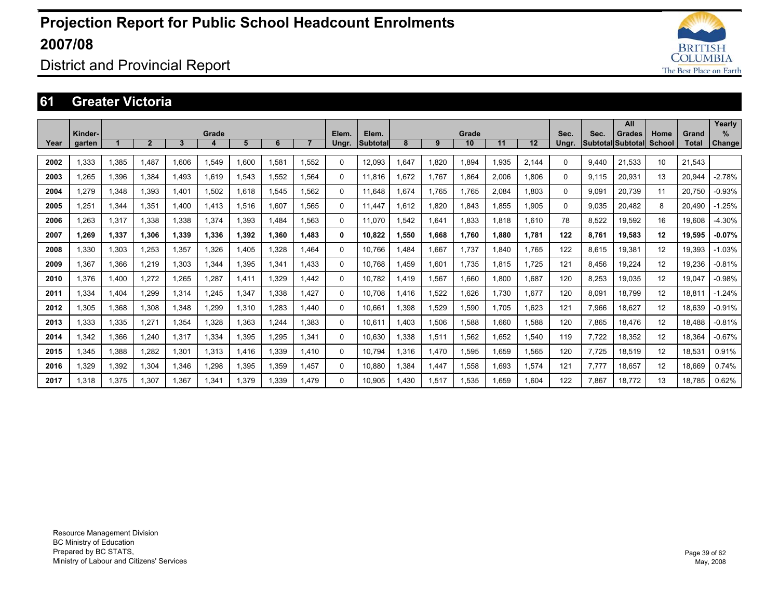

### District and Provincial Report

#### **61 Greater Victoria**

|      |         |       |                |       |       |       |       |                |          |                 |      |       |             |       |       |       |       | All               |        |        | Yearly        |
|------|---------|-------|----------------|-------|-------|-------|-------|----------------|----------|-----------------|------|-------|-------------|-------|-------|-------|-------|-------------------|--------|--------|---------------|
|      | Kinder- |       | $\overline{2}$ | 3     | Grade | 5     | 6     | $\overline{7}$ | Elem.    | Elem.           | 8    | 9     | Grade<br>10 | 11    | 12    | Sec.  | Sec.  | <b>Grades</b>     | Home   | Grand  | $\%$          |
| Year | garten  |       |                |       | 4     |       |       |                | Ungr.    | <b>Subtotal</b> |      |       |             |       |       | Ungr. |       | Subtotal Subtotal | School | Total  | <b>Change</b> |
| 2002 | 1.333   | 1,385 | 1.487          | 1.606 | 1.549 | .600  | 1.581 | 1.552          | $\Omega$ | 12.093          | .647 | 1.820 | 1.894       | 1.935 | 2.144 | 0     | 9.440 | 21.533            | 10     | 21.543 |               |
| 2003 | 1,265   | 1,396 | 1.384          | 1.493 | 1.619 | .543  | 1,552 | 1.564          | 0        | 11.816          | .672 | 1.767 | 1,864       | 2,006 | 1.806 | 0     | 9.115 | 20,931            | 13     | 20.944 | $-2.78%$      |
| 2004 | 1.279   | 1,348 | 1.393          | 1.401 | 1.502 | .618  | 1.545 | 1.562          | $\Omega$ | 11.648          | .674 | 1.765 | 1.765       | 2.084 | 1.803 | 0     | 9.091 | 20,739            | 11     | 20.750 | $-0.93%$      |
| 2005 | 1,251   | 1.344 | 1.351          | 1.400 | 1.413 | .516  | 1.607 | 1.565          | $\Omega$ | 11.447          | .612 | 1.820 | 1.843       | 1.855 | 1.905 | 0     | 9.035 | 20.482            | 8      | 20.490 | .25%<br>-1    |
| 2006 | 1,263   | 1,317 | 1.338          | 1.338 | 1,374 | .393  | 1.484 | 1.563          | 0        | 11.070          | .542 | 1,641 | 1,833       | 1.818 | 1.610 | 78    | 8,522 | 19,592            | 16     | 19.608 | $-4.30%$      |
| 2007 | 1.269   | 1,337 | 1.306          | 1.339 | 1,336 | 1.392 | 1.360 | 1.483          | 0        | 10.822          | .550 | 1,668 | 1.760       | 1.880 | 1.781 | 122   | 8.761 | 19.583            | 12     | 19,595 | $-0.07%$      |
| 2008 | 1,330   | 1,303 | 1,253          | 1,357 | 1.326 | ,405  | 1.328 | 1.464          | $\Omega$ | 10.766          | .484 | 1,667 | 1,737       | .840  | 1.765 | 122   | 8,615 | 19,381            | 12     | 19,393 | $-1.03%$      |
| 2009 | 1,367   | 1,366 | 1,219          | 1,303 | 1,344 | ,395  | 1,341 | 1.433          | $\Omega$ | 10.768          | .459 | 1,601 | 1.735       | 1.815 | 1,725 | 121   | 8,456 | 19,224            | 12     | 19,236 | $-0.81%$      |
| 2010 | 1.376   | 1.400 | 1.272          | .265  | 1.287 | .411  | 1.329 | 1.442          | 0        | 10.782          | .419 | 1,567 | 1.660       | 1.800 | 1.687 | 120   | 8,253 | 19.035            | 12     | 19.047 | $-0.98%$      |
| 2011 | 1,334   | 1,404 | 1,299          | 1,314 | 1,245 | .347  | 1,338 | 1.427          | $\Omega$ | 10.708          | .416 | 1,522 | 1,626       | 1,730 | 1,677 | 120   | 8,091 | 18,799            | 12     | 18,811 | $-1.24%$      |
| 2012 | 1,305   | 1,368 | 1,308          | 1,348 | 1,299 | .310  | 1,283 | 1.440          | $\Omega$ | 10,661          | .398 | 1,529 | 1,590       | 1.705 | 1,623 | 121   | 7,966 | 18,627            | 12     | 18,639 | $-0.91%$      |
| 2013 | 1,333   | 1,335 | 1.271          | 1,354 | 1,328 | .363  | 1.244 | 1.383          | $\Omega$ | 10.611          | .403 | 1,506 | 1,588       | 1.660 | 1.588 | 120   | 7,865 | 18,476            | 12     | 18.488 | $-0.81%$      |
| 2014 | 1,342   | 1,366 | 1,240          | 1,317 | 1,334 | .395  | 1,295 | 1,341          | $\Omega$ | 10,630          | ,338 | 1,511 | 1,562       | .652  | 1,540 | 119   | 7,722 | 18,352            | 12     | 18,364 | $-0.67%$      |
| 2015 | 1,345   | 1,388 | 1,282          | 1,301 | 1,313 | .416  | 1,339 | 1.410          | $\Omega$ | 10.794          | .316 | 1,470 | 1,595       | 1,659 | 1,565 | 120   | 7,725 | 18,519            | 12     | 18,531 | 0.91%         |
| 2016 | 1,329   | 1,392 | 1,304          | 1,346 | 1,298 | 1,395 | 1,359 | 1.457          | $\Omega$ | 10,880          | .384 | 1,447 | 1,558       | 1,693 | 1.574 | 121   | 7.777 | 18,657            | 12     | 18,669 | 0.74%         |
| 2017 | 1.318   | 1.375 | 1.307          | 1.367 | 1.341 | 1,379 | 1.339 | 1.479          | $\Omega$ | 10.905          | .430 | 1.517 | 1.535       | 1.659 | 1.604 | 122   | 7.867 | 18.772            | 13     | 18.785 | 0.62%         |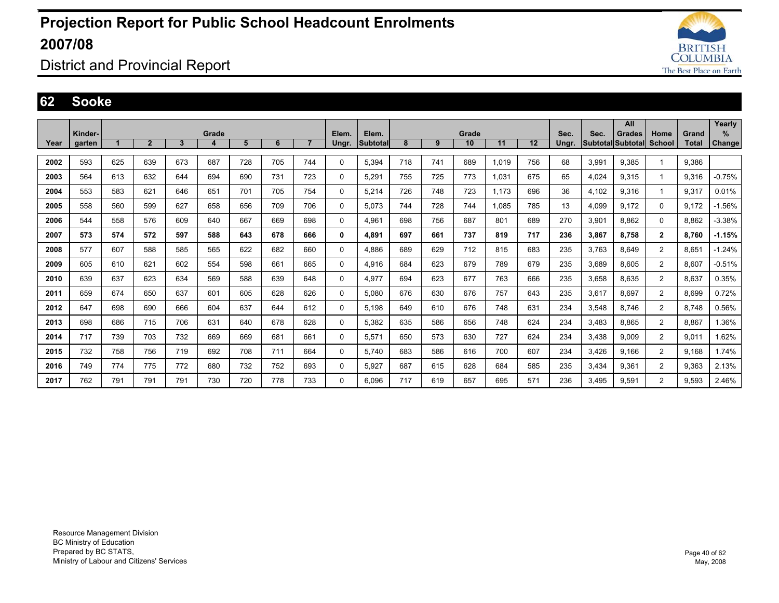

District and Provincial Report

#### **62 Sooke**

|      |         |     |                |     |       |     |     |                |          |                 |     |     |       |       |     |       |       | All                      |                |              | Yearly        |
|------|---------|-----|----------------|-----|-------|-----|-----|----------------|----------|-----------------|-----|-----|-------|-------|-----|-------|-------|--------------------------|----------------|--------------|---------------|
|      | Kinder- |     |                |     | Grade |     |     |                | Elem.    | Elem.           |     |     | Grade |       |     | Sec.  | Sec.  | Grades                   | Home           | Grand        | ℅             |
| Year | garten  |     | $\overline{2}$ | 3   | 4     | 5   | 6   | $\overline{7}$ | Ungr.    | <b>Subtotal</b> | 8   | 9   | 10    | 11    | 12  | Ungr. |       | <b>Subtotal Subtotal</b> | School         | <b>Total</b> | <b>Change</b> |
| 2002 | 593     | 625 | 639            | 673 | 687   | 728 | 705 | 744            | 0        | 5,394           | 718 | 741 | 689   | 1.019 | 756 | 68    | 3,991 | 9.385                    |                | 9,386        |               |
| 2003 | 564     | 613 | 632            | 644 | 694   | 690 | 731 | 723            | 0        | 5,291           | 755 | 725 | 773   | 1,031 | 675 | 65    | 4,024 | 9,315                    | 1              | 9,316        | $-0.75%$      |
| 2004 | 553     | 583 | 621            | 646 | 651   | 701 | 705 | 754            | 0        | 5,214           | 726 | 748 | 723   | 1.173 | 696 | 36    | 4,102 | 9,316                    | 1              | 9,317        | 0.01%         |
| 2005 | 558     | 560 | 599            | 627 | 658   | 656 | 709 | 706            | 0        | 5.073           | 744 | 728 | 744   | 1.085 | 785 | 13    | 4,099 | 9,172                    | 0              | 9.172        | $-1.56\%$     |
| 2006 | 544     | 558 | 576            | 609 | 640   | 667 | 669 | 698            | 0        | 4,961           | 698 | 756 | 687   | 801   | 689 | 270   | 3,901 | 8,862                    | 0              | 8,862        | $-3.38%$      |
| 2007 | 573     | 574 | 572            | 597 | 588   | 643 | 678 | 666            | 0        | 4.891           | 697 | 661 | 737   | 819   | 717 | 236   | 3,867 | 8,758                    | $\mathbf{2}$   | 8.760        | $-1.15%$      |
| 2008 | 577     | 607 | 588            | 585 | 565   | 622 | 682 | 660            | 0        | 4.886           | 689 | 629 | 712   | 815   | 683 | 235   | 3.763 | 8.649                    | $\overline{2}$ | 8.651        | $-1.24%$      |
| 2009 | 605     | 610 | 621            | 602 | 554   | 598 | 661 | 665            | $\Omega$ | 4,916           | 684 | 623 | 679   | 789   | 679 | 235   | 3,689 | 8.605                    | $\overline{2}$ | 8,607        | $-0.51%$      |
| 2010 | 639     | 637 | 623            | 634 | 569   | 588 | 639 | 648            | 0        | 4,977           | 694 | 623 | 677   | 763   | 666 | 235   | 3,658 | 8.635                    | $\overline{2}$ | 8,637        | 0.35%         |
| 2011 | 659     | 674 | 650            | 637 | 601   | 605 | 628 | 626            | 0        | 5.080           | 676 | 630 | 676   | 757   | 643 | 235   | 3.617 | 8.697                    | $\overline{2}$ | 8.699        | 0.72%         |
| 2012 | 647     | 698 | 690            | 666 | 604   | 637 | 644 | 612            | 0        | 5,198           | 649 | 610 | 676   | 748   | 631 | 234   | 3,548 | 8.746                    | $\overline{2}$ | 8.748        | 0.56%         |
| 2013 | 698     | 686 | 715            | 706 | 631   | 640 | 678 | 628            | 0        | 5,382           | 635 | 586 | 656   | 748   | 624 | 234   | 3,483 | 8.865                    | $\overline{2}$ | 8,867        | .36%          |
| 2014 | 717     | 739 | 703            | 732 | 669   | 669 | 681 | 661            | 0        | 5,571           | 650 | 573 | 630   | 727   | 624 | 234   | 3,438 | 9.009                    | $\overline{2}$ | 9.011        | 1.62%         |
| 2015 | 732     | 758 | 756            | 719 | 692   | 708 | 711 | 664            | 0        | 5.740           | 683 | 586 | 616   | 700   | 607 | 234   | 3,426 | 9.166                    | $\overline{2}$ | 9,168        | 1.74%         |
| 2016 | 749     | 774 | 775            | 772 | 680   | 732 | 752 | 693            | $\Omega$ | 5,927           | 687 | 615 | 628   | 684   | 585 | 235   | 3,434 | 9,361                    | $\overline{2}$ | 9,363        | 2.13%         |
| 2017 | 762     | 791 | 791            | 791 | 730   | 720 | 778 | 733            | 0        | 6.096           | 717 | 619 | 657   | 695   | 571 | 236   | 3.495 | 9.591                    | $\overline{c}$ | 9.593        | 2.46%         |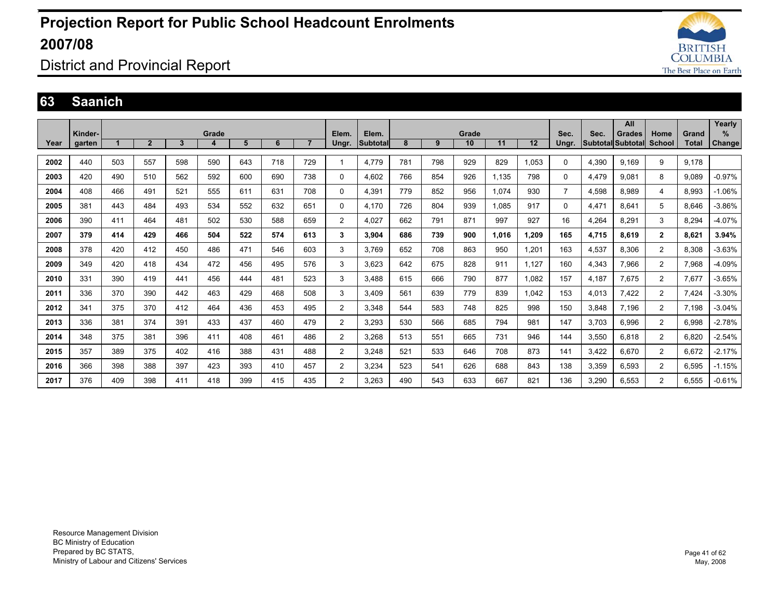

### District and Provincial Report

#### **63 Saanich**

|      |         |     |                |              |       |     |     |                |                |          |     |     |       |       |       |                |       | All                      |                |       | Yearly        |
|------|---------|-----|----------------|--------------|-------|-----|-----|----------------|----------------|----------|-----|-----|-------|-------|-------|----------------|-------|--------------------------|----------------|-------|---------------|
|      | Kinder- |     |                |              | Grade |     |     |                | Elem.          | Elem.    |     |     | Grade |       |       | Sec.           | Sec.  | <b>Grades</b>            | Home           | Grand | %             |
| Year | garten  |     | $\overline{2}$ | $\mathbf{3}$ | 4     | 5   | 6   | $\overline{7}$ | Ungr.          | Subtotal | 8   | 9   | 10    | 11    | 12    | Ungr.          |       | <b>Subtotal Subtotal</b> | School         | Total | <b>Change</b> |
| 2002 | 440     | 503 | 557            | 598          | 590   | 643 | 718 | 729            |                | 4,779    | 781 | 798 | 929   | 829   | 1,053 | $\Omega$       | 4,390 | 9,169                    | 9              | 9,178 |               |
|      |         |     |                |              |       |     |     |                |                |          |     |     |       |       |       |                |       |                          |                |       |               |
| 2003 | 420     | 490 | 510            | 562          | 592   | 600 | 690 | 738            | $\mathbf 0$    | 4,602    | 766 | 854 | 926   | 1,135 | 798   | 0              | 4,479 | 9.081                    | 8              | 9.089 | $-0.97%$      |
| 2004 | 408     | 466 | 491            | 521          | 555   | 611 | 631 | 708            | 0              | 4,391    | 779 | 852 | 956   | 1.074 | 930   | $\overline{7}$ | 4,598 | 8.989                    | 4              | 8.993 | $-1.06%$      |
| 2005 | 381     | 443 | 484            | 493          | 534   | 552 | 632 | 651            | 0              | 4.170    | 726 | 804 | 939   | 1.085 | 917   | 0              | 4.471 | 8.641                    | 5              | 8.646 | $-3.86%$      |
| 2006 | 390     | 411 | 464            | 481          | 502   | 530 | 588 | 659            | $\overline{2}$ | 4.027    | 662 | 791 | 871   | 997   | 927   | 16             | 4,264 | 8,291                    | 3              | 8.294 | $-4.07%$      |
| 2007 | 379     | 414 | 429            | 466          | 504   | 522 | 574 | 613            | 3              | 3.904    | 686 | 739 | 900   | 1.016 | 1,209 | 165            | 4,715 | 8,619                    | $\mathbf{2}$   | 8,621 | 3.94%         |
| 2008 | 378     | 420 | 412            | 450          | 486   | 471 | 546 | 603            | 3              | 3.769    | 652 | 708 | 863   | 950   | 1,201 | 163            | 4,537 | 8.306                    | $\overline{2}$ | 8.308 | $-3.63%$      |
| 2009 | 349     | 420 | 418            | 434          | 472   | 456 | 495 | 576            | 3              | 3.623    | 642 | 675 | 828   | 911   | 1.127 | 160            | 4.343 | 7.966                    | 2              | 7.968 | $-4.09%$      |
| 2010 | 331     | 390 | 419            | 441          | 456   | 444 | 481 | 523            | 3              | 3.488    | 615 | 666 | 790   | 877   | 1.082 | 157            | 4.187 | 7.675                    | $\overline{2}$ | 7.677 | $-3.65%$      |
| 2011 | 336     | 370 | 390            | 442          | 463   | 429 | 468 | 508            | 3              | 3.409    | 561 | 639 | 779   | 839   | 1,042 | 153            | 4,013 | 7,422                    | $\overline{2}$ | 7,424 | $-3.30%$      |
| 2012 | 341     | 375 | 370            | 412          | 464   | 436 | 453 | 495            | $\overline{2}$ | 3.348    | 544 | 583 | 748   | 825   | 998   | 150            | 3,848 | 7.196                    | $\overline{2}$ | 7.198 | $-3.04%$      |
| 2013 | 336     | 381 | 374            | 391          | 433   | 437 | 460 | 479            | $\overline{2}$ | 3,293    | 530 | 566 | 685   | 794   | 981   | 147            | 3,703 | 6.996                    | $\overline{2}$ | 6,998 | $-2.78%$      |
| 2014 | 348     | 375 | 381            | 396          | 411   | 408 | 461 | 486            | $\overline{2}$ | 3,268    | 513 | 551 | 665   | 731   | 946   | 144            | 3,550 | 6,818                    | $\overline{2}$ | 6,820 | $-2.54%$      |
| 2015 | 357     | 389 | 375            | 402          | 416   | 388 | 431 | 488            | $\overline{2}$ | 3,248    | 521 | 533 | 646   | 708   | 873   | 141            | 3,422 | 6.670                    | $\overline{2}$ | 6,672 | $-2.17%$      |
| 2016 | 366     | 398 | 388            | 397          | 423   | 393 | 410 | 457            | 2              | 3,234    | 523 | 541 | 626   | 688   | 843   | 138            | 3,359 | 6,593                    | 2              | 6,595 | $-1.15%$      |
| 2017 | 376     | 409 | 398            | 411          | 418   | 399 | 415 | 435            | 2              | 3.263    | 490 | 543 | 633   | 667   | 821   | 136            | 3.290 | 6.553                    | 2              | 6.555 | $-0.61%$      |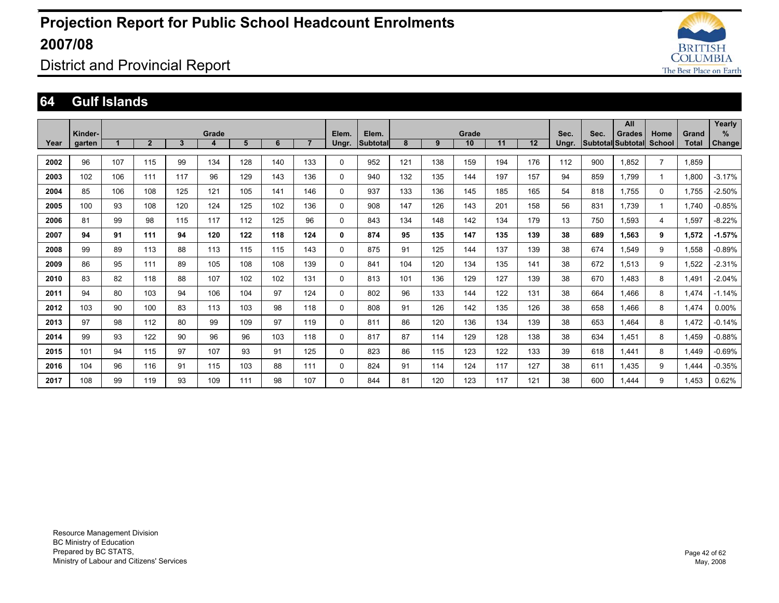

### District and Provincial Report

#### **64 Gulf Islands**

| Year | Kinder-<br>garten |     | $\overline{2}$ | $\mathbf{3}$ | Grade<br>4 | 5   | 6   | $\overline{7}$ | Elem.<br>Ungr. | Elem.<br><b>Subtotal</b> | 8   | 9   | Grade<br>10 | 11  | 12  | Sec.<br>Ungr. | Sec.<br><b>Subtotal Subtotal</b> | All<br><b>Grades</b> | Home<br><b>School</b> | Grand<br>Total | Yearly<br>%<br>Change |
|------|-------------------|-----|----------------|--------------|------------|-----|-----|----------------|----------------|--------------------------|-----|-----|-------------|-----|-----|---------------|----------------------------------|----------------------|-----------------------|----------------|-----------------------|
| 2002 | 96                | 107 | 115            | 99           | 134        | 128 | 140 | 133            | 0              | 952                      | 121 | 138 | 159         | 194 | 176 | 112           | 900                              | 1.852                | $\overline{7}$        | 1.859          |                       |
|      |                   |     |                |              |            |     |     |                |                |                          |     |     |             |     |     |               |                                  |                      |                       |                |                       |
| 2003 | 102               | 106 | 111            | 117          | 96         | 129 | 143 | 136            | 0              | 940                      | 132 | 135 | 144         | 197 | 157 | 94            | 859                              | 1.799                |                       | 1,800          | $-3.17%$              |
| 2004 | 85                | 106 | 108            | 125          | 121        | 105 | 141 | 146            | 0              | 937                      | 133 | 136 | 145         | 185 | 165 | 54            | 818                              | 1.755                | $\Omega$              | 1,755          | $-2.50%$              |
| 2005 | 100               | 93  | 108            | 120          | 124        | 125 | 102 | 136            | $\Omega$       | 908                      | 147 | 126 | 143         | 201 | 158 | 56            | 831                              | 1.739                |                       | 1.740          | $-0.85%$              |
| 2006 | 81                | 99  | 98             | 115          | 117        | 112 | 125 | 96             | 0              | 843                      | 134 | 148 | 142         | 134 | 179 | 13            | 750                              | 1.593                | 4                     | 1,597          | $-8.22%$              |
| 2007 | 94                | 91  | 111            | 94           | 120        | 122 | 118 | 124            | $\mathbf{0}$   | 874                      | 95  | 135 | 147         | 135 | 139 | 38            | 689                              | 1.563                | 9                     | 1.572          | $-1.57%$              |
| 2008 | 99                | 89  | 113            | 88           | 113        | 115 | 115 | 143            | 0              | 875                      | 91  | 125 | 144         | 137 | 139 | 38            | 674                              | 1.549                | 9                     | 1,558          | $-0.89%$              |
| 2009 | 86                | 95  | 111            | 89           | 105        | 108 | 108 | 139            | 0              | 841                      | 104 | 120 | 134         | 135 | 141 | 38            | 672                              | 1,513                | 9                     | 1,522          | $-2.31%$              |
| 2010 | 83                | 82  | 118            | 88           | 107        | 102 | 102 | 131            | 0              | 813                      | 101 | 136 | 129         | 127 | 139 | 38            | 670                              | 1.483                | 8                     | 1,491          | $-2.04%$              |
| 2011 | 94                | 80  | 103            | 94           | 106        | 104 | 97  | 124            | $\Omega$       | 802                      | 96  | 133 | 144         | 122 | 131 | 38            | 664                              | 1.466                | 8                     | 1.474          | $-1.14%$              |
| 2012 | 103               | 90  | 100            | 83           | 113        | 103 | 98  | 118            | 0              | 808                      | 91  | 126 | 142         | 135 | 126 | 38            | 658                              | 1.466                | 8                     | 1,474          | $0.00\%$              |
| 2013 | 97                | 98  | 112            | 80           | 99         | 109 | 97  | 119            | $\Omega$       | 811                      | 86  | 120 | 136         | 134 | 139 | 38            | 653                              | 1.464                | 8                     | 1,472          | $-0.14%$              |
| 2014 | 99                | 93  | 122            | 90           | 96         | 96  | 103 | 118            | 0              | 817                      | 87  | 114 | 129         | 128 | 138 | 38            | 634                              | 1.451                | 8                     | 1.459          | $-0.88%$              |
| 2015 | 101               | 94  | 115            | 97           | 107        | 93  | 91  | 125            | $\Omega$       | 823                      | 86  | 115 | 123         | 122 | 133 | 39            | 618                              | 1.441                | 8                     | 1.449          | $-0.69%$              |
| 2016 | 104               | 96  | 116            | 91           | 115        | 103 | 88  | 111            | $\Omega$       | 824                      | 91  | 114 | 124         | 117 | 127 | 38            | 611                              | 1.435                | 9                     | 1.444          | $-0.35%$              |
| 2017 | 108               | 99  | 119            | 93           | 109        | 111 | 98  | 107            | $\Omega$       | 844                      | 81  | 120 | 123         | 117 | 121 | 38            | 600                              | 1.444                | 9                     | .453           | 0.62%                 |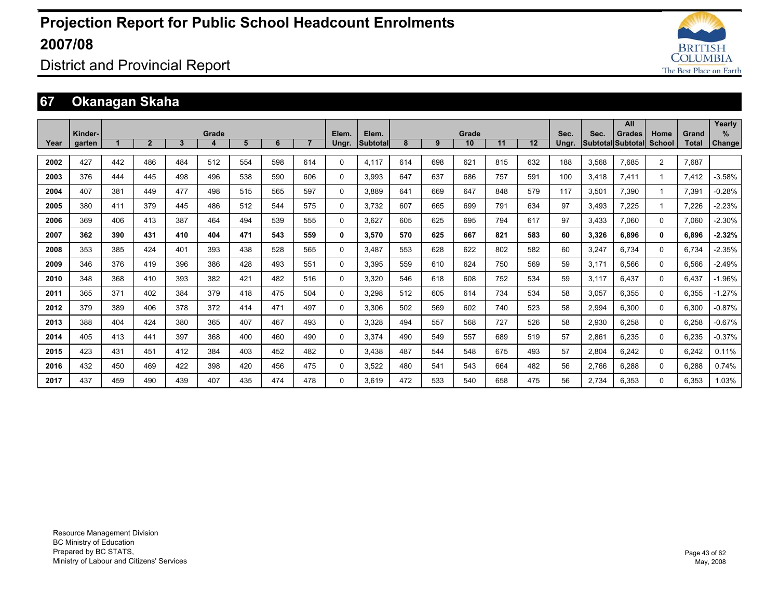

District and Provincial Report

### **67 Okanagan Skaha**

|      |         |     |              |              |       |     |     |                |              |                 |     |     |             |     |     |       |       | All                      |                |                       | Yearly        |
|------|---------|-----|--------------|--------------|-------|-----|-----|----------------|--------------|-----------------|-----|-----|-------------|-----|-----|-------|-------|--------------------------|----------------|-----------------------|---------------|
|      | Kinder- |     | $\mathbf{2}$ | $\mathbf{3}$ | Grade | 5   | 6   | $\overline{7}$ | Elem.        | Elem.           | 8   | 9   | Grade<br>10 | 11  | 12  | Sec.  | Sec.  | <b>Grades</b>            | Home<br>School | Grand<br><b>Total</b> | %             |
| Year | garten  |     |              |              | 4     |     |     |                | Ungr.        | <b>Subtotal</b> |     |     |             |     |     | Ungr. |       | <b>Subtotal Subtotal</b> |                |                       | <b>Change</b> |
| 2002 | 427     | 442 | 486          | 484          | 512   | 554 | 598 | 614            | $\Omega$     | 4.117           | 614 | 698 | 621         | 815 | 632 | 188   | 3.568 | 7.685                    | 2              | 7.687                 |               |
| 2003 | 376     | 444 | 445          | 498          | 496   | 538 | 590 | 606            | $\mathbf{0}$ | 3.993           | 647 | 637 | 686         | 757 | 591 | 100   | 3,418 | 7,411                    |                | 7,412                 | $-3.58%$      |
| 2004 | 407     | 381 | 449          | 477          | 498   | 515 | 565 | 597            | $\Omega$     | 3.889           | 641 | 669 | 647         | 848 | 579 | 117   | 3,501 | 7,390                    |                | 7,391                 | $-0.28%$      |
| 2005 | 380     | 411 | 379          | 445          | 486   | 512 | 544 | 575            | $\Omega$     | 3.732           | 607 | 665 | 699         | 791 | 634 | 97    | 3.493 | 7.225                    |                | 7.226                 | $-2.23%$      |
| 2006 | 369     | 406 | 413          | 387          | 464   | 494 | 539 | 555            | $\Omega$     | 3.627           | 605 | 625 | 695         | 794 | 617 | 97    | 3,433 | 7,060                    | $\Omega$       | 7,060                 | $-2.30%$      |
| 2007 | 362     | 390 | 431          | 410          | 404   | 471 | 543 | 559            | 0            | 3.570           | 570 | 625 | 667         | 821 | 583 | 60    | 3,326 | 6.896                    | $\mathbf{0}$   | 6.896                 | $-2.32%$      |
| 2008 | 353     | 385 | 424          | 401          | 393   | 438 | 528 | 565            | $\Omega$     | 3.487           | 553 | 628 | 622         | 802 | 582 | 60    | 3,247 | 6.734                    | $\Omega$       | 6,734                 | $-2.35%$      |
| 2009 | 346     | 376 | 419          | 396          | 386   | 428 | 493 | 551            | $\mathbf{0}$ | 3,395           | 559 | 610 | 624         | 750 | 569 | 59    | 3,171 | 6.566                    | $\Omega$       | 6,566                 | $-2.49%$      |
| 2010 | 348     | 368 | 410          | 393          | 382   | 421 | 482 | 516            | $\mathbf 0$  | 3.320           | 546 | 618 | 608         | 752 | 534 | 59    | 3,117 | 6.437                    | $\Omega$       | 6.437                 | $-1.96%$      |
| 2011 | 365     | 371 | 402          | 384          | 379   | 418 | 475 | 504            | $\Omega$     | 3,298           | 512 | 605 | 614         | 734 | 534 | 58    | 3,057 | 6.355                    | $\Omega$       | 6,355                 | $-1.27%$      |
| 2012 | 379     | 389 | 406          | 378          | 372   | 414 | 471 | 497            | $\Omega$     | 3.306           | 502 | 569 | 602         | 740 | 523 | 58    | 2,994 | 6.300                    | $\Omega$       | 6.300                 | $-0.87%$      |
| 2013 | 388     | 404 | 424          | 380          | 365   | 407 | 467 | 493            | $\Omega$     | 3.328           | 494 | 557 | 568         | 727 | 526 | 58    | 2,930 | 6.258                    | 0              | 6,258                 | $-0.67%$      |
| 2014 | 405     | 413 | 441          | 397          | 368   | 400 | 460 | 490            | $\Omega$     | 3,374           | 490 | 549 | 557         | 689 | 519 | 57    | 2,861 | 6,235                    | $\Omega$       | 6,235                 | $-0.37%$      |
| 2015 | 423     | 431 | 451          | 412          | 384   | 403 | 452 | 482            | $\Omega$     | 3.438           | 487 | 544 | 548         | 675 | 493 | 57    | 2,804 | 6.242                    | $\Omega$       | 6.242                 | 0.11%         |
| 2016 | 432     | 450 | 469          | 422          | 398   | 420 | 456 | 475            | $\Omega$     | 3,522           | 480 | 541 | 543         | 664 | 482 | 56    | 2,766 | 6.288                    | 0              | 6,288                 | 0.74%         |
| 2017 | 437     | 459 | 490          | 439          | 407   | 435 | 474 | 478            | $\Omega$     | 3.619           | 472 | 533 | 540         | 658 | 475 | 56    | 2.734 | 6.353                    | 0              | 6.353                 | 1.03%         |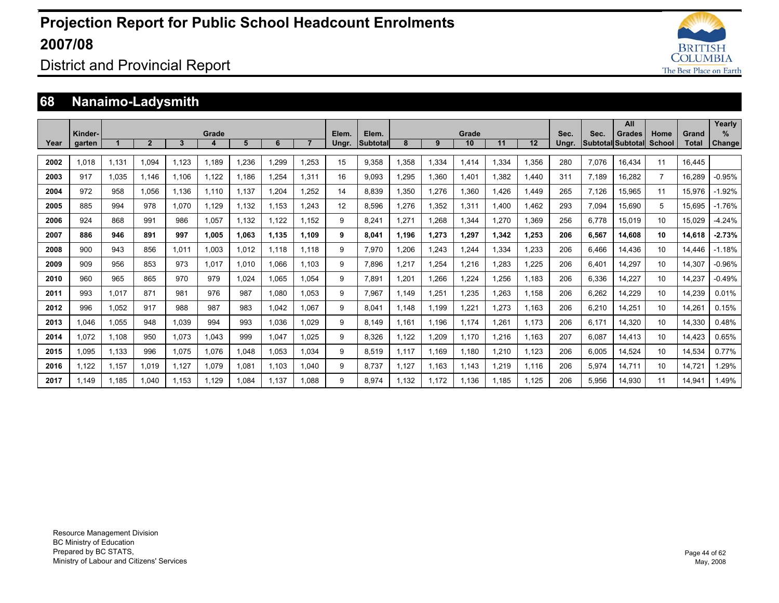

### District and Provincial Report

### **68 Nanaimo-Ladysmith**

|      |                   |       |                |       |            |       |       |                |                |                    |             |        |             |       |       |               |       | All                                       |                |                       | Yearly             |
|------|-------------------|-------|----------------|-------|------------|-------|-------|----------------|----------------|--------------------|-------------|--------|-------------|-------|-------|---------------|-------|-------------------------------------------|----------------|-----------------------|--------------------|
| Year | Kinder-<br>garten |       | $\overline{2}$ | 3     | Grade<br>4 | 5     | 6     | $\overline{7}$ | Elem.<br>Ungr. | Elem.<br>Subtotall | 8           | 9      | Grade<br>10 | 11    | 12    | Sec.<br>Ungr. | Sec.  | <b>Grades</b><br><b>Subtotal Subtotal</b> | Home<br>School | Grand<br><b>Total</b> | %<br><b>Change</b> |
|      |                   |       |                |       |            |       |       |                |                |                    |             |        |             |       |       |               |       |                                           |                |                       |                    |
| 2002 | 1.018             | 1,131 | 1.094          | 1.123 | 1.189      | .236  | 1.299 | 1.253          | 15             | 9.358              | 1,358       | 1,334  | 1.414       | 1,334 | .356  | 280           | 7,076 | 16.434                                    | 11             | 16,445                |                    |
| 2003 | 917               | 1.035 | 1.146          | 1.106 | 1.122      | 1.186 | 1.254 | 1.311          | 16             | 9.093              | 1.295       | 1.360  | 1.401       | 1.382 | 1.440 | 311           | 7.189 | 16.282                                    | $\overline{7}$ | 16.289                | $-0.95%$           |
| 2004 | 972               | 958   | 1.056          | 1.136 | 1.110      | 1.137 | 1.204 | 1.252          | 14             | 8.839              | 1.350       | 1.276  | 1.360       | 1.426 | .449  | 265           | 7.126 | 15.965                                    | 11             | 15.976                | $-1.92%$           |
| 2005 | 885               | 994   | 978            | 1.070 | 1.129      | 1.132 | 1.153 | 1.243          | 12             | 8.596              | .276        | 1.352  | 1.311       | 1.400 | .462  | 293           | 7.094 | 15.690                                    | 5              | 15.695                | $-1.76%$           |
| 2006 | 924               | 868   | 991            | 986   | 1,057      | 1,132 | 1,122 | 1.152          | 9              | 8.241              | 1,271       | 1,268  | 1.344       | 1.270 | .369  | 256           | 6,778 | 15.019                                    | 10             | 15.029                | $-4.24%$           |
| 2007 | 886               | 946   | 891            | 997   | 1.005      | 1.063 | 1,135 | 1.109          | 9              | 8.041              | 1.196       | 1,273  | 1,297       | 1,342 | 1,253 | 206           | 6,567 | 14.608                                    | 10             | 14,618                | $-2.73%$           |
| 2008 | 900               | 943   | 856            | 1,011 | 1,003      | 1,012 | 1.118 | 1.118          | 9              | 7,970              | <b>206.</b> | 1,243  | 1,244       | 1,334 | .233  | 206           | 6,466 | 14,436                                    | 10             | 14.446                | $-1.18%$           |
| 2009 | 909               | 956   | 853            | 973   | 1,017      | 1,010 | 1,066 | 1.103          | 9              | 7,896              | 1,217       | 1,254  | 1,216       | ,283  | ,225  | 206           | 6,401 | 14,297                                    | 10             | 14,307                | $-0.96%$           |
| 2010 | 960               | 965   | 865            | 970   | 979        | 1,024 | 1,065 | 1.054          | 9              | 7,891              | 1,201       | .266   | 1,224       | 1,256 | 1.183 | 206           | 6,336 | 14,227                                    | 10             | 14,237                | $-0.49%$           |
| 2011 | 993               | 1,017 | 871            | 981   | 976        | 987   | 1.080 | 1.053          | 9              | 7.967              | 1.149       | 1.251  | 1,235       | .263  | 1.158 | 206           | 6,262 | 14.229                                    | 10             | 14,239                | 0.01%              |
| 2012 | 996               | 1,052 | 917            | 988   | 987        | 983   | 1,042 | 1.067          | 9              | 8.041              | 1.148       | 1.199  | 1,221       | 1.273 | 1.163 | 206           | 6,210 | 14,251                                    | 10             | 14,261                | 0.15%              |
| 2013 | 1.046             | 1,055 | 948            | 1.039 | 994        | 993   | 1.036 | 1.029          | 9              | 8.149              | 1.161       | 1.196  | 1.174       | 1.261 | 1.173 | 206           | 6.171 | 14,320                                    | 10             | 14,330                | 0.48%              |
| 2014 | 1.072             | 1,108 | 950            | 1,073 | 1,043      | 999   | 1,047 | 1,025          | 9              | 8,326              | 1,122       | 209. ا | 1.170       | 1,216 | 1.163 | 207           | 6,087 | 14,413                                    | 10             | 14,423                | 0.65%              |
| 2015 | 1,095             | 1,133 | 996            | 1.075 | 1,076      | 1,048 | 1,053 | 1.034          | 9              | 8,519              | 1.117       | 1.169  | 1,180       | 1,210 | 1,123 | 206           | 6,005 | 14,524                                    | 10             | 14,534                | 0.77%              |
| 2016 | 1.122             | 1.157 | 1.019          | 1,127 | 1,079      | 1,081 | 1.103 | 1.040          | 9              | 8.737              | 1.127       | 1.163  | 1.143       | 1.219 | 1.116 | 206           | 5,974 | 14.711                                    | 10             | 14,721                | 1.29%              |
| 2017 | 1.149             | 1.185 | 1.040          | 1.153 | 1.129      | .084  | 1.137 | 1.088          | 9              | 8.974              | 1.132       | 1.172  | 1.136       | 1.185 | 1.125 | 206           | 5,956 | 14.930                                    | 11             | 14,941                | 1.49%              |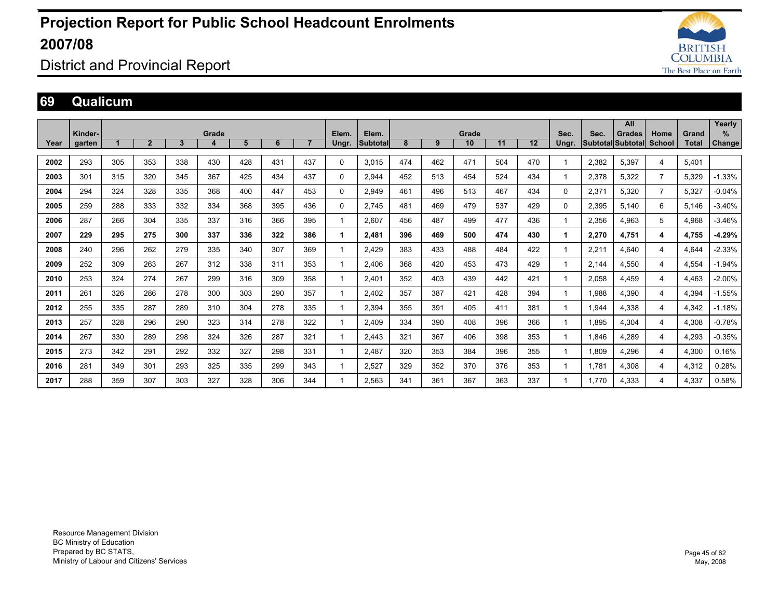

### District and Provincial Report

#### **69 Qualicum**

|      |         |     |                |     |       |     |     |                |             |                 |     |     |       |     |     |              |       | All                      |                |              | Yearly   |
|------|---------|-----|----------------|-----|-------|-----|-----|----------------|-------------|-----------------|-----|-----|-------|-----|-----|--------------|-------|--------------------------|----------------|--------------|----------|
|      | Kinder- |     |                |     | Grade |     |     |                | Elem.       | Elem.           |     |     | Grade |     |     | Sec.         | Sec.  | <b>Grades</b>            | Home           | Grand        | $\%$     |
| Year | garten  |     | $\overline{2}$ | 3   | 4     | 5   | 6   | $\overline{7}$ | Ungr.       | <b>Subtotal</b> | 8   | 9   | 10    | 11  | 12  | Ungr.        |       | Subtotal Subtotal School |                | <b>Total</b> | Change   |
| 2002 | 293     | 305 | 353            | 338 | 430   | 428 | 431 | 437            | 0           | 3.015           | 474 | 462 | 471   | 504 | 470 | $\mathbf 1$  | 2,382 |                          |                | 5.401        |          |
|      |         |     |                |     |       |     |     |                |             |                 |     |     |       |     |     |              |       | 5,397                    | 4              |              |          |
| 2003 | 301     | 315 | 320            | 345 | 367   | 425 | 434 | 437            | $\mathbf 0$ | 2,944           | 452 | 513 | 454   | 524 | 434 | $\mathbf{1}$ | 2,378 | 5,322                    | $\overline{7}$ | 5,329        | $-1.33%$ |
| 2004 | 294     | 324 | 328            | 335 | 368   | 400 | 447 | 453            | 0           | 2,949           | 461 | 496 | 513   | 467 | 434 | $\Omega$     | 2,371 | 5,320                    | $\overline{7}$ | 5,327        | $-0.04%$ |
| 2005 | 259     | 288 | 333            | 332 | 334   | 368 | 395 | 436            | 0           | 2,745           | 481 | 469 | 479   | 537 | 429 | $\mathbf 0$  | 2,395 | 5,140                    | 6              | 5,146        | $-3.40%$ |
| 2006 | 287     | 266 | 304            | 335 | 337   | 316 | 366 | 395            |             | 2,607           | 456 | 487 | 499   | 477 | 436 | $\mathbf{1}$ | 2,356 | 4,963                    | 5              | 4,968        | $-3.46%$ |
| 2007 | 229     | 295 | 275            | 300 | 337   | 336 | 322 | 386            |             | 2,481           | 396 | 469 | 500   | 474 | 430 | 1            | 2,270 | 4.751                    | 4              | 4.755        | $-4.29%$ |
| 2008 | 240     | 296 | 262            | 279 | 335   | 340 | 307 | 369            |             | 2.429           | 383 | 433 | 488   | 484 | 422 | $\mathbf{1}$ | 2.211 | 4.640                    | 4              | 4.644        | $-2.33%$ |
| 2009 | 252     | 309 | 263            | 267 | 312   | 338 | 311 | 353            |             | 2.406           | 368 | 420 | 453   | 473 | 429 | 1            | 2.144 | 4.550                    | 4              | 4.554        | $-1.94%$ |
| 2010 | 253     | 324 | 274            | 267 | 299   | 316 | 309 | 358            |             | 2.401           | 352 | 403 | 439   | 442 | 421 | $\mathbf{1}$ | 2.058 | 4.459                    | 4              | 4.463        | $-2.00%$ |
| 2011 | 261     | 326 | 286            | 278 | 300   | 303 | 290 | 357            |             | 2.402           | 357 | 387 | 421   | 428 | 394 | $\mathbf{1}$ | 1.988 | 4,390                    | 4              | 4.394        | $-1.55%$ |
| 2012 | 255     | 335 | 287            | 289 | 310   | 304 | 278 | 335            |             | 2,394           | 355 | 391 | 405   | 411 | 381 | $\mathbf{1}$ | 1.944 | 4,338                    | 4              | 4,342        | $-1.18%$ |
| 2013 | 257     | 328 | 296            | 290 | 323   | 314 | 278 | 322            |             | 2.409           | 334 | 390 | 408   | 396 | 366 | $\mathbf{1}$ | 1.895 | 4,304                    | 4              | 4,308        | $-0.78%$ |
| 2014 | 267     | 330 | 289            | 298 | 324   | 326 | 287 | 321            |             | 2.443           | 321 | 367 | 406   | 398 | 353 | $\mathbf{1}$ | 1.846 | 4.289                    | 4              | 4.293        | $-0.35%$ |
| 2015 | 273     | 342 | 291            | 292 | 332   | 327 | 298 | 331            |             | 2.487           | 320 | 353 | 384   | 396 | 355 | 1            | 1.809 | 4.296                    | 4              | 4.300        | 0.16%    |
| 2016 | 281     | 349 | 301            | 293 | 325   | 335 | 299 | 343            |             | 2.527           | 329 | 352 | 370   | 376 | 353 | 1            | 1.781 | 4.308                    | 4              | 4.312        | 0.28%    |
| 2017 | 288     | 359 | 307            | 303 | 327   | 328 | 306 | 344            |             | 2.563           | 341 | 361 | 367   | 363 | 337 | 1            | 1.770 | 4.333                    | 4              | 4.337        | 0.58%    |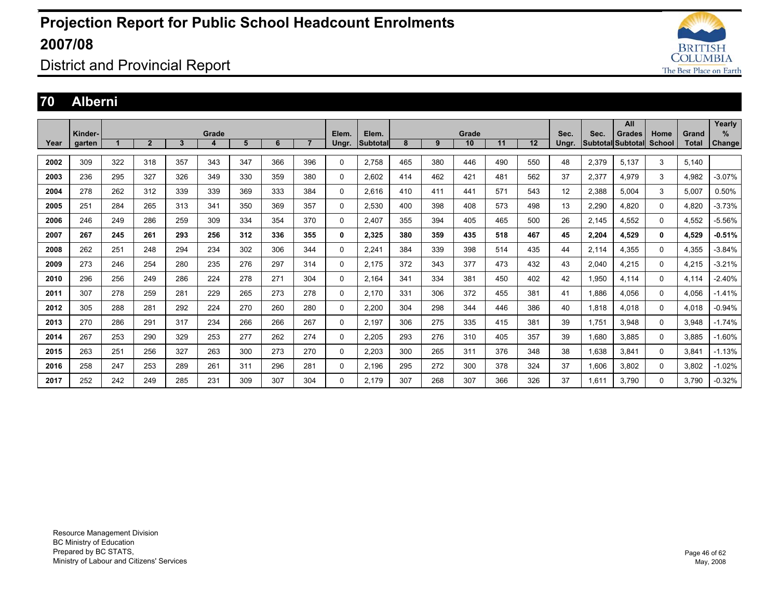

District and Provincial Report

#### **70 Alberni**

|      |         |     |                |     |       |     |     |                |       |          |     |     |       |     |     |       |       | All               |          |       | Yearly   |
|------|---------|-----|----------------|-----|-------|-----|-----|----------------|-------|----------|-----|-----|-------|-----|-----|-------|-------|-------------------|----------|-------|----------|
|      | Kinder- |     |                |     | Grade |     |     |                | Elem. | Elem.    |     |     | Grade |     |     | Sec.  | Sec.  | <b>Grades</b>     | Home     | Grand | %        |
| Year | garten  |     | $\overline{2}$ | 3   | 4     | 5   | 6   | $\overline{7}$ | Ungr. | Subtotal | 8   | 9   | 10    | 11  | 12  | Ungr. |       | Subtotal Subtotal | School   | Total | Change   |
|      |         |     |                |     |       |     |     |                |       |          |     |     |       |     |     |       |       |                   |          |       |          |
| 2002 | 309     | 322 | 318            | 357 | 343   | 347 | 366 | 396            | 0     | 2,758    | 465 | 380 | 446   | 490 | 550 | 48    | 2,379 | 5.137             | 3        | 5.140 |          |
| 2003 | 236     | 295 | 327            | 326 | 349   | 330 | 359 | 380            | 0     | 2.602    | 414 | 462 | 421   | 481 | 562 | 37    | 2,377 | 4.979             | 3        | 4.982 | $-3.07%$ |
| 2004 | 278     | 262 | 312            | 339 | 339   | 369 | 333 | 384            | 0     | 2,616    | 410 | 411 | 441   | 571 | 543 | 12    | 2,388 | 5,004             | 3        | 5,007 | 0.50%    |
| 2005 | 251     | 284 | 265            | 313 | 341   | 350 | 369 | 357            | 0     | 2,530    | 400 | 398 | 408   | 573 | 498 | 13    | 2,290 | 4,820             | $\Omega$ | 4,820 | $-3.73%$ |
| 2006 | 246     | 249 | 286            | 259 | 309   | 334 | 354 | 370            | 0     | 2.407    | 355 | 394 | 405   | 465 | 500 | 26    | 2,145 | 4.552             | 0        | 4,552 | $-5.56%$ |
| 2007 | 267     | 245 | 261            | 293 | 256   | 312 | 336 | 355            | 0     | 2,325    | 380 | 359 | 435   | 518 | 467 | 45    | 2,204 | 4,529             | 0        | 4,529 | $-0.51%$ |
| 2008 | 262     | 251 | 248            | 294 | 234   | 302 | 306 | 344            | 0     | 2,241    | 384 | 339 | 398   | 514 | 435 | 44    | 2,114 | 4,355             | 0        | 4,355 | $-3.84%$ |
| 2009 | 273     | 246 | 254            | 280 | 235   | 276 | 297 | 314            | 0     | 2,175    | 372 | 343 | 377   | 473 | 432 | 43    | 2,040 | 4,215             | $\Omega$ | 4,215 | $-3.21%$ |
| 2010 | 296     | 256 | 249            | 286 | 224   | 278 | 271 | 304            | 0     | 2.164    | 341 | 334 | 381   | 450 | 402 | 42    | 1,950 | 4,114             | $\Omega$ | 4.114 | $-2.40%$ |
| 2011 | 307     | 278 | 259            | 281 | 229   | 265 | 273 | 278            | 0     | 2.170    | 331 | 306 | 372   | 455 | 381 | 41    | 1.886 | 4.056             | $\Omega$ | 4.056 | $-1.41%$ |
| 2012 | 305     | 288 | 281            | 292 | 224   | 270 | 260 | 280            | 0     | 2,200    | 304 | 298 | 344   | 446 | 386 | 40    | 1.818 | 4.018             | $\Omega$ | 4.018 | $-0.94%$ |
| 2013 | 270     | 286 | 291            | 317 | 234   | 266 | 266 | 267            | 0     | 2.197    | 306 | 275 | 335   | 415 | 381 | 39    | 1.751 | 3,948             | $\Omega$ | 3,948 | $-1.74%$ |
| 2014 | 267     | 253 | 290            | 329 | 253   | 277 | 262 | 274            | 0     | 2.205    | 293 | 276 | 310   | 405 | 357 | 39    | 1.680 | 3.885             | $\Omega$ | 3.885 | $-1.60%$ |
| 2015 | 263     | 251 | 256            | 327 | 263   | 300 | 273 | 270            | 0     | 2,203    | 300 | 265 | 311   | 376 | 348 | 38    | 1,638 | 3.841             | $\Omega$ | 3.841 | $-1.13%$ |
| 2016 | 258     | 247 | 253            | 289 | 261   | 311 | 296 | 281            | 0     | 2.196    | 295 | 272 | 300   | 378 | 324 | 37    | 1.606 | 3.802             | $\Omega$ | 3.802 | $-1.02%$ |
| 2017 | 252     | 242 | 249            | 285 | 231   | 309 | 307 | 304            | 0     | 2.179    | 307 | 268 | 307   | 366 | 326 | 37    | 1.611 | 3.790             | $\Omega$ | 3.790 | $-0.32%$ |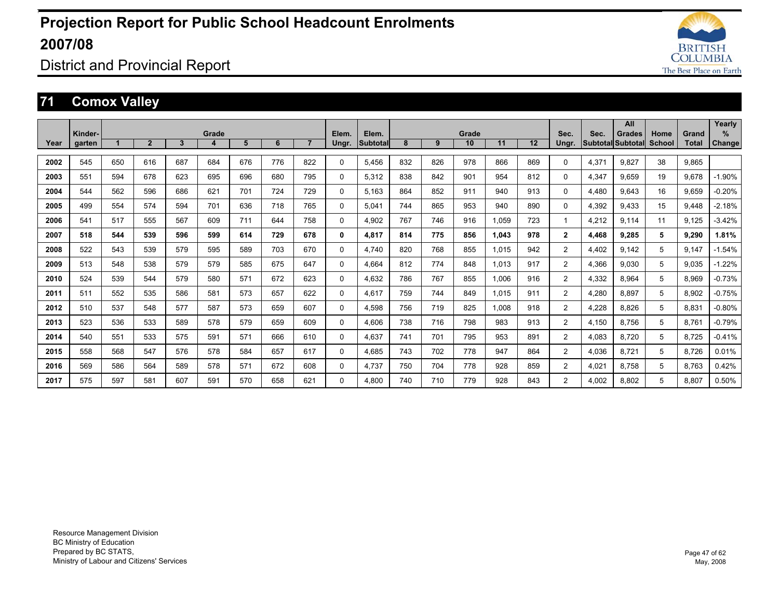

District and Provincial Report

### **71 Comox Valley**

|      |                   |     |              |              |            |     |     |                |                |                          |     |     |             |       |     |                |       | All                                       |                |                | Yearly             |
|------|-------------------|-----|--------------|--------------|------------|-----|-----|----------------|----------------|--------------------------|-----|-----|-------------|-------|-----|----------------|-------|-------------------------------------------|----------------|----------------|--------------------|
| Year | Kinder-<br>garten |     | $\mathbf{2}$ | $\mathbf{3}$ | Grade<br>4 | 5   | 6   | $\overline{7}$ | Elem.<br>Ungr. | Elem.<br><b>Subtotal</b> | 8   | 9   | Grade<br>10 | 11    | 12  | Sec.<br>Ungr.  | Sec.  | <b>Grades</b><br><b>Subtotal Subtotal</b> | Home<br>School | Grand<br>Total | %<br><b>Change</b> |
|      |                   |     |              |              |            |     |     |                |                |                          |     |     |             |       |     |                |       |                                           |                |                |                    |
| 2002 | 545               | 650 | 616          | 687          | 684        | 676 | 776 | 822            | $\mathbf{0}$   | 5.456                    | 832 | 826 | 978         | 866   | 869 | 0              | 4.371 | 9.827                                     | 38             | 9.865          |                    |
| 2003 | 551               | 594 | 678          | 623          | 695        | 696 | 680 | 795            | $\Omega$       | 5.312                    | 838 | 842 | 901         | 954   | 812 | $\Omega$       | 4.347 | 9.659                                     | 19             | 9.678          | $-1.90%$           |
| 2004 | 544               | 562 | 596          | 686          | 621        | 701 | 724 | 729            | $\Omega$       | 5.163                    | 864 | 852 | 911         | 940   | 913 | 0              | 4.480 | 9.643                                     | 16             | 9.659          | $-0.20%$           |
| 2005 | 499               | 554 | 574          | 594          | 701        | 636 | 718 | 765            | $\mathbf{0}$   | 5.041                    | 744 | 865 | 953         | 940   | 890 | $\Omega$       | 4,392 | 9.433                                     | 15             | 9.448          | $-2.18%$           |
| 2006 | 541               | 517 | 555          | 567          | 609        | 711 | 644 | 758            | $\Omega$       | 4.902                    | 767 | 746 | 916         | 1.059 | 723 | 1              | 4,212 | 9.114                                     | 11             | 9.125          | $-3.42%$           |
| 2007 | 518               | 544 | 539          | 596          | 599        | 614 | 729 | 678            | 0              | 4,817                    | 814 | 775 | 856         | 1,043 | 978 | $\overline{2}$ | 4,468 | 9,285                                     | 5              | 9,290          | 1.81%              |
| 2008 | 522               | 543 | 539          | 579          | 595        | 589 | 703 | 670            | 0              | 4.740                    | 820 | 768 | 855         | 1,015 | 942 | $\overline{2}$ | 4,402 | 9.142                                     | 5              | 9.147          | $-1.54%$           |
| 2009 | 513               | 548 | 538          | 579          | 579        | 585 | 675 | 647            | $\mathbf{0}$   | 4.664                    | 812 | 774 | 848         | 1,013 | 917 | 2              | 4,366 | 9.030                                     | 5              | 9.035          | $-1.22%$           |
| 2010 | 524               | 539 | 544          | 579          | 580        | 571 | 672 | 623            | $\Omega$       | 4,632                    | 786 | 767 | 855         | 1,006 | 916 | 2              | 4,332 | 8,964                                     | 5              | 8,969          | $-0.73%$           |
| 2011 | 511               | 552 | 535          | 586          | 581        | 573 | 657 | 622            | 0              | 4.617                    | 759 | 744 | 849         | 1,015 | 911 | $\overline{2}$ | 4,280 | 8.897                                     | 5              | 8,902          | $-0.75%$           |
| 2012 | 510               | 537 | 548          | 577          | 587        | 573 | 659 | 607            | $\Omega$       | 4.598                    | 756 | 719 | 825         | 1,008 | 918 | $\overline{2}$ | 4,228 | 8.826                                     | 5              | 8,831          | $-0.80%$           |
| 2013 | 523               | 536 | 533          | 589          | 578        | 579 | 659 | 609            | 0              | 4.606                    | 738 | 716 | 798         | 983   | 913 | $\overline{2}$ | 4,150 | 8.756                                     | 5              | 8,761          | $-0.79%$           |
| 2014 | 540               | 551 | 533          | 575          | 591        | 571 | 666 | 610            | 0              | 4.637                    | 741 | 701 | 795         | 953   | 891 | $\overline{2}$ | 4,083 | 8.720                                     | 5              | 8,725          | $-0.41%$           |
| 2015 | 558               | 568 | 547          | 576          | 578        | 584 | 657 | 617            | $\Omega$       | 4.685                    | 743 | 702 | 778         | 947   | 864 | $\overline{2}$ | 4,036 | 8.721                                     | 5              | 8.726          | 0.01%              |
| 2016 | 569               | 586 | 564          | 589          | 578        | 571 | 672 | 608            | $\Omega$       | 4.737                    | 750 | 704 | 778         | 928   | 859 | $\overline{2}$ | 4,021 | 8.758                                     | 5              | 8.763          | 0.42%              |
| 2017 | 575               | 597 | 581          | 607          | 591        | 570 | 658 | 621            | $\Omega$       | 4.800                    | 740 | 710 | 779         | 928   | 843 | $\overline{2}$ | 4.002 | 8.802                                     | 5              | 8.807          | 0.50%              |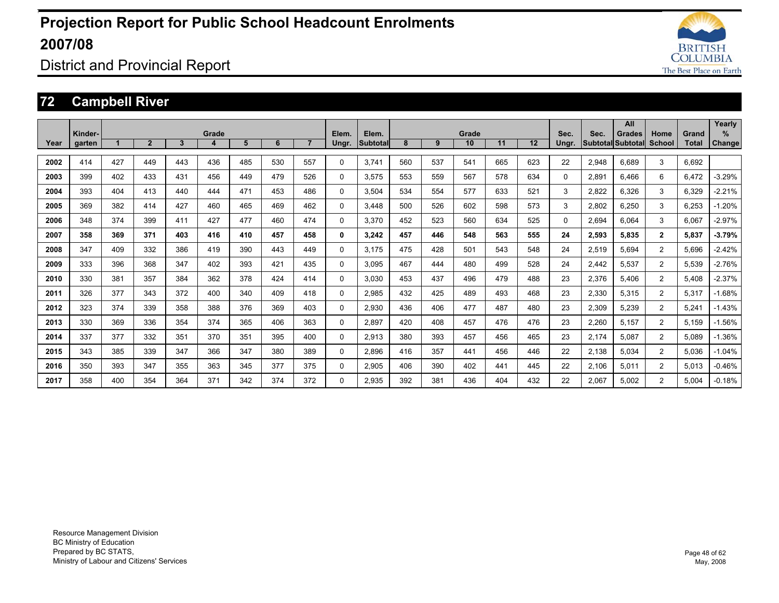

District and Provincial Report

### **72 Campbell River**

|      |         |     |              |              |       |     |     |                |              |                 |     |     |       |     |     |          |       | All                      |                |              | Yearly        |
|------|---------|-----|--------------|--------------|-------|-----|-----|----------------|--------------|-----------------|-----|-----|-------|-----|-----|----------|-------|--------------------------|----------------|--------------|---------------|
|      | Kinder- |     |              |              | Grade |     |     |                | Elem.        | Elem.           |     |     | Grade |     |     | Sec.     | Sec.  | <b>Grades</b>            | Home           | Grand        | %             |
| Year | garten  |     | $\mathbf{2}$ | $\mathbf{3}$ | 4     | 5   | 6   | $\overline{7}$ | Ungr.        | <b>Subtotal</b> | 8   | 9   | 10    | 11  | 12  | Ungr.    |       | <b>Subtotal Subtotal</b> | School         | <b>Total</b> | <b>Change</b> |
| 2002 | 414     | 427 | 449          | 443          | 436   | 485 | 530 | 557            | $\Omega$     | 3.741           | 560 | 537 | 541   | 665 | 623 | 22       | 2,948 | 6.689                    | 3              | 6.692        |               |
| 2003 | 399     | 402 | 433          | 431          | 456   | 449 | 479 | 526            | $\mathbf{0}$ | 3,575           | 553 | 559 | 567   | 578 | 634 | $\Omega$ | 2,891 | 6.466                    | 6              | 6,472        | $-3.29%$      |
| 2004 | 393     | 404 | 413          | 440          | 444   | 471 | 453 | 486            | $\Omega$     | 3,504           | 534 | 554 | 577   | 633 | 521 | 3        | 2,822 | 6,326                    | 3              | 6,329        | $-2.21%$      |
| 2005 | 369     | 382 | 414          | 427          | 460   | 465 | 469 | 462            | $\Omega$     | 3.448           | 500 | 526 | 602   | 598 | 573 | 3        | 2,802 | 6.250                    | 3              | 6.253        | $-1.20%$      |
| 2006 | 348     | 374 | 399          | 411          | 427   | 477 | 460 | 474            | $\Omega$     | 3,370           | 452 | 523 | 560   | 634 | 525 | 0        | 2,694 | 6.064                    | 3              | 6,067        | $-2.97%$      |
| 2007 | 358     | 369 | 371          | 403          | 416   | 410 | 457 | 458            | 0            | 3.242           | 457 | 446 | 548   | 563 | 555 | 24       | 2,593 | 5.835                    | $\overline{2}$ | 5.837        | $-3.79%$      |
| 2008 | 347     | 409 | 332          | 386          | 419   | 390 | 443 | 449            | $\Omega$     | 3.175           | 475 | 428 | 501   | 543 | 548 | 24       | 2,519 | 5.694                    | $\overline{2}$ | 5.696        | $-2.42%$      |
| 2009 | 333     | 396 | 368          | 347          | 402   | 393 | 421 | 435            | $\Omega$     | 3.095           | 467 | 444 | 480   | 499 | 528 | 24       | 2,442 | 5,537                    | $\overline{2}$ | 5,539        | $-2.76%$      |
| 2010 | 330     | 381 | 357          | 384          | 362   | 378 | 424 | 414            | $\Omega$     | 3.030           | 453 | 437 | 496   | 479 | 488 | 23       | 2,376 | 5.406                    | $\overline{2}$ | 5.408        | $-2.37%$      |
| 2011 | 326     | 377 | 343          | 372          | 400   | 340 | 409 | 418            | $\Omega$     | 2,985           | 432 | 425 | 489   | 493 | 468 | 23       | 2,330 | 5,315                    | $\overline{2}$ | 5,317        | $-1.68%$      |
| 2012 | 323     | 374 | 339          | 358          | 388   | 376 | 369 | 403            | $\Omega$     | 2.930           | 436 | 406 | 477   | 487 | 480 | 23       | 2,309 | 5.239                    | $\overline{2}$ | 5.241        | $-1.43%$      |
| 2013 | 330     | 369 | 336          | 354          | 374   | 365 | 406 | 363            | $\Omega$     | 2.897           | 420 | 408 | 457   | 476 | 476 | 23       | 2,260 | 5.157                    | 2              | 5.159        | $-1.56%$      |
| 2014 | 337     | 377 | 332          | 351          | 370   | 351 | 395 | 400            | $\mathbf 0$  | 2,913           | 380 | 393 | 457   | 456 | 465 | 23       | 2,174 | 5,087                    | 2              | 5,089        | $-1.36%$      |
| 2015 | 343     | 385 | 339          | 347          | 366   | 347 | 380 | 389            | $\Omega$     | 2.896           | 416 | 357 | 441   | 456 | 446 | 22       | 2.138 | 5.034                    | $\overline{2}$ | 5.036        | $-1.04%$      |
| 2016 | 350     | 393 | 347          | 355          | 363   | 345 | 377 | 375            | $\Omega$     | 2,905           | 406 | 390 | 402   | 441 | 445 | 22       | 2,106 | 5.011                    | 2              | 5.013        | $-0.46%$      |
| 2017 | 358     | 400 | 354          | 364          | 371   | 342 | 374 | 372            | $\Omega$     | 2.935           | 392 | 381 | 436   | 404 | 432 | 22       | 2,067 | 5.002                    | 2              | 5.004        | $-0.18%$      |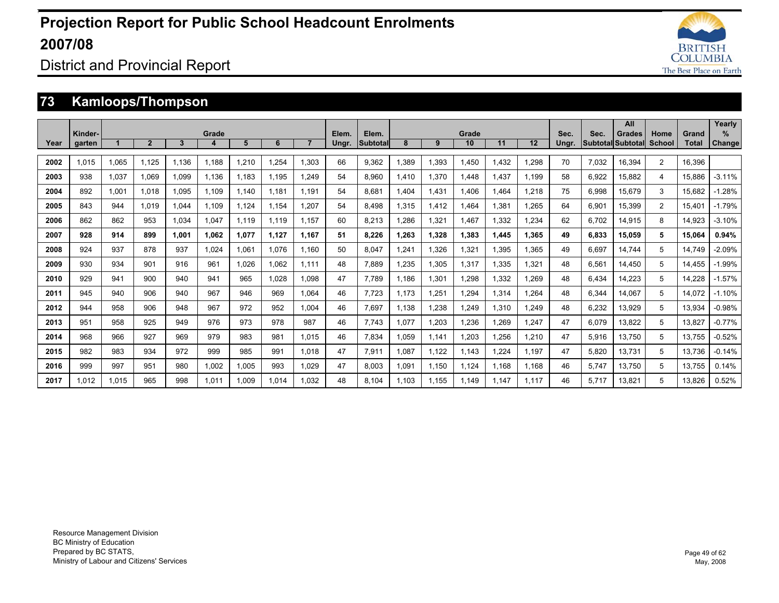

District and Provincial Report

### **73 Kamloops/Thompson**

|      |         |       |                |       |            |       |       |                |       |                 |       |       |             |       |       |       |       | All                                |                |                | Yearly              |
|------|---------|-------|----------------|-------|------------|-------|-------|----------------|-------|-----------------|-------|-------|-------------|-------|-------|-------|-------|------------------------------------|----------------|----------------|---------------------|
| Year | Kinder- |       | $\overline{2}$ | 3     | Grade<br>4 | 5     | 6     | $\overline{7}$ | Elem. | Elem.           | 8     | 9     | Grade<br>10 | 11    | 12    | Sec.  | Sec.  | <b>Grades</b><br>Subtotal Subtotal | Home<br>School | Grand<br>Total | %                   |
|      | garten  |       |                |       |            |       |       |                | Ungr. | <b>Subtotal</b> |       |       |             |       |       | Ungr. |       |                                    |                |                | Change <sup>'</sup> |
| 2002 | 1.015   | 1.065 | 1.125          | 1.136 | 1.188      | 1,210 | 1.254 | 1.303          | 66    | 9.362           | 1.389 | 1.393 | 1.450       | 1.432 | .298  | 70    | 7.032 | 16.394                             | $\overline{2}$ | 16.396         |                     |
| 2003 | 938     | 1.037 | 1.069          | 1.099 | 1.136      | 1.183 | 1.195 | 1.249          | 54    | 8.960           | 1.410 | 1.370 | 1.448       | 1.437 | 1.199 | 58    | 6.922 | 15.882                             | 4              | 15.886         | $-3.11%$            |
| 2004 | 892     | 1.001 | 1.018          | 1.095 | 1.109      | 1.140 | 1.181 | 1.191          | 54    | 8.681           | 1.404 | 1.431 | 1.406       | 1.464 | .218  | 75    | 6.998 | 15.679                             | 3              | 15.682         | $-1.28%$            |
| 2005 | 843     | 944   | 1.019          | .044  | 1.109      | 1.124 | 1.154 | 1.207          | 54    | 8.498           | 1,315 | 1.412 | 1.464       | 1.381 | .265  | 64    | 6.901 | 15.399                             | $\overline{2}$ | 15.401         | $-1.79%$            |
| 2006 | 862     | 862   | 953            | 1.034 | 1,047      | 1.119 | 1.119 | 1.157          | 60    | 8.213           | .286  | 1,321 | 1.467       | 1,332 | .234  | 62    | 6.702 | 14,915                             | 8              | 14.923         | $-3.10%$            |
| 2007 | 928     | 914   | 899            | 1.001 | 1,062      | 1,077 | 1,127 | 1.167          | 51    | 8,226           | 1,263 | 1,328 | 1,383       | 1.445 | 1,365 | 49    | 6,833 | 15,059                             | 5              | 15.064         | 0.94%               |
| 2008 | 924     | 937   | 878            | 937   | 1.024      | 1,061 | 1.076 | 1.160          | 50    | 8.047           | .241  | 1,326 | 1,321       | 1,395 | .365  | 49    | 6,697 | 14.744                             | 5              | 14.749         | $-2.09%$            |
| 2009 | 930     | 934   | 901            | 916   | 961        | 1,026 | 1.062 | 1.111          | 48    | 7.889           | 1.235 | 1,305 | 1,317       | 1,335 | 1,321 | 48    | 6,561 | 14,450                             | 5              | 14.455         | $-1.99%$            |
| 2010 | 929     | 941   | 900            | 940   | 941        | 965   | 1.028 | 1.098          | 47    | 7.789           | 1.186 | 1,301 | 1,298       | 1,332 | .269  | 48    | 6,434 | 14,223                             | 5              | 14,228         | $-1.57%$            |
| 2011 | 945     | 940   | 906            | 940   | 967        | 946   | 969   | 1.064          | 46    | 7.723           | 1.173 | 1,251 | 1,294       | 1,314 | .264  | 48    | 6,344 | 14.067                             | 5              | 14.072         | $-1.10%$            |
| 2012 | 944     | 958   | 906            | 948   | 967        | 972   | 952   | 1.004          | 46    | 7.697           | 1.138 | 1,238 | 1.249       | 1,310 | .249  | 48    | 6,232 | 13.929                             | 5              | 13.934         | $-0.98%$            |
| 2013 | 951     | 958   | 925            | 949   | 976        | 973   | 978   | 987            | 46    | 7.743           | 1.077 | 1.203 | 1,236       | .269  | 1,247 | 47    | 6,079 | 13,822                             | 5              | 13,827         | $-0.77%$            |
| 2014 | 968     | 966   | 927            | 969   | 979        | 983   | 981   | 1.015          | 46    | 7.834           | 1.059 | 1.141 | 1,203       | 1,256 | ,210  | 47    | 5,916 | 13.750                             | 5              | 13.755         | $-0.52%$            |
| 2015 | 982     | 983   | 934            | 972   | 999        | 985   | 991   | 1.018          | 47    | 7,911           | 1.087 | 1.122 | 1.143       | ,224  | 1.197 | 47    | 5,820 | 13.731                             | 5              | 13.736         | $-0.14%$            |
| 2016 | 999     | 997   | 951            | 980   | 1,002      | 1,005 | 993   | 1.029          | 47    | 8.003           | 1.091 | 1,150 | 1,124       | 1.168 | 1.168 | 46    | 5,747 | 13,750                             | 5              | 13,755         | 0.14%               |
| 2017 | 1.012   | 1.015 | 965            | 998   | 1.011      | 1.009 | 1.014 | 1.032          | 48    | 8.104           | 1.103 | 1.155 | 1.149       | 1.147 | 1.117 | 46    | 5.717 | 13.821                             | 5              | 13.826         | 0.52%               |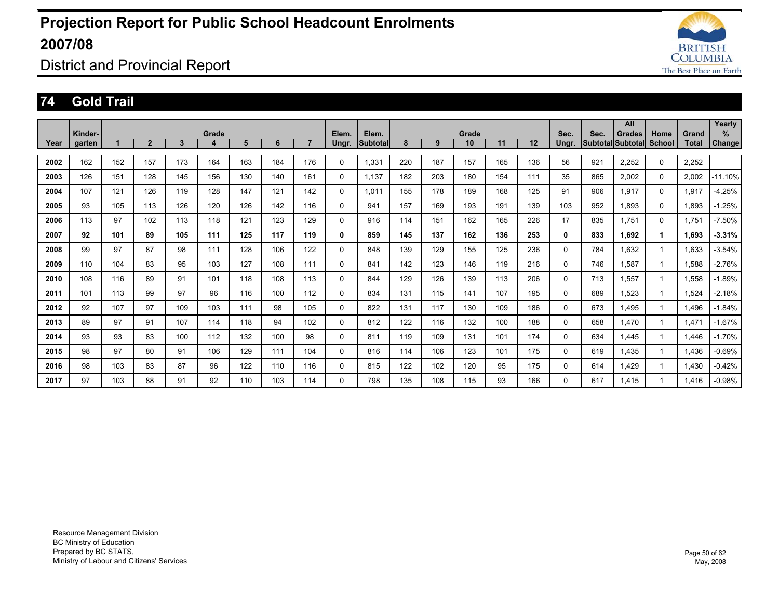

District and Provincial Report

#### **74 Gold Trail**

|      |         |     |                |     |       |     |     |                |              |                 |     |     |       |     |     |          |      | All                      |          |       | Yearly     |
|------|---------|-----|----------------|-----|-------|-----|-----|----------------|--------------|-----------------|-----|-----|-------|-----|-----|----------|------|--------------------------|----------|-------|------------|
|      | Kinder- |     |                |     | Grade |     |     |                | Elem.        | Elem.           |     |     | Grade |     |     | Sec.     | Sec. | <b>Grades</b>            | Home     | Grand | %          |
| Year | garten  |     | $\overline{2}$ | 3   | 4     | 5   | 6   | $\overline{7}$ | Ungr.        | <b>Subtotal</b> | 8   | 9   | 10    | 11  | 12  | Ungr.    |      | <b>Subtotal Subtotal</b> | School   | Total | Change     |
| 2002 | 162     | 152 | 157            | 173 | 164   | 163 | 184 | 176            | $\mathbf 0$  | 1,331           | 220 | 187 | 157   | 165 | 136 | 56       | 921  | 2,252                    | 0        | 2,252 |            |
| 2003 | 126     | 151 | 128            | 145 | 156   | 130 | 140 | 161            | $\mathbf 0$  | 1.137           | 182 | 203 | 180   | 154 | 111 | 35       | 865  | 2,002                    | 0        | 2,002 | $-11.10\%$ |
| 2004 | 107     | 121 | 126            | 119 | 128   | 147 | 121 | 142            | $\mathbf 0$  | 1,011           | 155 | 178 | 189   | 168 | 125 | 91       | 906  | 1.917                    | 0        | 1,917 | $-4.25%$   |
| 2005 | 93      | 105 | 113            | 126 | 120   | 126 | 142 | 116            | 0            | 941             | 157 | 169 | 193   | 191 | 139 | 103      | 952  | 1.893                    | 0        | 1.893 | $-1.25%$   |
| 2006 | 113     | 97  | 102            | 113 | 118   | 121 | 123 | 129            | 0            | 916             | 114 | 151 | 162   | 165 | 226 | 17       | 835  | 1.751                    | $\Omega$ | 1,751 | $-7.50%$   |
| 2007 | 92      | 101 | 89             | 105 | 111   | 125 | 117 | 119            | 0            | 859             | 145 | 137 | 162   | 136 | 253 | 0        | 833  | 1.692                    | 1        | 1.693 | $-3.31%$   |
| 2008 | 99      | 97  | 87             | 98  | 111   | 128 | 106 | 122            | $\mathbf 0$  | 848             | 139 | 129 | 155   | 125 | 236 | 0        | 784  | 1.632                    |          | 1.633 | $-3.54%$   |
| 2009 | 110     | 104 | 83             | 95  | 103   | 127 | 108 | 111            | $\mathbf{0}$ | 841             | 142 | 123 | 146   | 119 | 216 | 0        | 746  | 1.587                    |          | 1.588 | $-2.76%$   |
| 2010 | 108     | 116 | 89             | 91  | 101   | 118 | 108 | 113            | $\Omega$     | 844             | 129 | 126 | 139   | 113 | 206 | 0        | 713  | 1.557                    |          | 1.558 | $-1.89%$   |
| 2011 | 101     | 113 | 99             | 97  | 96    | 116 | 100 | 112            | $\mathbf 0$  | 834             | 131 | 115 | 141   | 107 | 195 | 0        | 689  | 1,523                    |          | 1,524 | $-2.18%$   |
| 2012 | 92      | 107 | 97             | 109 | 103   | 111 | 98  | 105            | 0            | 822             | 131 | 117 | 130   | 109 | 186 | 0        | 673  | 1.495                    |          | 1.496 | $-1.84%$   |
| 2013 | 89      | 97  | 91             | 107 | 114   | 118 | 94  | 102            | 0            | 812             | 122 | 116 | 132   | 100 | 188 | 0        | 658  | 1.470                    |          | 1.471 | $-1.67%$   |
| 2014 | 93      | 93  | 83             | 100 | 112   | 132 | 100 | 98             | $\Omega$     | 811             | 119 | 109 | 131   | 101 | 174 | 0        | 634  | 1.445                    |          | 1,446 | $-1.70%$   |
| 2015 | 98      | 97  | 80             | 91  | 106   | 129 | 111 | 104            | $\mathbf{0}$ | 816             | 114 | 106 | 123   | 101 | 175 | $\Omega$ | 619  | 1.435                    |          | 1,436 | $-0.69%$   |
| 2016 | 98      | 103 | 83             | 87  | 96    | 122 | 110 | 116            | $\mathbf{0}$ | 815             | 122 | 102 | 120   | 95  | 175 | $\Omega$ | 614  | 1,429                    |          | 1,430 | $-0.42%$   |
| 2017 | 97      | 103 | 88             | 91  | 92    | 110 | 103 | 114            | 0            | 798             | 135 | 108 | 115   | 93  | 166 | 0        | 617  | 1.415                    |          | 1.416 | $-0.98%$   |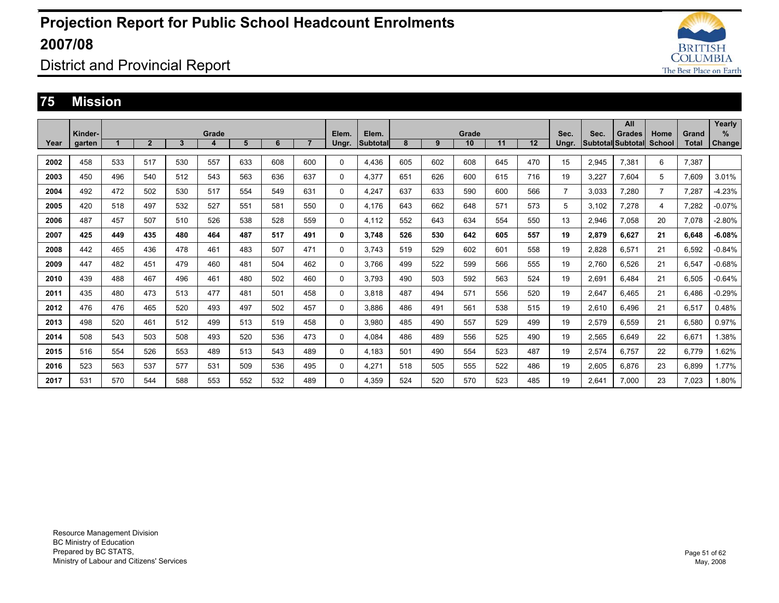

### District and Provincial Report

#### **75 Mission**

|      |         |     |                |     |       |     |     |                |       |                 |     |     |       |     |     |                |       | All               |                |              | Yearly        |
|------|---------|-----|----------------|-----|-------|-----|-----|----------------|-------|-----------------|-----|-----|-------|-----|-----|----------------|-------|-------------------|----------------|--------------|---------------|
|      | Kinder- |     |                |     | Grade |     | 6   | $\overline{7}$ | Elem. | Elem.           |     |     | Grade |     |     | Sec.           | Sec.  | Grades            | Home           | Grand        | $\%$          |
| Year | garten  |     | $\overline{2}$ | 3   | 4     | 5   |     |                | Ungr. | <b>Subtotal</b> | 8   | 9   | 10    | 11  | 12  | Ungr.          |       | Subtotal Subtotal | School         | <b>Total</b> | <b>Change</b> |
| 2002 | 458     | 533 | 517            | 530 | 557   | 633 | 608 | 600            | 0     | 4,436           | 605 | 602 | 608   | 645 | 470 | 15             | 2,945 | 7,381             | 6              | 7,387        |               |
| 2003 | 450     | 496 | 540            | 512 | 543   | 563 | 636 | 637            | 0     | 4,377           | 651 | 626 | 600   | 615 | 716 | 19             | 3,227 | 7,604             | 5              | 7.609        | 3.01%         |
| 2004 | 492     | 472 | 502            | 530 | 517   | 554 | 549 | 631            | 0     | 4,247           | 637 | 633 | 590   | 600 | 566 | $\overline{7}$ | 3,033 | 7,280             | $\overline{7}$ | 7.287        | $-4.23%$      |
| 2005 | 420     | 518 | 497            | 532 | 527   | 551 | 581 | 550            | 0     | 4.176           | 643 | 662 | 648   | 571 | 573 | 5              | 3,102 | 7,278             | 4              | 7,282        | $-0.07%$      |
| 2006 | 487     | 457 | 507            | 510 | 526   | 538 | 528 | 559            | 0     | 4.112           | 552 | 643 | 634   | 554 | 550 | 13             | 2,946 | 7,058             | 20             | 7.078        | $-2.80%$      |
| 2007 | 425     | 449 | 435            | 480 | 464   | 487 | 517 | 491            | 0     | 3.748           | 526 | 530 | 642   | 605 | 557 | 19             | 2,879 | 6.627             | 21             | 6.648        | $-6.08%$      |
| 2008 | 442     | 465 | 436            | 478 | 461   | 483 | 507 | 471            | 0     | 3.743           | 519 | 529 | 602   | 601 | 558 | 19             | 2.828 | 6.571             | 21             | 6.592        | $-0.84%$      |
| 2009 | 447     | 482 | 451            | 479 | 460   | 481 | 504 | 462            | 0     | 3.766           | 499 | 522 | 599   | 566 | 555 | 19             | 2.760 | 6.526             | 21             | 6.547        | $-0.68%$      |
| 2010 | 439     | 488 | 467            | 496 | 461   | 480 | 502 | 460            | 0     | 3.793           | 490 | 503 | 592   | 563 | 524 | 19             | 2.691 | 6.484             | 21             | 6.505        | $-0.64%$      |
| 2011 | 435     | 480 | 473            | 513 | 477   | 481 | 501 | 458            | 0     | 3.818           | 487 | 494 | 571   | 556 | 520 | 19             | 2.647 | 6.465             | 21             | 6.486        | $-0.29%$      |
| 2012 | 476     | 476 | 465            | 520 | 493   | 497 | 502 | 457            | 0     | 3.886           | 486 | 491 | 561   | 538 | 515 | 19             | 2,610 | 6.496             | 21             | 6.517        | 0.48%         |
| 2013 | 498     | 520 | 461            | 512 | 499   | 513 | 519 | 458            | 0     | 3.980           | 485 | 490 | 557   | 529 | 499 | 19             | 2,579 | 6.559             | 21             | 6.580        | 0.97%         |
| 2014 | 508     | 543 | 503            | 508 | 493   | 520 | 536 | 473            | 0     | 4.084           | 486 | 489 | 556   | 525 | 490 | 19             | 2,565 | 6,649             | 22             | 6,671        | 1.38%         |
| 2015 | 516     | 554 | 526            | 553 | 489   | 513 | 543 | 489            | 0     | 4,183           | 501 | 490 | 554   | 523 | 487 | 19             | 2,574 | 6.757             | 22             | 6.779        | 1.62%         |
| 2016 | 523     | 563 | 537            | 577 | 531   | 509 | 536 | 495            | 0     | 4.271           | 518 | 505 | 555   | 522 | 486 | 19             | 2.605 | 6.876             | 23             | 6.899        | 1.77%         |
| 2017 | 531     | 570 | 544            | 588 | 553   | 552 | 532 | 489            | 0     | 4.359           | 524 | 520 | 570   | 523 | 485 | 19             | 2,641 | 7.000             | 23             | 7.023        | 1.80%         |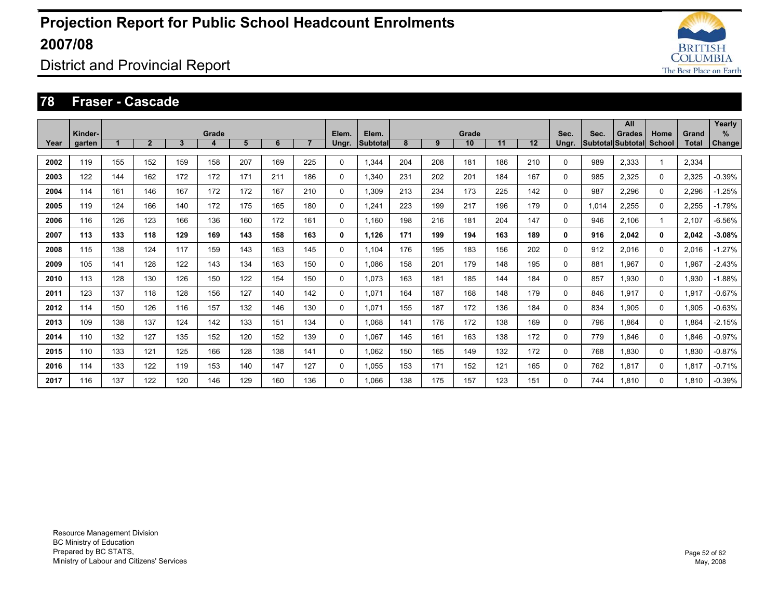

### District and Provincial Report

#### **78 Fraser - Cascade**

|      | Kinder- |     |              |              | Grade |     |     |                | Elem.        | Elem.           |     |     | Grade |     |     | Sec.     | Sec.  | All<br><b>Grades</b>     | Home     | Grand        | Yearly<br>% |
|------|---------|-----|--------------|--------------|-------|-----|-----|----------------|--------------|-----------------|-----|-----|-------|-----|-----|----------|-------|--------------------------|----------|--------------|-------------|
| Year | garten  |     | $\mathbf{2}$ | $\mathbf{3}$ | 4     | 5   | 6   | $\overline{7}$ | Ungr.        | <b>Subtotal</b> | 8   | 9   | 10    | 11  | 12  | Ungr.    |       | <b>Subtotal Subtotal</b> | School   | <b>Total</b> | Change      |
| 2002 | 119     | 155 | 152          | 159          | 158   | 207 | 169 | 225            | $\mathbf{0}$ | 1.344           | 204 | 208 | 181   | 186 | 210 | 0        | 989   | 2.333                    |          | 2,334        |             |
| 2003 | 122     | 144 | 162          | 172          | 172   | 171 | 211 | 186            | $\mathbf{0}$ | 1.340           | 231 | 202 | 201   | 184 | 167 | $\Omega$ | 985   | 2,325                    | $\Omega$ | 2,325        | $-0.39%$    |
| 2004 | 114     | 161 | 146          | 167          | 172   | 172 | 167 | 210            | $\Omega$     | 1.309           | 213 | 234 | 173   | 225 | 142 | 0        | 987   | 2,296                    | $\Omega$ | 2,296        | $-1.25%$    |
| 2005 | 119     | 124 | 166          | 140          | 172   | 175 | 165 | 180            | 0            | 1.241           | 223 | 199 | 217   | 196 | 179 | 0        | 1.014 | 2.255                    | 0        | 2,255        | $-1.79%$    |
| 2006 | 116     | 126 | 123          | 166          | 136   | 160 | 172 | 161            | $\mathbf 0$  | 1.160           | 198 | 216 | 181   | 204 | 147 | 0        | 946   | 2.106                    | 1        | 2.107        | $-6.56%$    |
| 2007 | 113     | 133 | 118          | 129          | 169   | 143 | 158 | 163            | 0            | 1.126           | 171 | 199 | 194   | 163 | 189 | 0        | 916   | 2.042                    | 0        | 2,042        | $-3.08%$    |
| 2008 | 115     | 138 | 124          | 117          | 159   | 143 | 163 | 145            | $\mathbf{0}$ | 1.104           | 176 | 195 | 183   | 156 | 202 | $\Omega$ | 912   | 2.016                    | $\Omega$ | 2,016        | $-1.27%$    |
| 2009 | 105     | 141 | 128          | 122          | 143   | 134 | 163 | 150            | $\mathbf{0}$ | 1.086           | 158 | 201 | 179   | 148 | 195 | $\Omega$ | 881   | 1.967                    | $\Omega$ | 1,967        | $-2.43%$    |
| 2010 | 113     | 128 | 130          | 126          | 150   | 122 | 154 | 150            | $\Omega$     | 1.073           | 163 | 181 | 185   | 144 | 184 | 0        | 857   | 1.930                    | $\Omega$ | 1,930        | $-1.88%$    |
| 2011 | 123     | 137 | 118          | 128          | 156   | 127 | 140 | 142            | 0            | 1.071           | 164 | 187 | 168   | 148 | 179 | 0        | 846   | 1.917                    | 0        | 1,917        | $-0.67%$    |
| 2012 | 114     | 150 | 126          | 116          | 157   | 132 | 146 | 130            | 0            | 1.071           | 155 | 187 | 172   | 136 | 184 | 0        | 834   | 1.905                    | 0        | 1,905        | $-0.63%$    |
| 2013 | 109     | 138 | 137          | 124          | 142   | 133 | 151 | 134            | $\mathbf 0$  | 1.068           | 141 | 176 | 172   | 138 | 169 | 0        | 796   | 1.864                    | 0        | 1,864        | $-2.15%$    |
| 2014 | 110     | 132 | 127          | 135          | 152   | 120 | 152 | 139            | $\Omega$     | 1,067           | 145 | 161 | 163   | 138 | 172 | 0        | 779   | 1.846                    | 0        | 1,846        | $-0.97%$    |
| 2015 | 110     | 133 | 121          | 125          | 166   | 128 | 138 | 141            | $\Omega$     | 1,062           | 150 | 165 | 149   | 132 | 172 | 0        | 768   | 1,830                    | $\Omega$ | 1,830        | $-0.87%$    |
| 2016 | 114     | 133 | 122          | 119          | 153   | 140 | 147 | 127            | $\Omega$     | 1,055           | 153 | 171 | 152   | 121 | 165 | 0        | 762   | 1,817                    | $\Omega$ | 1,817        | $-0.71%$    |
| 2017 | 116     | 137 | 122          | 120          | 146   | 129 | 160 | 136            | $\Omega$     | 1.066           | 138 | 175 | 157   | 123 | 151 | $\Omega$ | 744   | 1.810                    | 0        | 1.810        | $-0.39%$    |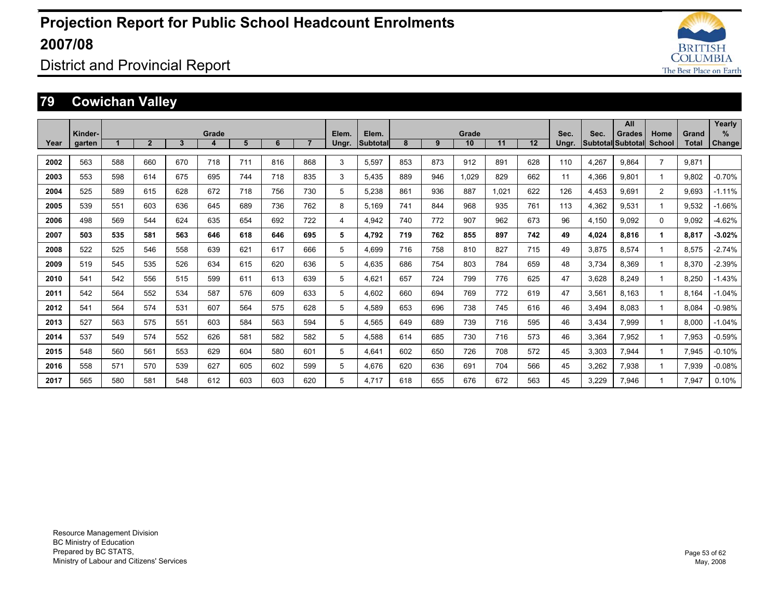

District and Provincial Report

### **79 Cowichan Valley**

|      |                   |     |                |              |            |     |     |                |                |                   |     |     |             |       |     |               |       | All                                       |                |                | Yearly             |
|------|-------------------|-----|----------------|--------------|------------|-----|-----|----------------|----------------|-------------------|-----|-----|-------------|-------|-----|---------------|-------|-------------------------------------------|----------------|----------------|--------------------|
| Year | Kinder-<br>garten |     | $\overline{2}$ | $\mathbf{3}$ | Grade<br>4 | 5   | 6   | $\overline{7}$ | Elem.<br>Ungr. | Elem.<br>Subtotal | 8   | 9   | Grade<br>10 | 11    | 12  | Sec.<br>Ungr. | Sec.  | <b>Grades</b><br><b>Subtotal Subtotal</b> | Home<br>School | Grand<br>Total | %<br><b>Change</b> |
| 2002 | 563               | 588 | 660            | 670          | 718        | 711 | 816 | 868            | 3              | 5,597             | 853 | 873 | 912         | 891   | 628 | 110           | 4,267 | 9.864                                     | $\overline{7}$ | 9.871          |                    |
|      |                   |     |                |              |            |     |     |                |                |                   |     |     |             |       |     |               |       |                                           |                |                |                    |
| 2003 | 553               | 598 | 614            | 675          | 695        | 744 | 718 | 835            | 3              | 5.435             | 889 | 946 | 1.029       | 829   | 662 | 11            | 4,366 | 9.801                                     |                | 9.802          | $-0.70%$           |
| 2004 | 525               | 589 | 615            | 628          | 672        | 718 | 756 | 730            | 5              | 5,238             | 861 | 936 | 887         | 1.021 | 622 | 126           | 4,453 | 9.691                                     | 2              | 9.693          | $-1.11%$           |
| 2005 | 539               | 551 | 603            | 636          | 645        | 689 | 736 | 762            | 8              | 5.169             | 741 | 844 | 968         | 935   | 761 | 113           | 4,362 | 9.531                                     |                | 9.532          | $-1.66%$           |
| 2006 | 498               | 569 | 544            | 624          | 635        | 654 | 692 | 722            | 4              | 4,942             | 740 | 772 | 907         | 962   | 673 | 96            | 4,150 | 9.092                                     | $\Omega$       | 9.092          | $-4.62%$           |
| 2007 | 503               | 535 | 581            | 563          | 646        | 618 | 646 | 695            | 5              | 4.792             | 719 | 762 | 855         | 897   | 742 | 49            | 4,024 | 8.816                                     | 1              | 8.817          | $-3.02%$           |
| 2008 | 522               | 525 | 546            | 558          | 639        | 621 | 617 | 666            | 5              | 4.699             | 716 | 758 | 810         | 827   | 715 | 49            | 3.875 | 8.574                                     |                | 8,575          | $-2.74%$           |
| 2009 | 519               | 545 | 535            | 526          | 634        | 615 | 620 | 636            | 5              | 4.635             | 686 | 754 | 803         | 784   | 659 | 48            | 3.734 | 8.369                                     |                | 8.370          | $-2.39%$           |
| 2010 | 541               | 542 | 556            | 515          | 599        | 611 | 613 | 639            | 5              | 4.621             | 657 | 724 | 799         | 776   | 625 | 47            | 3,628 | 8.249                                     |                | 8.250          | $-1.43%$           |
| 2011 | 542               | 564 | 552            | 534          | 587        | 576 | 609 | 633            | 5              | 4.602             | 660 | 694 | 769         | 772   | 619 | 47            | 3,561 | 8.163                                     |                | 8.164          | $-1.04%$           |
| 2012 | 541               | 564 | 574            | 531          | 607        | 564 | 575 | 628            | 5              | 4,589             | 653 | 696 | 738         | 745   | 616 | 46            | 3,494 | 8.083                                     |                | 8,084          | $-0.98%$           |
| 2013 | 527               | 563 | 575            | 551          | 603        | 584 | 563 | 594            | 5              | 4,565             | 649 | 689 | 739         | 716   | 595 | 46            | 3,434 | 7,999                                     |                | 8,000          | $-1.04%$           |
| 2014 | 537               | 549 | 574            | 552          | 626        | 581 | 582 | 582            | 5              | 4,588             | 614 | 685 | 730         | 716   | 573 | 46            | 3,364 | 7.952                                     |                | 7,953          | $-0.59%$           |
| 2015 | 548               | 560 | 561            | 553          | 629        | 604 | 580 | 601            | 5              | 4,641             | 602 | 650 | 726         | 708   | 572 | 45            | 3,303 | 7.944                                     |                | 7,945          | $-0.10%$           |
| 2016 | 558               | 571 | 570            | 539          | 627        | 605 | 602 | 599            | 5              | 4.676             | 620 | 636 | 691         | 704   | 566 | 45            | 3,262 | 7,938                                     |                | 7,939          | $-0.08%$           |
| 2017 | 565               | 580 | 581            | 548          | 612        | 603 | 603 | 620            | 5              | 4.717             | 618 | 655 | 676         | 672   | 563 | 45            | 3,229 | 7.946                                     |                | 7.947          | 0.10%              |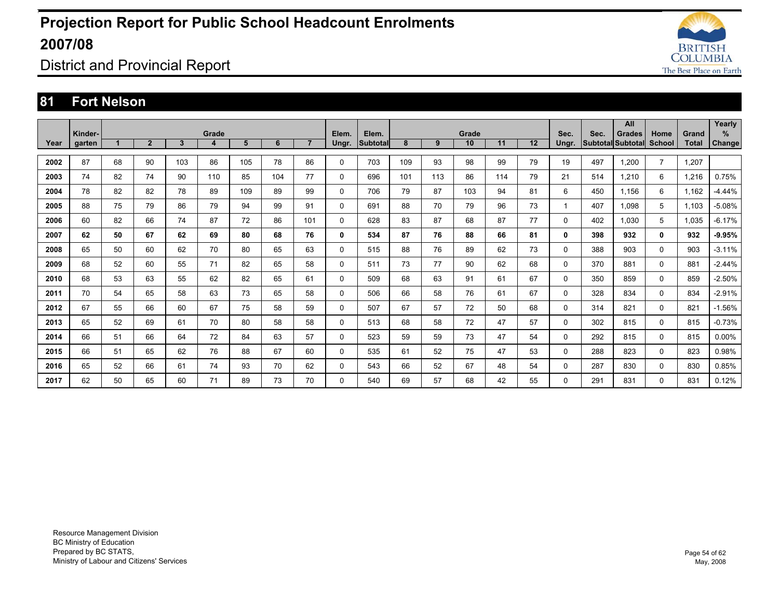

District and Provincial Report

#### **81 Fort Nelson**

|      | Kinder- |                      |                |     | Grade |     |     |                | Elem. | Elem.    |     |     | Grade |     |    | Sec.         | Sec. | All                                |                |                       | Yearly<br>% |
|------|---------|----------------------|----------------|-----|-------|-----|-----|----------------|-------|----------|-----|-----|-------|-----|----|--------------|------|------------------------------------|----------------|-----------------------|-------------|
| Year | garten  | $\blacktriangleleft$ | $\overline{2}$ | 3   | 4     | 5   | 6   | $\overline{7}$ | Ungr. | Subtotal | 8   | 9   | 10    | 11  | 12 | Ungr.        |      | <b>Grades</b><br>Subtotal Subtotal | Home<br>School | Grand<br><b>Total</b> | Change      |
| 2002 | 87      | 68                   | 90             | 103 | 86    | 105 | 78  | 86             | 0     | 703      | 109 | 93  | 98    | 99  | 79 | 19           | 497  | 1.200                              | $\overline{7}$ | 1,207                 |             |
| 2003 | 74      | 82                   | 74             | 90  | 110   | 85  | 104 | 77             | 0     | 696      | 101 | 113 | 86    | 114 | 79 | 21           | 514  | 1.210                              | 6              | 1.216                 | 0.75%       |
| 2004 | 78      | 82                   | 82             | 78  | 89    | 109 | 89  | 99             | 0     | 706      | 79  | 87  | 103   | 94  | 81 | 6            | 450  | 1.156                              | 6              | 1,162                 | $-4.44%$    |
| 2005 | 88      | 75                   | 79             | 86  | 79    | 94  | 99  | 91             | 0     | 691      | 88  | 70  | 79    | 96  | 73 | $\mathbf{1}$ | 407  | 1.098                              | 5              | 1.103                 | $-5.08%$    |
| 2006 | 60      | 82                   | 66             | 74  | 87    | 72  | 86  | 101            | 0     | 628      | 83  | 87  | 68    | 87  | 77 | 0            | 402  | 1.030                              | 5              | 1,035                 | $-6.17%$    |
| 2007 | 62      | 50                   | 67             | 62  | 69    | 80  | 68  | 76             | 0     | 534      | 87  | 76  | 88    | 66  | 81 | $\mathbf{0}$ | 398  | 932                                | 0              | 932                   | $-9.95%$    |
| 2008 | 65      | 50                   | 60             | 62  | 70    | 80  | 65  | 63             | 0     | 515      | 88  | 76  | 89    | 62  | 73 | 0            | 388  | 903                                | 0              | 903                   | $-3.11%$    |
| 2009 | 68      | 52                   | 60             | 55  | 71    | 82  | 65  | 58             | 0     | 511      | 73  | 77  | 90    | 62  | 68 | $\Omega$     | 370  | 881                                | $\Omega$       | 881                   | $-2.44%$    |
| 2010 | 68      | 53                   | 63             | 55  | 62    | 82  | 65  | 61             | 0     | 509      | 68  | 63  | 91    | 61  | 67 | 0            | 350  | 859                                | $\Omega$       | 859                   | $-2.50%$    |
| 2011 | 70      | 54                   | 65             | 58  | 63    | 73  | 65  | 58             | 0     | 506      | 66  | 58  | 76    | 61  | 67 | 0            | 328  | 834                                | $\mathbf 0$    | 834                   | $-2.91%$    |
| 2012 | 67      | 55                   | 66             | 60  | 67    | 75  | 58  | 59             | 0     | 507      | 67  | 57  | 72    | 50  | 68 | 0            | 314  | 821                                | 0              | 821                   | $-1.56%$    |
| 2013 | 65      | 52                   | 69             | 61  | 70    | 80  | 58  | 58             | 0     | 513      | 68  | 58  | 72    | 47  | 57 | 0            | 302  | 815                                | $\mathbf 0$    | 815                   | $-0.73%$    |
| 2014 | 66      | 51                   | 66             | 64  | 72    | 84  | 63  | 57             | 0     | 523      | 59  | 59  | 73    | 47  | 54 | 0            | 292  | 815                                | $\mathbf 0$    | 815                   | $0.00\%$    |
| 2015 | 66      | 51                   | 65             | 62  | 76    | 88  | 67  | 60             | 0     | 535      | 61  | 52  | 75    | 47  | 53 | 0            | 288  | 823                                | $\mathbf 0$    | 823                   | 0.98%       |
| 2016 | 65      | 52                   | 66             | 61  | 74    | 93  | 70  | 62             | 0     | 543      | 66  | 52  | 67    | 48  | 54 | 0            | 287  | 830                                | $\mathbf 0$    | 830                   | 0.85%       |
| 2017 | 62      | 50                   | 65             | 60  | 71    | 89  | 73  | 70             | 0     | 540      | 69  | 57  | 68    | 42  | 55 | $\Omega$     | 291  | 831                                | 0              | 831                   | 0.12%       |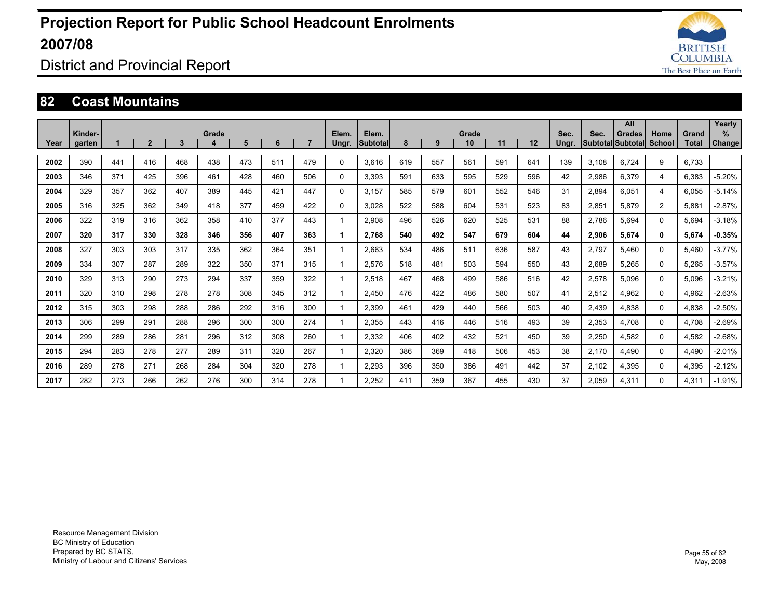

District and Provincial Report

#### **82 Coast Mountains**

|      |                   |     |              |              |            |     |     |                |                |                          |     |     | Grade |     |     |               |       | All                                |                |                | Yearly                |
|------|-------------------|-----|--------------|--------------|------------|-----|-----|----------------|----------------|--------------------------|-----|-----|-------|-----|-----|---------------|-------|------------------------------------|----------------|----------------|-----------------------|
| Year | Kinder-<br>garten |     | $\mathbf{2}$ | $\mathbf{3}$ | Grade<br>4 | 5   | 6   | $\overline{7}$ | Elem.<br>Ungr. | Elem.<br><b>Subtotal</b> | 8   | 9   | 10    | 11  | 12  | Sec.<br>Ungr. | Sec.  | Grades<br>Subtotal Subtotal School | Home           | Grand<br>Total | $\%$<br><b>Change</b> |
| 2002 | 390               | 441 | 416          | 468          | 438        | 473 | 511 | 479            | $\Omega$       | 3.616                    | 619 | 557 | 561   | 591 | 641 | 139           | 3.108 | 6.724                              | 9              | 6.733          |                       |
| 2003 | 346               | 371 | 425          | 396          | 461        | 428 | 460 | 506            | $\Omega$       | 3.393                    | 591 | 633 | 595   | 529 | 596 | 42            | 2,986 | 6,379                              | 4              | 6.383          | $-5.20%$              |
| 2004 | 329               | 357 | 362          | 407          | 389        | 445 | 421 | 447            | $\Omega$       | 3,157                    | 585 | 579 | 601   | 552 | 546 | 31            | 2,894 | 6,051                              | 4              | 6.055          | $-5.14%$              |
|      |                   |     |              |              |            |     |     |                |                |                          |     |     |       |     |     |               |       |                                    |                |                |                       |
| 2005 | 316               | 325 | 362          | 349          | 418        | 377 | 459 | 422            | 0              | 3.028                    | 522 | 588 | 604   | 531 | 523 | 83            | 2,851 | 5.879                              | $\overline{2}$ | 5.881          | $-2.87%$              |
| 2006 | 322               | 319 | 316          | 362          | 358        | 410 | 377 | 443            |                | 2.908                    | 496 | 526 | 620   | 525 | 531 | 88            | 2.786 | 5.694                              | 0              | 5.694          | $-3.18%$              |
| 2007 | 320               | 317 | 330          | 328          | 346        | 356 | 407 | 363            |                | 2.768                    | 540 | 492 | 547   | 679 | 604 | 44            | 2,906 | 5.674                              | 0              | 5.674          | $-0.35%$              |
| 2008 | 327               | 303 | 303          | 317          | 335        | 362 | 364 | 351            |                | 2,663                    | 534 | 486 | 511   | 636 | 587 | 43            | 2,797 | 5,460                              | 0              | 5.460          | $-3.77%$              |
| 2009 | 334               | 307 | 287          | 289          | 322        | 350 | 371 | 315            |                | 2.576                    | 518 | 481 | 503   | 594 | 550 | 43            | 2,689 | 5,265                              | 0              | 5,265          | $-3.57%$              |
| 2010 | 329               | 313 | 290          | 273          | 294        | 337 | 359 | 322            |                | 2.518                    | 467 | 468 | 499   | 586 | 516 | 42            | 2,578 | 5,096                              | 0              | 5,096          | $-3.21%$              |
| 2011 | 320               | 310 | 298          | 278          | 278        | 308 | 345 | 312            |                | 2.450                    | 476 | 422 | 486   | 580 | 507 | 41            | 2,512 | 4.962                              | 0              | 4,962          | $-2.63%$              |
| 2012 | 315               | 303 | 298          | 288          | 286        | 292 | 316 | 300            |                | 2.399                    | 461 | 429 | 440   | 566 | 503 | 40            | 2,439 | 4.838                              | 0              | 4.838          | $-2.50%$              |
| 2013 | 306               | 299 | 291          | 288          | 296        | 300 | 300 | 274            |                | 2,355                    | 443 | 416 | 446   | 516 | 493 | 39            | 2,353 | 4.708                              | 0              | 4.708          | $-2.69%$              |
| 2014 | 299               | 289 | 286          | 281          | 296        | 312 | 308 | 260            |                | 2,332                    | 406 | 402 | 432   | 521 | 450 | 39            | 2,250 | 4,582                              | 0              | 4,582          | $-2.68%$              |
| 2015 | 294               | 283 | 278          | 277          | 289        | 311 | 320 | 267            |                | 2,320                    | 386 | 369 | 418   | 506 | 453 | 38            | 2,170 | 4,490                              | 0              | 4,490          | $-2.01%$              |
| 2016 | 289               | 278 | 271          | 268          | 284        | 304 | 320 | 278            |                | 2,293                    | 396 | 350 | 386   | 491 | 442 | 37            | 2,102 | 4,395                              | 0              | 4,395          | $-2.12%$              |
| 2017 | 282               | 273 | 266          | 262          | 276        | 300 | 314 | 278            |                | 2.252                    | 411 | 359 | 367   | 455 | 430 | 37            | 2.059 | 4.311                              | $\Omega$       | 4,311          | $-1.91%$              |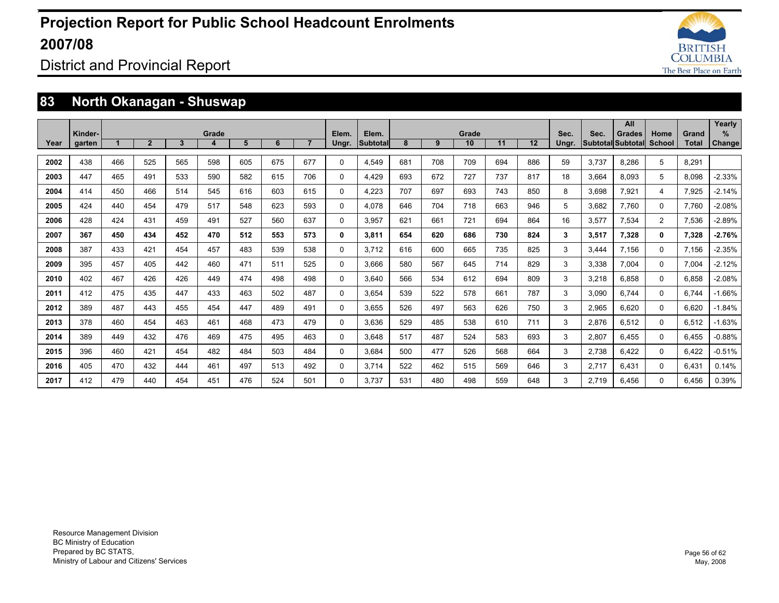

District and Provincial Report

### **83 North Okanagan - Shuswap**

|      |         |     |              |     |       |     |     |     |       |                 |     |     |       |     |     |       |       | All               |          |       | Yearly        |
|------|---------|-----|--------------|-----|-------|-----|-----|-----|-------|-----------------|-----|-----|-------|-----|-----|-------|-------|-------------------|----------|-------|---------------|
|      | Kinder- |     |              |     | Grade |     |     |     | Elem. | Elem.           |     |     | Grade |     |     | Sec.  | Sec.  | <b>Grades</b>     | Home     | Grand | %             |
| Year | garten  |     | $\mathbf{2}$ | 3   |       | 5   | 6   |     | Ungr. | <b>Subtotal</b> | 8   | 9   | 10    | 11  | 12  | Ungr. |       | Subtotal Subtotal | School   | Total | <b>Change</b> |
| 2002 | 438     | 466 | 525          | 565 | 598   | 605 | 675 | 677 | 0     | 4,549           | 681 | 708 | 709   | 694 | 886 | 59    | 3,737 | 8,286             | 5        | 8,291 |               |
| 2003 | 447     | 465 | 491          | 533 | 590   | 582 | 615 | 706 | 0     | 4.429           | 693 | 672 | 727   | 737 | 817 | 18    | 3,664 | 8.093             | 5        | 8.098 | $-2.33%$      |
| 2004 | 414     | 450 | 466          | 514 | 545   | 616 | 603 | 615 | 0     | 4,223           | 707 | 697 | 693   | 743 | 850 | 8     | 3,698 | 7,921             | 4        | 7,925 | $-2.14%$      |
| 2005 | 424     | 440 | 454          | 479 | 517   | 548 | 623 | 593 | 0     | 4.078           | 646 | 704 | 718   | 663 | 946 | 5     | 3.682 | 7.760             | $\Omega$ | 7.760 | $-2.08%$      |
| 2006 | 428     | 424 | 431          | 459 | 491   | 527 | 560 | 637 | 0     | 3,957           | 621 | 661 | 721   | 694 | 864 | 16    | 3,577 | 7.534             | 2        | 7,536 | $-2.89%$      |
| 2007 | 367     | 450 | 434          | 452 | 470   | 512 | 553 | 573 | 0     | 3.811           | 654 | 620 | 686   | 730 | 824 | 3     | 3,517 | 7.328             | 0        | 7,328 | $-2.76%$      |
| 2008 | 387     | 433 | 421          | 454 | 457   | 483 | 539 | 538 | 0     | 3,712           | 616 | 600 | 665   | 735 | 825 | 3     | 3,444 | 7.156             | $\Omega$ | 7,156 | $-2.35%$      |
| 2009 | 395     | 457 | 405          | 442 | 460   | 471 | 511 | 525 | 0     | 3.666           | 580 | 567 | 645   | 714 | 829 | 3     | 3,338 | 7.004             | $\Omega$ | 7.004 | $-2.12%$      |
| 2010 | 402     | 467 | 426          | 426 | 449   | 474 | 498 | 498 | 0     | 3.640           | 566 | 534 | 612   | 694 | 809 | 3     | 3,218 | 6.858             | 0        | 6.858 | $-2.08%$      |
| 2011 | 412     | 475 | 435          | 447 | 433   | 463 | 502 | 487 | 0     | 3.654           | 539 | 522 | 578   | 661 | 787 | 3     | 3,090 | 6.744             | $\Omega$ | 6.744 | $-1.66%$      |
| 2012 | 389     | 487 | 443          | 455 | 454   | 447 | 489 | 491 | 0     | 3,655           | 526 | 497 | 563   | 626 | 750 | 3     | 2,965 | 6.620             | 0        | 6.620 | $-1.84%$      |
| 2013 | 378     | 460 | 454          | 463 | 461   | 468 | 473 | 479 | 0     | 3,636           | 529 | 485 | 538   | 610 | 711 | 3     | 2,876 | 6,512             | $\Omega$ | 6,512 | $-1.63%$      |
| 2014 | 389     | 449 | 432          | 476 | 469   | 475 | 495 | 463 | 0     | 3.648           | 517 | 487 | 524   | 583 | 693 | 3     | 2,807 | 6.455             | $\Omega$ | 6,455 | $-0.88%$      |
| 2015 | 396     | 460 | 421          | 454 | 482   | 484 | 503 | 484 | 0     | 3,684           | 500 | 477 | 526   | 568 | 664 | 3     | 2,738 | 6,422             | $\Omega$ | 6,422 | $-0.51%$      |
| 2016 | 405     | 470 | 432          | 444 | 461   | 497 | 513 | 492 | 0     | 3.714           | 522 | 462 | 515   | 569 | 646 | 3     | 2,717 | 6.431             | $\Omega$ | 6.431 | 0.14%         |
| 2017 | 412     | 479 | 440          | 454 | 451   | 476 | 524 | 501 | 0     | 3.737           | 531 | 480 | 498   | 559 | 648 | 3     | 2.719 | 6.456             | $\Omega$ | 6.456 | 0.39%         |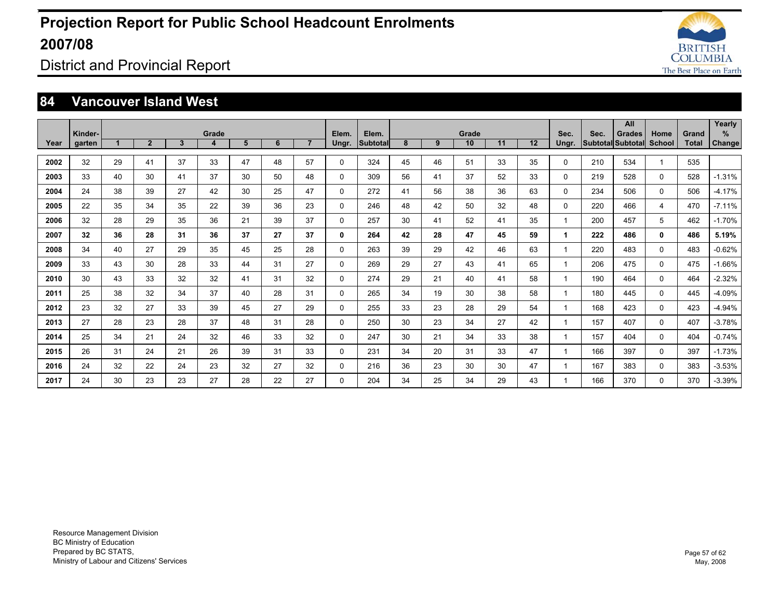

### District and Provincial Report

#### **84 Vancouver Island West**

| Year | Kinder-<br>garten |    | $\overline{2}$ | $\mathbf{3}$ | Grade<br>4 | 5  | 6  | $\overline{7}$ | Elem.<br>Ungr. | Elem.<br>Subtotal | 8  | 9  | Grade<br>10 | 11 | 12 | Sec.<br>Ungr. | Sec. | All<br><b>Grades</b><br>Subtotal Subtotal | Home<br>School | Grand<br><b>Total</b> | Yearly<br>%<br>Change |
|------|-------------------|----|----------------|--------------|------------|----|----|----------------|----------------|-------------------|----|----|-------------|----|----|---------------|------|-------------------------------------------|----------------|-----------------------|-----------------------|
| 2002 | 32                | 29 | 41             | 37           | 33         | 47 | 48 | 57             | 0              | 324               | 45 | 46 | 51          | 33 | 35 | 0             | 210  | 534                                       |                | 535                   |                       |
| 2003 | 33                | 40 | 30             | 41           | 37         | 30 | 50 | 48             | 0              | 309               | 56 | 41 | 37          | 52 | 33 | 0             | 219  | 528                                       | 0              | 528                   | $-1.31%$              |
| 2004 | 24                | 38 | 39             | 27           | 42         | 30 | 25 | 47             | 0              | 272               | 41 | 56 | 38          | 36 | 63 | 0             | 234  | 506                                       | 0              | 506                   | $-4.17%$              |
| 2005 | 22                | 35 | 34             | 35           | 22         | 39 | 36 | 23             | 0              | 246               | 48 | 42 | 50          | 32 | 48 | 0             | 220  | 466                                       | 4              | 470                   | $-7.11%$              |
| 2006 | 32                | 28 | 29             | 35           | 36         | 21 | 39 | 37             | $\Omega$       | 257               | 30 | 41 | 52          | 41 | 35 | -1            | 200  | 457                                       | 5              | 462                   | $-1.70%$              |
| 2007 | 32                | 36 | 28             | 31           | 36         | 37 | 27 | 37             | 0              | 264               | 42 | 28 | 47          | 45 | 59 | 1             | 222  | 486                                       | 0              | 486                   | 5.19%                 |
| 2008 | 34                | 40 | 27             | 29           | 35         | 45 | 25 | 28             | 0              | 263               | 39 | 29 | 42          | 46 | 63 | $\mathbf{1}$  | 220  | 483                                       | $\mathbf 0$    | 483                   | $-0.62%$              |
| 2009 | 33                | 43 | 30             | 28           | 33         | 44 | 31 | 27             | 0              | 269               | 29 | 27 | 43          | 41 | 65 | 1             | 206  | 475                                       | $\mathbf 0$    | 475                   | $-1.66%$              |
| 2010 | 30                | 43 | 33             | 32           | 32         | 41 | 31 | 32             | 0              | 274               | 29 | 21 | 40          | 41 | 58 | 1             | 190  | 464                                       | 0              | 464                   | $-2.32%$              |
| 2011 | 25                | 38 | 32             | 34           | 37         | 40 | 28 | 31             | 0              | 265               | 34 | 19 | 30          | 38 | 58 | -1            | 180  | 445                                       | $\mathbf 0$    | 445                   | $-4.09%$              |
| 2012 | 23                | 32 | 27             | 33           | 39         | 45 | 27 | 29             | 0              | 255               | 33 | 23 | 28          | 29 | 54 | 1             | 168  | 423                                       | $\Omega$       | 423                   | $-4.94%$              |
| 2013 | 27                | 28 | 23             | 28           | 37         | 48 | 31 | 28             | 0              | 250               | 30 | 23 | 34          | 27 | 42 |               | 157  | 407                                       | $\mathbf 0$    | 407                   | $-3.78%$              |
| 2014 | 25                | 34 | 21             | 24           | 32         | 46 | 33 | 32             | 0              | 247               | 30 | 21 | 34          | 33 | 38 | -1            | 157  | 404                                       | 0              | 404                   | $-0.74%$              |
| 2015 | 26                | 31 | 24             | 21           | 26         | 39 | 31 | 33             | 0              | 231               | 34 | 20 | 31          | 33 | 47 | 1             | 166  | 397                                       | 0              | 397                   | $-1.73%$              |
| 2016 | 24                | 32 | 22             | 24           | 23         | 32 | 27 | 32             | 0              | 216               | 36 | 23 | 30          | 30 | 47 |               | 167  | 383                                       | $\mathbf 0$    | 383                   | $-3.53%$              |
| 2017 | 24                | 30 | 23             | 23           | 27         | 28 | 22 | 27             | 0              | 204               | 34 | 25 | 34          | 29 | 43 |               | 166  | 370                                       | 0              | 370                   | $-3.39%$              |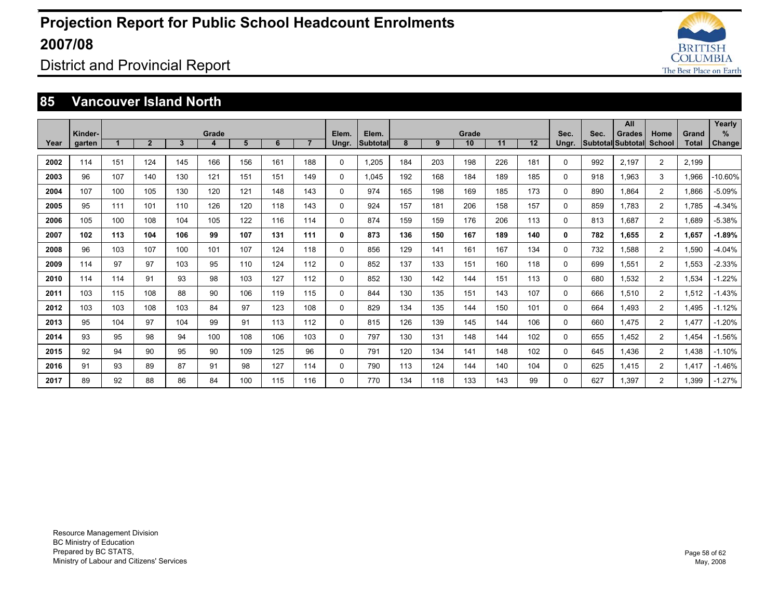

District and Provincial Report

#### **85 Vancouver Island North**

|      |         |     |                |     |       |     |     |                |          |                 |     |     |       |     |     |              |      | All               |                |              | Yearly   |
|------|---------|-----|----------------|-----|-------|-----|-----|----------------|----------|-----------------|-----|-----|-------|-----|-----|--------------|------|-------------------|----------------|--------------|----------|
|      | Kinder- |     |                |     | Grade |     |     |                | Elem.    | Elem.           |     |     | Grade |     |     | Sec.         | Sec. | <b>Grades</b>     | Home           | Grand        | %        |
| Year | garten  |     | $\overline{2}$ | 3   | 4     | 5   | 6   | $\overline{7}$ | Ungr.    | <b>Subtotal</b> | 8   | 9   | 10    | 11  | 12  | Ungr.        |      | Subtotal Subtotal | <b>School</b>  | <b>Total</b> | Change   |
| 2002 | 114     | 151 | 124            | 145 | 166   | 156 | 161 | 188            | 0        | 1.205           | 184 | 203 | 198   | 226 | 181 | $\Omega$     | 992  | 2.197             | $\overline{2}$ | 2.199        |          |
| 2003 | 96      | 107 | 140            | 130 | 121   | 151 | 151 | 149            | 0        | 1.045           | 192 | 168 | 184   | 189 | 185 | $\Omega$     | 918  | 1.963             | 3              | 1,966        | -10.60%  |
| 2004 | 107     | 100 | 105            | 130 | 120   | 121 | 148 | 143            | $\Omega$ | 974             | 165 | 198 | 169   | 185 | 173 | $\Omega$     | 890  | 1.864             | 2              | 1,866        | $-5.09%$ |
| 2005 | 95      | 111 | 101            | 110 | 126   | 120 | 118 | 143            | 0        | 924             | 157 | 181 | 206   | 158 | 157 | 0            | 859  | 1.783             | $\overline{2}$ | 1.785        | $-4.34%$ |
| 2006 | 105     | 100 | 108            | 104 | 105   | 122 | 116 | 114            | 0        | 874             | 159 | 159 | 176   | 206 | 113 | $\Omega$     | 813  | 1.687             | $\overline{2}$ | 1,689        | $-5.38%$ |
| 2007 | 102     | 113 | 104            | 106 | 99    | 107 | 131 | 111            | 0        | 873             | 136 | 150 | 167   | 189 | 140 | $\mathbf{0}$ | 782  | 1.655             | $\overline{2}$ | 1.657        | $-1.89%$ |
| 2008 | 96      | 103 | 107            | 100 | 101   | 107 | 124 | 118            | 0        | 856             | 129 | 141 | 161   | 167 | 134 | $\Omega$     | 732  | 1,588             | $\overline{2}$ | 1,590        | $-4.04%$ |
| 2009 | 114     | 97  | 97             | 103 | 95    | 110 | 124 | 112            | 0        | 852             | 137 | 133 | 151   | 160 | 118 | 0            | 699  | 1,551             | $\overline{2}$ | 1,553        | $-2.33%$ |
| 2010 | 114     | 114 | 91             | 93  | 98    | 103 | 127 | 112            | 0        | 852             | 130 | 142 | 144   | 151 | 113 | 0            | 680  | 1.532             | $\overline{2}$ | 1.534        | $-1.22%$ |
| 2011 | 103     | 115 | 108            | 88  | 90    | 106 | 119 | 115            | 0        | 844             | 130 | 135 | 151   | 143 | 107 | $\Omega$     | 666  | 1,510             | $\overline{2}$ | 1,512        | $-1.43%$ |
| 2012 | 103     | 103 | 108            | 103 | 84    | 97  | 123 | 108            | 0        | 829             | 134 | 135 | 144   | 150 | 101 | 0            | 664  | 1.493             | $\overline{2}$ | 1.495        | $-1.12%$ |
| 2013 | 95      | 104 | 97             | 104 | 99    | 91  | 113 | 112            | 0        | 815             | 126 | 139 | 145   | 144 | 106 | 0            | 660  | 1.475             | $\overline{2}$ | 1.477        | $-1.20%$ |
| 2014 | 93      | 95  | 98             | 94  | 100   | 108 | 106 | 103            | 0        | 797             | 130 | 131 | 148   | 144 | 102 | 0            | 655  | 1,452             | $\overline{2}$ | 1,454        | $-1.56%$ |
| 2015 | 92      | 94  | 90             | 95  | 90    | 109 | 125 | 96             | 0        | 791             | 120 | 134 | 141   | 148 | 102 | $\Omega$     | 645  | 1.436             | $\overline{2}$ | 1.438        | $-1.10%$ |
| 2016 | 91      | 93  | 89             | 87  | 91    | 98  | 127 | 114            | 0        | 790             | 113 | 124 | 144   | 140 | 104 | $\Omega$     | 625  | 1.415             | $\overline{2}$ | 1.417        | $-1.46%$ |
| 2017 | 89      | 92  | 88             | 86  | 84    | 100 | 115 | 116            | 0        | 770             | 134 | 118 | 133   | 143 | 99  | $\Omega$     | 627  | 1.397             | $\overline{2}$ | 1,399        | $-1.27%$ |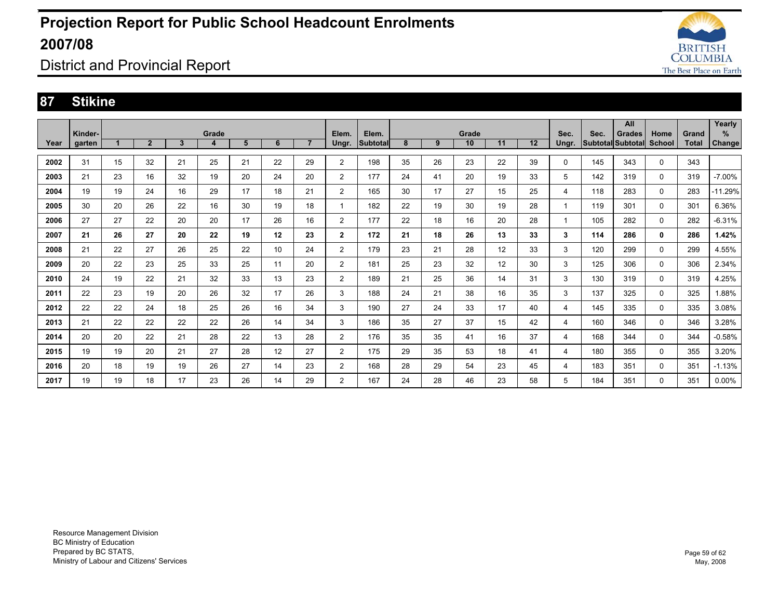

### District and Provincial Report

#### **87 Stikine**

|      | Kinder- |    |                |    | Grade |    |    |                | Elem.          | Elem.    |    |    | Grade |    |    | Sec.         | Sec. | All<br><b>Grades</b>     | Home        | Grand        | Yearly<br>%   |
|------|---------|----|----------------|----|-------|----|----|----------------|----------------|----------|----|----|-------|----|----|--------------|------|--------------------------|-------------|--------------|---------------|
| Year | garten  |    | $\overline{2}$ | 3  | 4     | 5  | 6  | $\overline{7}$ | Ungr.          | Subtotal | 8  | 9  | 10    | 11 | 12 | Ungr.        |      | <b>Subtotal Subtotal</b> | School      | <b>Total</b> | <b>Change</b> |
| 2002 | 31      | 15 | 32             | 21 | 25    | 21 | 22 | 29             | $\overline{2}$ | 198      | 35 | 26 | 23    | 22 | 39 | 0            | 145  | 343                      | 0           | 343          |               |
| 2003 | 21      | 23 | 16             | 32 | 19    | 20 | 24 | 20             | $\overline{2}$ | 177      | 24 | 41 | 20    | 19 | 33 | 5            | 142  | 319                      | 0           | 319          | $-7.00\%$     |
| 2004 | 19      | 19 | 24             | 16 | 29    | 17 | 18 | 21             | $\overline{2}$ | 165      | 30 | 17 | 27    | 15 | 25 | 4            | 118  | 283                      | $\mathbf 0$ | 283          | $-11.29%$     |
| 2005 | 30      | 20 | 26             | 22 | 16    | 30 | 19 | 18             |                | 182      | 22 | 19 | 30    | 19 | 28 | $\mathbf{1}$ | 119  | 301                      | 0           | 301          | 6.36%         |
| 2006 | 27      | 27 | 22             | 20 | 20    | 17 | 26 | 16             | $\overline{2}$ | 177      | 22 | 18 | 16    | 20 | 28 | 1            | 105  | 282                      | 0           | 282          | $-6.31%$      |
| 2007 | 21      | 26 | 27             | 20 | 22    | 19 | 12 | 23             | $\mathbf{2}$   | 172      | 21 | 18 | 26    | 13 | 33 | 3            | 114  | 286                      | 0           | 286          | 1.42%         |
| 2008 | 21      | 22 | 27             | 26 | 25    | 22 | 10 | 24             | $\overline{2}$ | 179      | 23 | 21 | 28    | 12 | 33 | 3            | 120  | 299                      | 0           | 299          | 4.55%         |
| 2009 | 20      | 22 | 23             | 25 | 33    | 25 | 11 | 20             | 2              | 181      | 25 | 23 | 32    | 12 | 30 | 3            | 125  | 306                      | 0           | 306          | 2.34%         |
| 2010 | 24      | 19 | 22             | 21 | 32    | 33 | 13 | 23             | $\overline{2}$ | 189      | 21 | 25 | 36    | 14 | 31 | 3            | 130  | 319                      | 0           | 319          | 4.25%         |
| 2011 | 22      | 23 | 19             | 20 | 26    | 32 | 17 | 26             | 3              | 188      | 24 | 21 | 38    | 16 | 35 | 3            | 137  | 325                      | 0           | 325          | 1.88%         |
| 2012 | 22      | 22 | 24             | 18 | 25    | 26 | 16 | 34             | 3              | 190      | 27 | 24 | 33    | 17 | 40 | 4            | 145  | 335                      | 0           | 335          | 3.08%         |
| 2013 | 21      | 22 | 22             | 22 | 22    | 26 | 14 | 34             | 3              | 186      | 35 | 27 | 37    | 15 | 42 | 4            | 160  | 346                      | 0           | 346          | 3.28%         |
| 2014 | 20      | 20 | 22             | 21 | 28    | 22 | 13 | 28             | $\overline{2}$ | 176      | 35 | 35 | 41    | 16 | 37 | 4            | 168  | 344                      | 0           | 344          | $-0.58%$      |
| 2015 | 19      | 19 | 20             | 21 | 27    | 28 | 12 | 27             | $\overline{2}$ | 175      | 29 | 35 | 53    | 18 | 41 | 4            | 180  | 355                      | 0           | 355          | 3.20%         |
| 2016 | 20      | 18 | 19             | 19 | 26    | 27 | 14 | 23             | $\overline{2}$ | 168      | 28 | 29 | 54    | 23 | 45 | 4            | 183  | 351                      | 0           | 351          | $-1.13%$      |
| 2017 | 19      | 19 | 18             | 17 | 23    | 26 | 14 | 29             | $\overline{2}$ | 167      | 24 | 28 | 46    | 23 | 58 | 5            | 184  | 351                      | 0           | 351          | $0.00\%$      |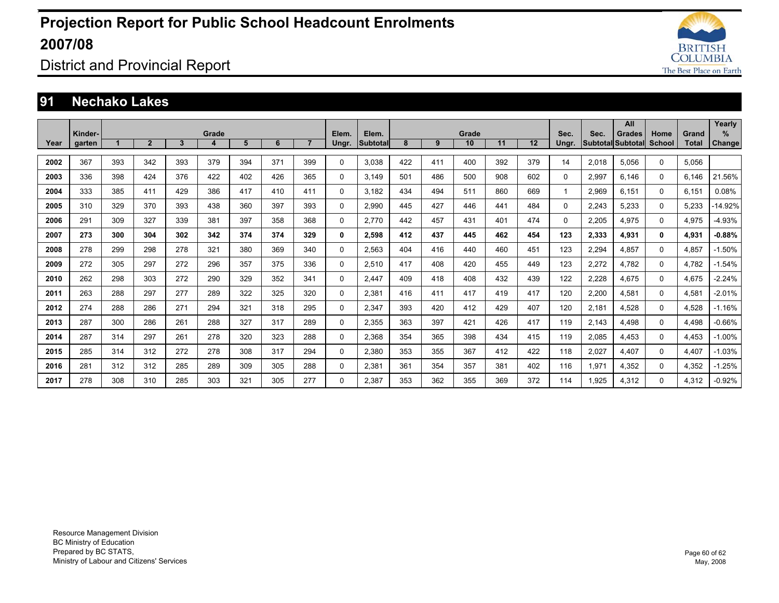

District and Provincial Report

#### **91 Nechako Lakes**

|      |         |       |              |              |     |     |     |                |          |                 |     |     |       |     |     |              |       | All               |          |              | Yearly        |
|------|---------|-------|--------------|--------------|-----|-----|-----|----------------|----------|-----------------|-----|-----|-------|-----|-----|--------------|-------|-------------------|----------|--------------|---------------|
|      | Kinder- | Grade |              |              |     |     |     |                | Elem.    | Elem.           |     |     | Grade |     |     | Sec.         | Sec.  | Grades            | Home     | Grand        | $\%$          |
| Year | garten  |       | $\mathbf{2}$ | $\mathbf{3}$ | 4   | 5   | 6   | $\overline{7}$ | Ungr.    | <b>Subtotal</b> | 8   | 9   | 10    | 11  | 12  | Ungr.        |       | Subtotal Subtotal | School   | <b>Total</b> | <b>Change</b> |
| 2002 | 367     | 393   | 342          | 393          | 379 | 394 | 371 | 399            | 0        | 3.038           | 422 | 411 | 400   | 392 | 379 | 14           | 2.018 | 5.056             | 0        | 5.056        |               |
| 2003 | 336     | 398   | 424          | 376          | 422 | 402 | 426 | 365            | 0        | 3.149           | 501 | 486 | 500   | 908 | 602 | 0            | 2,997 | 6.146             | 0        | 6.146        | 21.56%        |
| 2004 | 333     | 385   | 411          | 429          | 386 | 417 | 410 | 411            | 0        | 3,182           | 434 | 494 | 511   | 860 | 669 | $\mathbf{1}$ | 2,969 | 6.151             | 0        | 6,151        | 0.08%         |
| 2005 | 310     | 329   | 370          | 393          | 438 | 360 | 397 | 393            | 0        | 2.990           | 445 | 427 | 446   | 441 | 484 | $\Omega$     | 2,243 | 5.233             | 0        | 5.233        | -14.92%       |
| 2006 | 291     | 309   | 327          | 339          | 381 | 397 | 358 | 368            | 0        | 2.770           | 442 | 457 | 431   | 401 | 474 | 0            | 2,205 | 4,975             | 0        | 4,975        | $-4.93%$      |
| 2007 | 273     | 300   | 304          | 302          | 342 | 374 | 374 | 329            | 0        | 2.598           | 412 | 437 | 445   | 462 | 454 | 123          | 2,333 | 4.931             | 0        | 4.931        | $-0.88%$      |
| 2008 | 278     | 299   | 298          | 278          | 321 | 380 | 369 | 340            | 0        | 2,563           | 404 | 416 | 440   | 460 | 451 | 123          | 2,294 | 4,857             | 0        | 4,857        | $-1.50%$      |
| 2009 | 272     | 305   | 297          | 272          | 296 | 357 | 375 | 336            | 0        | 2,510           | 417 | 408 | 420   | 455 | 449 | 123          | 2,272 | 4.782             | 0        | 4,782        | $-1.54%$      |
| 2010 | 262     | 298   | 303          | 272          | 290 | 329 | 352 | 341            | 0        | 2.447           | 409 | 418 | 408   | 432 | 439 | 122          | 2,228 | 4.675             | 0        | 4.675        | $-2.24%$      |
| 2011 | 263     | 288   | 297          | 277          | 289 | 322 | 325 | 320            | 0        | 2,381           | 416 | 411 | 417   | 419 | 417 | 120          | 2,200 | 4,581             | 0        | 4,581        | $-2.01%$      |
| 2012 | 274     | 288   | 286          | 271          | 294 | 321 | 318 | 295            | 0        | 2.347           | 393 | 420 | 412   | 429 | 407 | 120          | 2.181 | 4.528             | 0        | 4.528        | $-1.16%$      |
| 2013 | 287     | 300   | 286          | 261          | 288 | 327 | 317 | 289            | 0        | 2,355           | 363 | 397 | 421   | 426 | 417 | 119          | 2.143 | 4.498             | 0        | 4,498        | $-0.66%$      |
| 2014 | 287     | 314   | 297          | 261          | 278 | 320 | 323 | 288            | 0        | 2,368           | 354 | 365 | 398   | 434 | 415 | 119          | 2,085 | 4,453             | $\Omega$ | 4,453        | $-1.00%$      |
| 2015 | 285     | 314   | 312          | 272          | 278 | 308 | 317 | 294            | 0        | 2.380           | 353 | 355 | 367   | 412 | 422 | 118          | 2,027 | 4.407             | 0        | 4.407        | $-1.03%$      |
| 2016 | 281     | 312   | 312          | 285          | 289 | 309 | 305 | 288            | $\Omega$ | 2,381           | 361 | 354 | 357   | 381 | 402 | 116          | 1,971 | 4,352             | 0        | 4,352        | $-1.25%$      |
| 2017 | 278     | 308   | 310          | 285          | 303 | 321 | 305 | 277            | 0        | 2.387           | 353 | 362 | 355   | 369 | 372 | 114          | 1.925 | 4.312             | 0        | 4.312        | $-0.92%$      |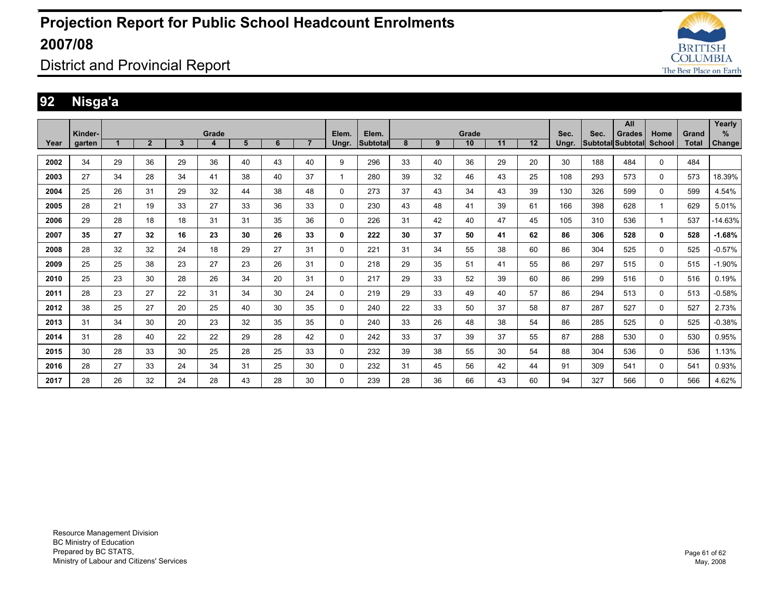

District and Provincial Report

### **92 Nisga'a**

|      |         |    |                |    |       |    |    |                |          |          |    |    |       |    |    |       |      | All                      |        |              | Yearly              |
|------|---------|----|----------------|----|-------|----|----|----------------|----------|----------|----|----|-------|----|----|-------|------|--------------------------|--------|--------------|---------------------|
|      | Kinder- |    |                |    | Grade |    |    |                | Elem.    | Elem.    |    |    | Grade |    |    | Sec.  | Sec. | <b>Grades</b>            | Home   | Grand        | ℅                   |
| Year | garten  |    | $\overline{2}$ | 3  | 4     | 5  | 6  | $\overline{7}$ | Ungr.    | Subtotal | 8  | 9  | 10    | 11 | 12 | Ungr. |      | <b>Subtotal Subtotal</b> | School | <b>Total</b> | Change <sup>1</sup> |
| 2002 | 34      | 29 | 36             | 29 | 36    | 40 | 43 | 40             | 9        | 296      | 33 | 40 | 36    | 29 | 20 | 30    | 188  | 484                      | 0      | 484          |                     |
| 2003 | 27      | 34 | 28             | 34 | 41    | 38 | 40 | 37             |          | 280      | 39 | 32 | 46    | 43 | 25 | 108   | 293  | 573                      | 0      | 573          | 18.39%              |
| 2004 | 25      | 26 | 31             | 29 | 32    | 44 | 38 | 48             | 0        | 273      | 37 | 43 | 34    | 43 | 39 | 130   | 326  | 599                      | 0      | 599          | 4.54%               |
| 2005 | 28      | 21 | 19             | 33 | 27    | 33 | 36 | 33             | 0        | 230      | 43 | 48 | 41    | 39 | 61 | 166   | 398  | 628                      | 1      | 629          | 5.01%               |
| 2006 | 29      | 28 | 18             | 18 | 31    | 31 | 35 | 36             | 0        | 226      | 31 | 42 | 40    | 47 | 45 | 105   | 310  | 536                      |        | 537          | $-14.63%$           |
| 2007 | 35      | 27 | 32             | 16 | 23    | 30 | 26 | 33             | 0        | 222      | 30 | 37 | 50    | 41 | 62 | 86    | 306  | 528                      | 0      | 528          | $-1.68%$            |
| 2008 | 28      | 32 | 32             | 24 | 18    | 29 | 27 | 31             | $\Omega$ | 221      | 31 | 34 | 55    | 38 | 60 | 86    | 304  | 525                      | 0      | 525          | $-0.57%$            |
| 2009 | 25      | 25 | 38             | 23 | 27    | 23 | 26 | 31             | 0        | 218      | 29 | 35 | 51    | 41 | 55 | 86    | 297  | 515                      | 0      | 515          | $-1.90%$            |
| 2010 | 25      | 23 | 30             | 28 | 26    | 34 | 20 | 31             | 0        | 217      | 29 | 33 | 52    | 39 | 60 | 86    | 299  | 516                      | 0      | 516          | 0.19%               |
| 2011 | 28      | 23 | 27             | 22 | 31    | 34 | 30 | 24             | $\Omega$ | 219      | 29 | 33 | 49    | 40 | 57 | 86    | 294  | 513                      | 0      | 513          | $-0.58%$            |
| 2012 | 38      | 25 | 27             | 20 | 25    | 40 | 30 | 35             | $\Omega$ | 240      | 22 | 33 | 50    | 37 | 58 | 87    | 287  | 527                      | 0      | 527          | 2.73%               |
| 2013 | 31      | 34 | 30             | 20 | 23    | 32 | 35 | 35             | $\Omega$ | 240      | 33 | 26 | 48    | 38 | 54 | 86    | 285  | 525                      | 0      | 525          | $-0.38%$            |
| 2014 | 31      | 28 | 40             | 22 | 22    | 29 | 28 | 42             | 0        | 242      | 33 | 37 | 39    | 37 | 55 | 87    | 288  | 530                      | 0      | 530          | 0.95%               |
| 2015 | 30      | 28 | 33             | 30 | 25    | 28 | 25 | 33             | 0        | 232      | 39 | 38 | 55    | 30 | 54 | 88    | 304  | 536                      | 0      | 536          | 1.13%               |
| 2016 | 28      | 27 | 33             | 24 | 34    | 31 | 25 | 30             | 0        | 232      | 31 | 45 | 56    | 42 | 44 | 91    | 309  | 541                      | 0      | 541          | 0.93%               |
| 2017 | 28      | 26 | 32             | 24 | 28    | 43 | 28 | 30             | 0        | 239      | 28 | 36 | 66    | 43 | 60 | 94    | 327  | 566                      | 0      | 566          | 4.62%               |